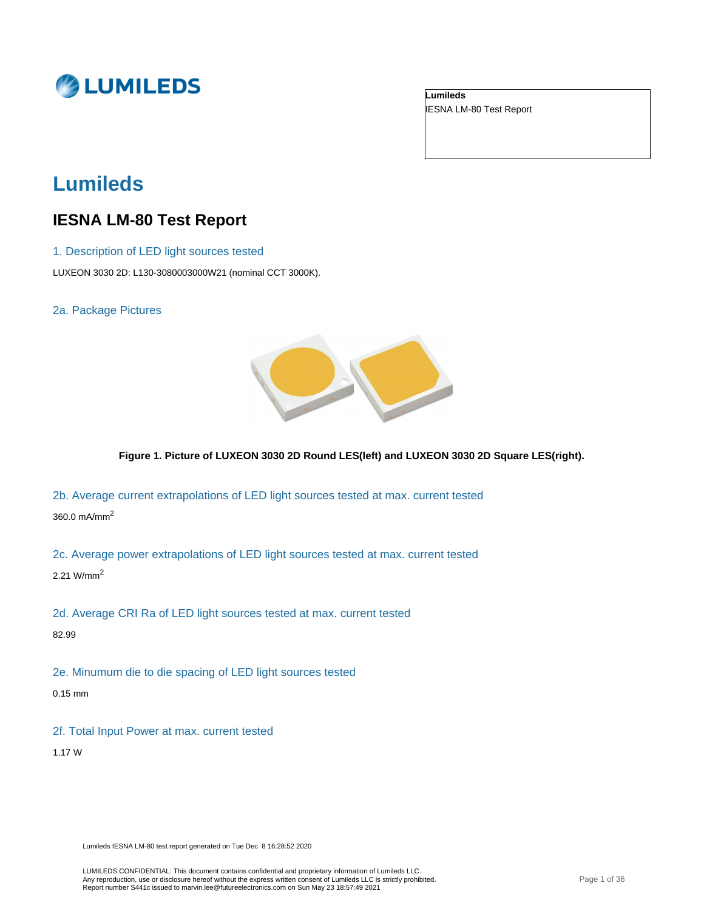

**Lumileds** IESNA LM-80 Test Report

# **Lumileds**

# **IESNA LM-80 Test Report**

- 1. Description of LED light sources tested
- LUXEON 3030 2D: L130-3080003000W21 (nominal CCT 3000K).

2a. Package Pictures



**Figure 1. Picture of LUXEON 3030 2D Round LES(left) and LUXEON 3030 2D Square LES(right).**

2b. Average current extrapolations of LED light sources tested at max. current tested

360.0 mA/mm<sup>2</sup>

2c. Average power extrapolations of LED light sources tested at max. current tested

2.21 W/mm<sup>2</sup>

2d. Average CRI Ra of LED light sources tested at max. current tested

82.99

2e. Minumum die to die spacing of LED light sources tested

0.15 mm

2f. Total Input Power at max. current tested

1.17 W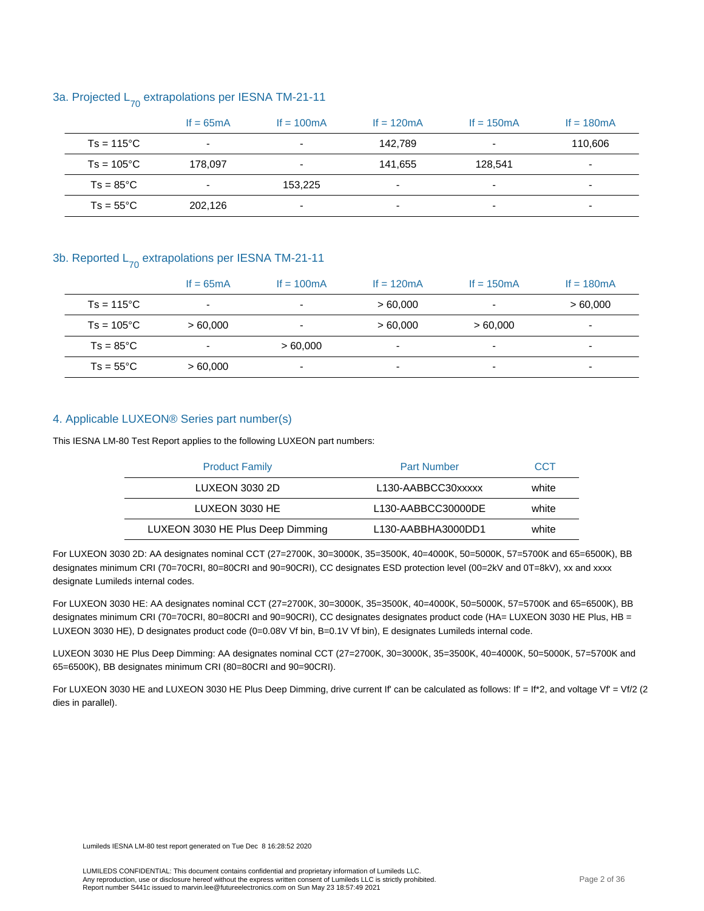### 3a. Projected  $L_{70}$  extrapolations per IESNA TM-21-11

|                     | If $= 65mA$              | If $= 100 \text{mA}$     | If $= 120 \text{mA}$     | If $= 150 \text{mA}$ | If $= 180 \text{mA}$     |
|---------------------|--------------------------|--------------------------|--------------------------|----------------------|--------------------------|
| $Ts = 115^{\circ}C$ | $\overline{\phantom{0}}$ |                          | 142,789                  |                      | 110,606                  |
| $Ts = 105^{\circ}C$ | 178.097                  | $\overline{a}$           | 141,655                  | 128.541              | $\overline{\phantom{a}}$ |
| $Ts = 85^{\circ}C$  | -                        | 153.225                  | $\overline{\phantom{0}}$ | -                    | $\overline{\phantom{0}}$ |
| $Ts = 55^{\circ}C$  | 202,126                  | $\overline{\phantom{a}}$ | $\overline{\phantom{0}}$ | -                    | ۰                        |

#### 3b. Reported  $L_{70}$  extrapolations per IESNA TM-21-11

|                     | If $= 65mA$              | If $= 100 \text{mA}$     | If $= 120 \text{mA}$     | If $= 150$ mA | If $= 180 \text{mA}$     |
|---------------------|--------------------------|--------------------------|--------------------------|---------------|--------------------------|
| $Ts = 115^{\circ}C$ | $\overline{\phantom{0}}$ | $\overline{\phantom{0}}$ | >60.000                  | -             | >60.000                  |
| $Ts = 105^{\circ}C$ | >60.000                  | -                        | >60,000                  | >60,000       | ۰                        |
| $Ts = 85^{\circ}C$  | ٠                        | >60,000                  | ٠                        |               | $\overline{\phantom{0}}$ |
| $Ts = 55^{\circ}C$  | >60.000                  | $\overline{\phantom{0}}$ | $\overline{\phantom{0}}$ | -             | $\overline{\phantom{0}}$ |

#### 4. Applicable LUXEON® Series part number(s)

This IESNA LM-80 Test Report applies to the following LUXEON part numbers:

| <b>Product Family</b>            | <b>Part Number</b>                           | CCT   |
|----------------------------------|----------------------------------------------|-------|
| LUXEON 3030 2D                   | L <sub>130</sub> -AABBCC <sub>30</sub> xxxxx | white |
| LUXEON 3030 HE                   | L <sub>130</sub> -AABBCC30000DE              | white |
| LUXEON 3030 HE Plus Deep Dimming | L130-AABBHA3000DD1                           | white |

For LUXEON 3030 2D: AA designates nominal CCT (27=2700K, 30=3000K, 35=3500K, 40=4000K, 50=5000K, 57=5700K and 65=6500K), BB designates minimum CRI (70=70CRI, 80=80CRI and 90=90CRI), CC designates ESD protection level (00=2kV and 0T=8kV), xx and xxxx designate Lumileds internal codes.

For LUXEON 3030 HE: AA designates nominal CCT (27=2700K, 30=3000K, 35=3500K, 40=4000K, 50=5000K, 57=5700K and 65=6500K), BB designates minimum CRI (70=70CRI, 80=80CRI and 90=90CRI), CC designates designates product code (HA= LUXEON 3030 HE Plus, HB = LUXEON 3030 HE), D designates product code (0=0.08V Vf bin, B=0.1V Vf bin), E designates Lumileds internal code.

LUXEON 3030 HE Plus Deep Dimming: AA designates nominal CCT (27=2700K, 30=3000K, 35=3500K, 40=4000K, 50=5000K, 57=5700K and 65=6500K), BB designates minimum CRI (80=80CRI and 90=90CRI).

For LUXEON 3030 HE and LUXEON 3030 HE Plus Deep Dimming, drive current If' can be calculated as follows: If' = If\*2, and voltage Vf' = Vf/2 (2 dies in parallel).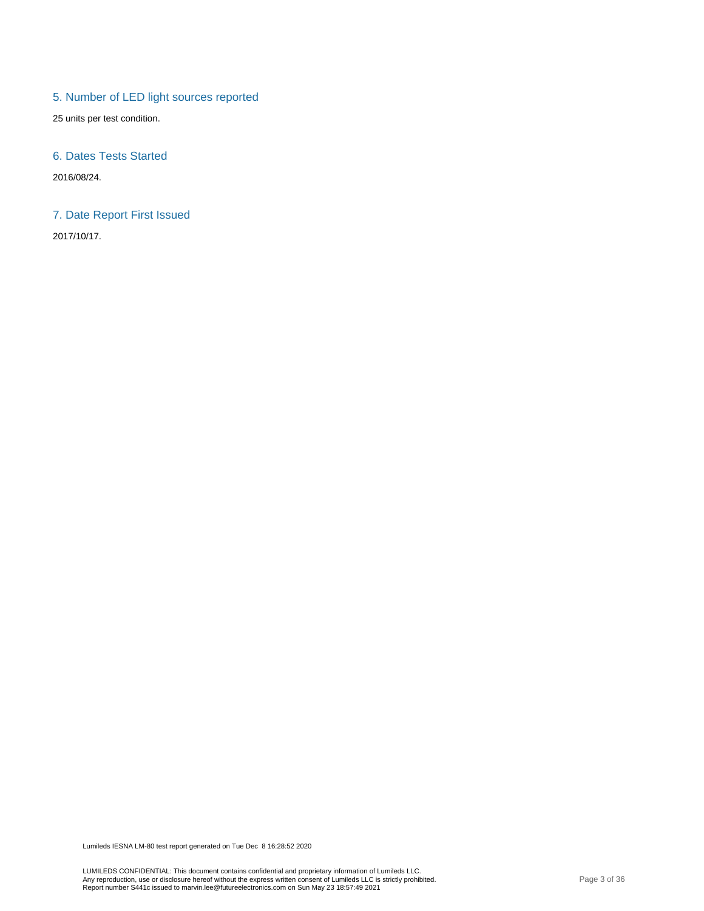## 5. Number of LED light sources reported

25 units per test condition.

#### 6. Dates Tests Started

2016/08/24.

#### 7. Date Report First Issued

2017/10/17.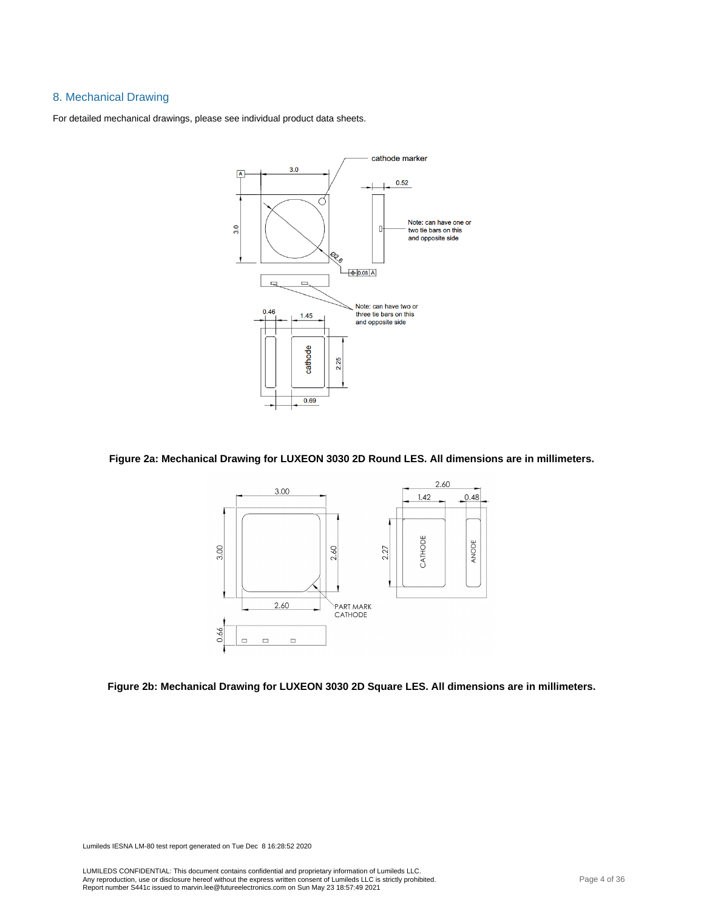#### 8. Mechanical Drawing

For detailed mechanical drawings, please see individual product data sheets.



#### **Figure 2a: Mechanical Drawing for LUXEON 3030 2D Round LES. All dimensions are in millimeters.**



**Figure 2b: Mechanical Drawing for LUXEON 3030 2D Square LES. All dimensions are in millimeters.**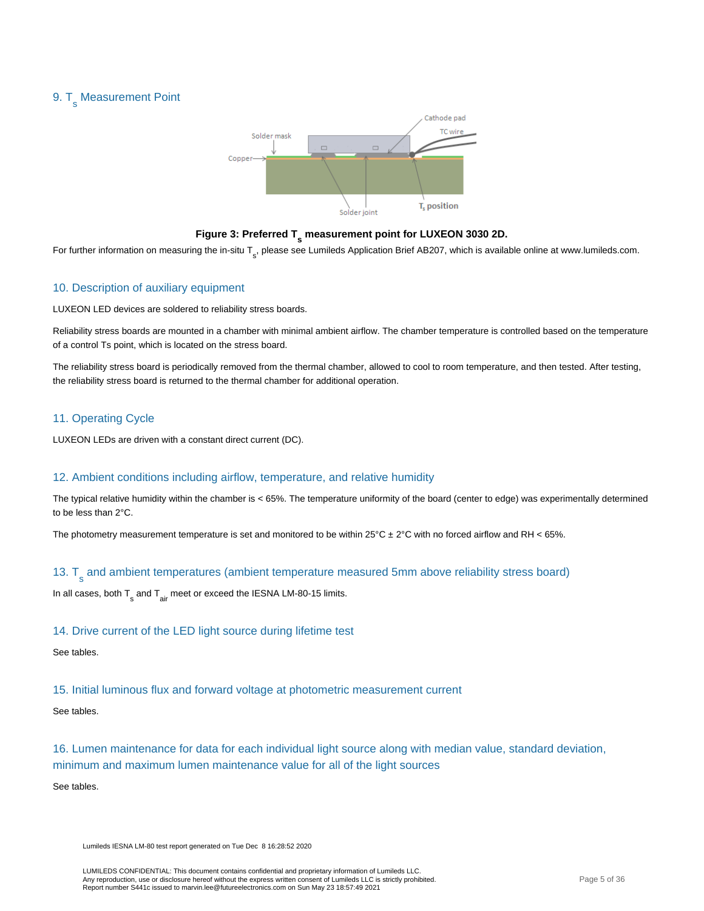# 9. T<sub>s</sub> Measurement Point



# **Figure 3: Preferred T s measurement point for LUXEON 3030 2D.**

For further information on measuring the in-situ T<sub>s</sub>, please see Lumileds Application Brief AB207, which is available online at www.lumileds.com.

#### 10. Description of auxiliary equipment

LUXEON LED devices are soldered to reliability stress boards.

Reliability stress boards are mounted in a chamber with minimal ambient airflow. The chamber temperature is controlled based on the temperature of a control Ts point, which is located on the stress board.

The reliability stress board is periodically removed from the thermal chamber, allowed to cool to room temperature, and then tested. After testing, the reliability stress board is returned to the thermal chamber for additional operation.

#### 11. Operating Cycle

LUXEON LEDs are driven with a constant direct current (DC).

#### 12. Ambient conditions including airflow, temperature, and relative humidity

The typical relative humidity within the chamber is < 65%. The temperature uniformity of the board (center to edge) was experimentally determined to be less than 2°C.

The photometry measurement temperature is set and monitored to be within  $25^{\circ}$ C ± 2°C with no forced airflow and RH < 65%.

# 13. T<sub>s</sub> and ambient temperatures (ambient temperature measured 5mm above reliability stress board)

In all cases, both  $\mathsf{T}_{_{\mathbf{S}}}$  and  $\mathsf{T}_{_{\mathbf{air}}}$  meet or exceed the IESNA LM-80-15 limits.

#### 14. Drive current of the LED light source during lifetime test

#### See tables.

#### 15. Initial luminous flux and forward voltage at photometric measurement current

#### See tables.

16. Lumen maintenance for data for each individual light source along with median value, standard deviation, minimum and maximum lumen maintenance value for all of the light sources

See tables.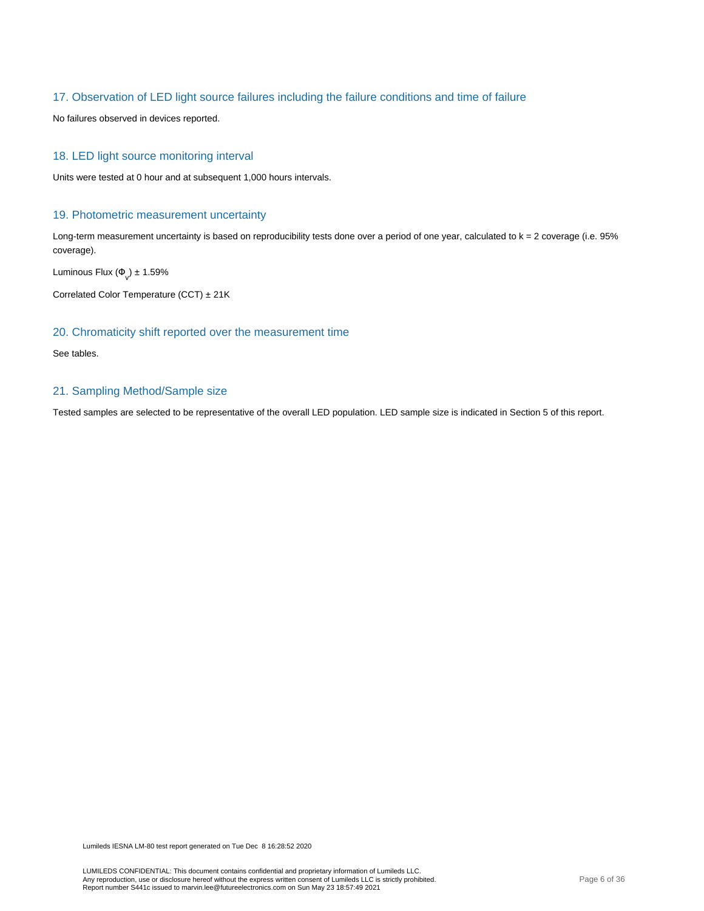#### 17. Observation of LED light source failures including the failure conditions and time of failure

No failures observed in devices reported.

#### 18. LED light source monitoring interval

Units were tested at 0 hour and at subsequent 1,000 hours intervals.

#### 19. Photometric measurement uncertainty

Long-term measurement uncertainty is based on reproducibility tests done over a period of one year, calculated to k = 2 coverage (i.e. 95% coverage).

Luminous Flux  $(\Phi_{\text{v}}) \pm 1.59\%$ 

Correlated Color Temperature (CCT) ± 21K

#### 20. Chromaticity shift reported over the measurement time

See tables.

#### 21. Sampling Method/Sample size

Tested samples are selected to be representative of the overall LED population. LED sample size is indicated in Section 5 of this report.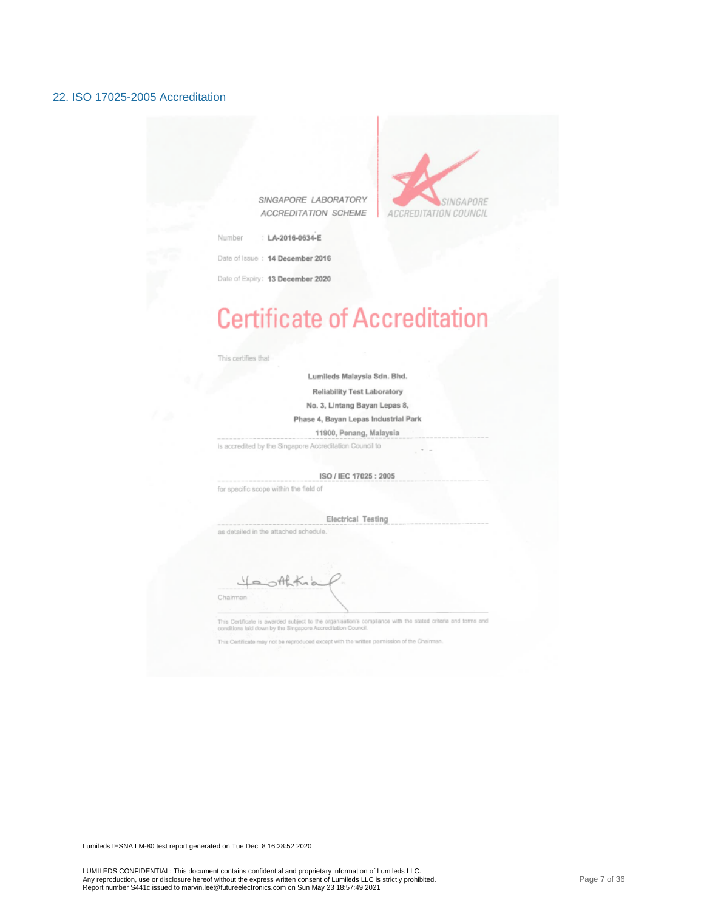#### 22. ISO 17025-2005 Accreditation

SINGAPORE LABORATORY ACCREDITATION SCHEME



LA-2016-0634-E Number

Date of Issue : 14 December 2016

Date of Expiry: 13 December 2020

# **Certificate of Accreditation**

This certifies that

Lumileds Malaysia Sdn. Bhd.

Reliability Test Laboratory

No. 3, Lintang Bayan Lepas 8,

Phase 4, Bayan Lepas Industrial Park

11900, Penang, Malaysia

is accredited by the Singapore Accreditation Council to

ISO / IEC 17025: 2005

for specific scope within the field of

**Electrical Testing** as detailed in the attached schedule.

Chairman

This Certificate is awarded subject to the organisation's compliance with the stated criteria and terms and<br>conditions laid down by the Singapore Accreditation Council.

This Certificate may not be reproduced except with the written permission of the Chain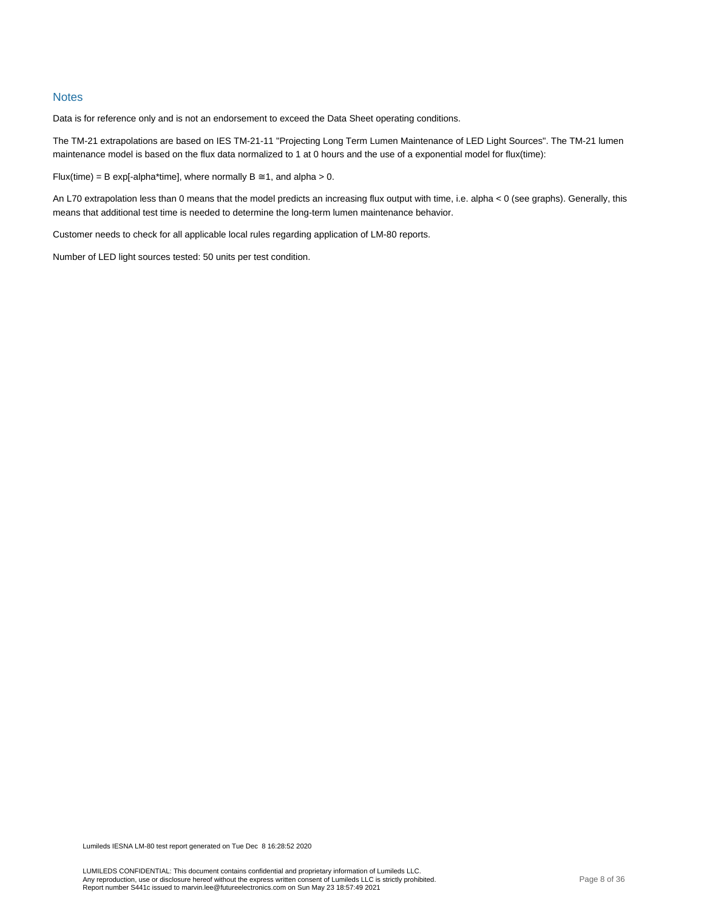#### **Notes**

Data is for reference only and is not an endorsement to exceed the Data Sheet operating conditions.

The TM-21 extrapolations are based on IES TM-21-11 "Projecting Long Term Lumen Maintenance of LED Light Sources". The TM-21 lumen maintenance model is based on the flux data normalized to 1 at 0 hours and the use of a exponential model for flux(time):

Flux(time) = B exp[-alpha\*time], where normally  $B \cong 1$ , and alpha > 0.

An L70 extrapolation less than 0 means that the model predicts an increasing flux output with time, i.e. alpha < 0 (see graphs). Generally, this means that additional test time is needed to determine the long-term lumen maintenance behavior.

Customer needs to check for all applicable local rules regarding application of LM-80 reports.

Number of LED light sources tested: 50 units per test condition.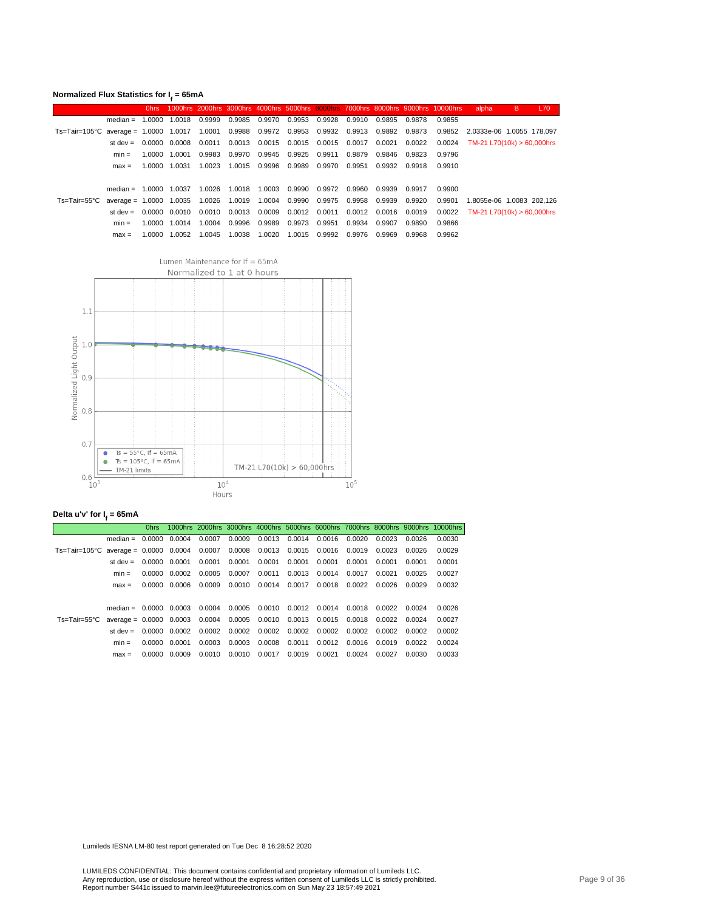|                                                                                               | Normalized Flux Statistics for $It = 65mA$<br>B.<br>L70<br>1000hrs 2000hrs 3000hrs 4000hrs 5000hrs 6000hrs 7000hrs 8000hrs 9000hrs 10000hrs<br>0 <sub>hrs</sub> |  |               |        |        |                 |                                                        |                      |        |        |                                                        |        |                                     |  |  |
|-----------------------------------------------------------------------------------------------|-----------------------------------------------------------------------------------------------------------------------------------------------------------------|--|---------------|--------|--------|-----------------|--------------------------------------------------------|----------------------|--------|--------|--------------------------------------------------------|--------|-------------------------------------|--|--|
|                                                                                               |                                                                                                                                                                 |  |               |        |        |                 |                                                        |                      |        |        |                                                        |        | alpha                               |  |  |
|                                                                                               | $median = 1.0000 1.0018$                                                                                                                                        |  |               | 0.9999 |        |                 | 0.9985  0.9970  0.9953  0.9928  0.9910                 |                      |        | 0.9895 | 0.9878                                                 | 0.9855 |                                     |  |  |
| Ts=Tair=105°C average = 1.0000 1.0017 1.0001 0.9988 0.9972 0.9953 0.9932 0.9913 0.9892 0.9873 |                                                                                                                                                                 |  |               |        |        |                 |                                                        |                      |        |        |                                                        |        | 0.9852 2.0333e-06 1.0055 178.097    |  |  |
|                                                                                               | st dev $=$                                                                                                                                                      |  | 0.0000 0.0008 | 0.0011 |        |                 |                                                        |                      |        |        | 0.0013  0.0015  0.0015  0.0015  0.0017  0.0021  0.0022 |        | $0.0024$ TM-21 L70(10k) > 60,000hrs |  |  |
|                                                                                               | $min =$                                                                                                                                                         |  | 1.0000 1.0001 | 0.9983 |        |                 | 0.9970 0.9945 0.9925 0.9911 0.9879                     |                      |        |        | 0.9846 0.9823                                          | 0.9796 |                                     |  |  |
|                                                                                               | $max =$                                                                                                                                                         |  | 1.0000 1.0031 | 1.0023 |        | 1.0015 0.9996   | 0.9989                                                 | 0.9970               | 0.9951 |        | 0.9932 0.9918                                          | 0.9910 |                                     |  |  |
|                                                                                               |                                                                                                                                                                 |  |               |        |        |                 |                                                        |                      |        |        |                                                        |        |                                     |  |  |
|                                                                                               | median = $1.0000$ 1.0037                                                                                                                                        |  |               | 1.0026 |        | 1.0018 1.0003   | 0.9990                                                 | 0.9972 0.9960        |        | 0.9939 | 0.9917                                                 | 0.9900 |                                     |  |  |
| $Ts = Tair = 55°C$                                                                            | average = 1.0000 1.0035 1.0026                                                                                                                                  |  |               |        |        |                 | 1.0019  1.0004  0.9990  0.9975  0.9958                 |                      |        |        | 0.9939  0.9920                                         | 0.9901 | 1.8055e-06 1.0083 202.126           |  |  |
|                                                                                               | st dev $=$                                                                                                                                                      |  | 0.0000 0.0010 | 0.0010 |        |                 | 0.0013  0.0009  0.0012  0.0011  0.0012  0.0016  0.0019 |                      |        |        |                                                        |        | $0.0022$ TM-21 L70(10k) > 60,000hrs |  |  |
|                                                                                               | $min =$                                                                                                                                                         |  | 1.0000 1.0014 | 1.0004 |        | 0.9996   0.9989 |                                                        | 0.9973 0.9951 0.9934 |        | 0.9907 | 0.9890                                                 | 0.9866 |                                     |  |  |
|                                                                                               | $max =$                                                                                                                                                         |  | 1.0000 1.0052 | 1.0045 | 1.0038 | 1.0020          | 1.0015                                                 | 0.9992               | 0.9976 | 0.9969 | 0.9968                                                 | 0.9962 |                                     |  |  |
|                                                                                               |                                                                                                                                                                 |  |               |        |        |                 |                                                        |                      |        |        |                                                        |        |                                     |  |  |



#### **Delta u'v' for I<sup>f</sup> = 65mA**

|                                                                                 |                                                                            | 0hrs |               |        |                      |        |               |                                    |               |                   |        | 1000hrs 2000hrs 3000hrs 4000hrs 5000hrs 6000hrs 7000hrs 8000hrs 9000hrs 10000hrs |
|---------------------------------------------------------------------------------|----------------------------------------------------------------------------|------|---------------|--------|----------------------|--------|---------------|------------------------------------|---------------|-------------------|--------|----------------------------------------------------------------------------------|
|                                                                                 | median = $0.0000$ $0.0004$                                                 |      |               | 0.0007 | 0.0009               |        |               | 0.0013 0.0014 0.0016 0.0020 0.0023 |               |                   | 0.0026 | 0.0030                                                                           |
| Ts=Tair=105°C average = 0.0000 0.0004 0.0007 0.0008 0.0013 0.0015 0.0016 0.0019 |                                                                            |      |               |        |                      |        |               |                                    |               | 0.0023            | 0.0026 | 0.0029                                                                           |
|                                                                                 | st dev $=$                                                                 |      | 0.0000 0.0001 | 0.0001 | 0.0001               | 0.0001 | 0.0001        | 0.0001                             | 0.0001        | 0.0001            | 0.0001 | 0.0001                                                                           |
|                                                                                 | $min =$                                                                    |      | 0.0000 0.0002 | 0.0005 | 0.0007               | 0.0011 | 0.0013        | 0.0014                             | 0.0017 0.0021 |                   | 0.0025 | 0.0027                                                                           |
|                                                                                 | $max =$                                                                    |      | 0.0000 0.0006 | 0.0009 | 0.0010               |        | 0.0014 0.0017 | 0.0018                             | 0.0022 0.0026 |                   | 0.0029 | 0.0032                                                                           |
|                                                                                 |                                                                            |      |               |        |                      |        |               |                                    |               |                   |        |                                                                                  |
|                                                                                 | median = $0.0000$ $0.0003$                                                 |      |               | 0.0004 | 0.0005               |        |               | 0.0010 0.0012 0.0014 0.0018 0.0022 |               |                   | 0.0024 | 0.0026                                                                           |
| Ts=Tair=55°C                                                                    | $average = 0.0000$ 0.0003 0.0004 0.0005 0.0010 0.0013 0.0015 0.0018 0.0022 |      |               |        |                      |        |               |                                    |               |                   | 0.0024 | 0.0027                                                                           |
|                                                                                 | st dev $=$                                                                 |      | 0.0000 0.0002 | 0.0002 | 0.0002 0.0002 0.0002 |        |               | 0.0002                             |               | $0.0002$ $0.0002$ | 0.0002 | 0.0002                                                                           |
|                                                                                 | $min =$                                                                    |      | 0.0000 0.0001 | 0.0003 | 0.0003               | 0.0008 | 0.0011        | 0.0012 0.0016 0.0019               |               |                   | 0.0022 | 0.0024                                                                           |
|                                                                                 | $max =$                                                                    |      | 0.0000 0.0009 | 0.0010 | 0.0010               | 0.0017 | 0.0019        | 0.0021                             | 0.0024        | 0.0027            | 0.0030 | 0.0033                                                                           |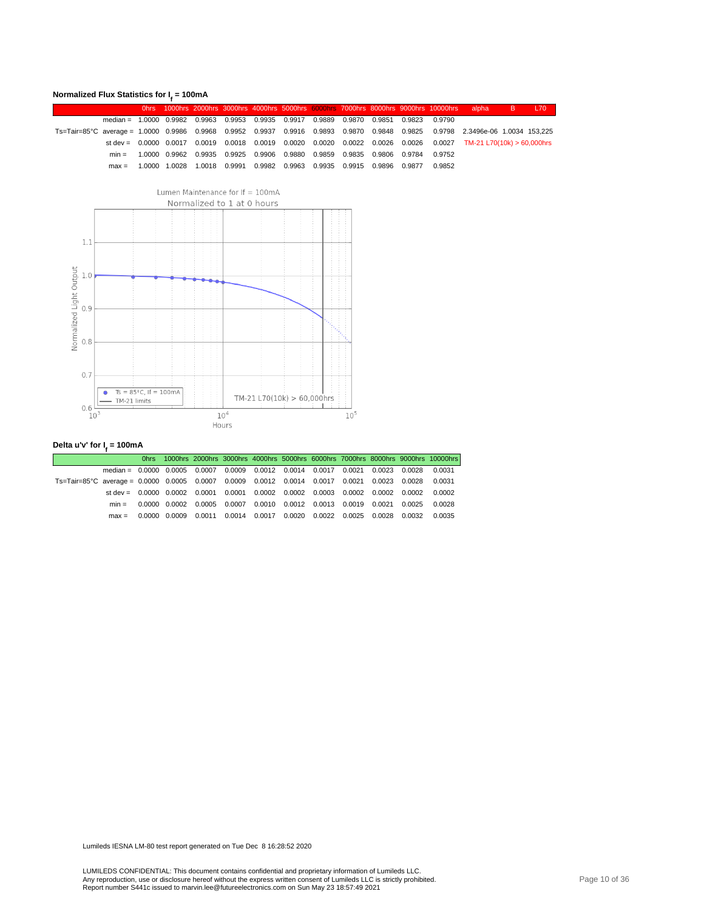#### **Normalized Flux Statistics for I<sup>f</sup> = 100mA**

|                                                                                                                               |                                                                                       |  |  |                                                                                     |  |  |        | Ohrs 1000hrs 2000hrs 3000hrs 4000hrs 5000hrs 6000hrs 7000hrs 8000hrs 9000hrs 10000hrs alpha B L70                |  |
|-------------------------------------------------------------------------------------------------------------------------------|---------------------------------------------------------------------------------------|--|--|-------------------------------------------------------------------------------------|--|--|--------|------------------------------------------------------------------------------------------------------------------|--|
|                                                                                                                               | median = 1,0000 0,9982 0,9963 0,9953 0,9935 0,9917 0,9889 0,9870 0,9851 0,9823 0,9790 |  |  |                                                                                     |  |  |        |                                                                                                                  |  |
| Ts=Tair=85°C average = 1.0000 0.9986 0.9968 0.9952 0.9937 0.9916 0.9893 0.9870 0.9848 0.9825 0.9798 2.3496e-06 1.0034 153,225 |                                                                                       |  |  |                                                                                     |  |  |        |                                                                                                                  |  |
|                                                                                                                               |                                                                                       |  |  |                                                                                     |  |  |        | st dev = 0.0000 0.0017 0.0019 0.0018 0.0019 0.0020 0.0020 0.0022 0.0026 0.0026 0.0027 TM-21 L70(10k) > 60,000hrs |  |
|                                                                                                                               |                                                                                       |  |  | min =  1.0000 0.9962 0.9935 0.9925 0.9906 0.9880 0.9859 0.9835 0.9806 0.9784 0.9752 |  |  |        |                                                                                                                  |  |
|                                                                                                                               |                                                                                       |  |  | max = 1.0000 1.0028 1.0018 0.9991 0.9982 0.9963 0.9935 0.9915 0.9896 0.9877         |  |  | 0.9852 |                                                                                                                  |  |



#### **Delta u'v' for I<sup>f</sup> = 100mA**

|                                                                                              |                                                                                       |  |                                                                                                    |  |  |  | Ohrs 1000hrs 2000hrs 3000hrs 4000hrs 5000hrs 6000hrs 7000hrs 8000hrs 9000hrs 10000hrs |
|----------------------------------------------------------------------------------------------|---------------------------------------------------------------------------------------|--|----------------------------------------------------------------------------------------------------|--|--|--|---------------------------------------------------------------------------------------|
|                                                                                              | median = 0.0000 0.0005 0.0007 0.0009 0.0012 0.0014 0.0017 0.0021 0.0023 0.0028 0.0031 |  |                                                                                                    |  |  |  |                                                                                       |
| Ts=Tair=85°C average = 0.0000 0.0005 0.0007 0.0009 0.0012 0.0014 0.0017 0.0021 0.0023 0.0028 |                                                                                       |  |                                                                                                    |  |  |  | 0.0031                                                                                |
|                                                                                              | st dev = 0.0000 0.0002 0.0001 0.0001 0.0002 0.0002 0.0003 0.0002 0.0002 0.0002 0.0002 |  |                                                                                                    |  |  |  |                                                                                       |
|                                                                                              | $min =$                                                                               |  | $0.0000$ $0.0002$ $0.0005$ $0.0007$ $0.0010$ $0.0012$ $0.0013$ $0.0019$ $0.0021$ $0.0025$ $0.0028$ |  |  |  |                                                                                       |
|                                                                                              | $max =$                                                                               |  | $0.0000$ $0.0009$ $0.0011$ $0.0014$ $0.0017$ $0.0020$ $0.0022$ $0.0025$ $0.0028$ $0.0032$          |  |  |  | 0.0035                                                                                |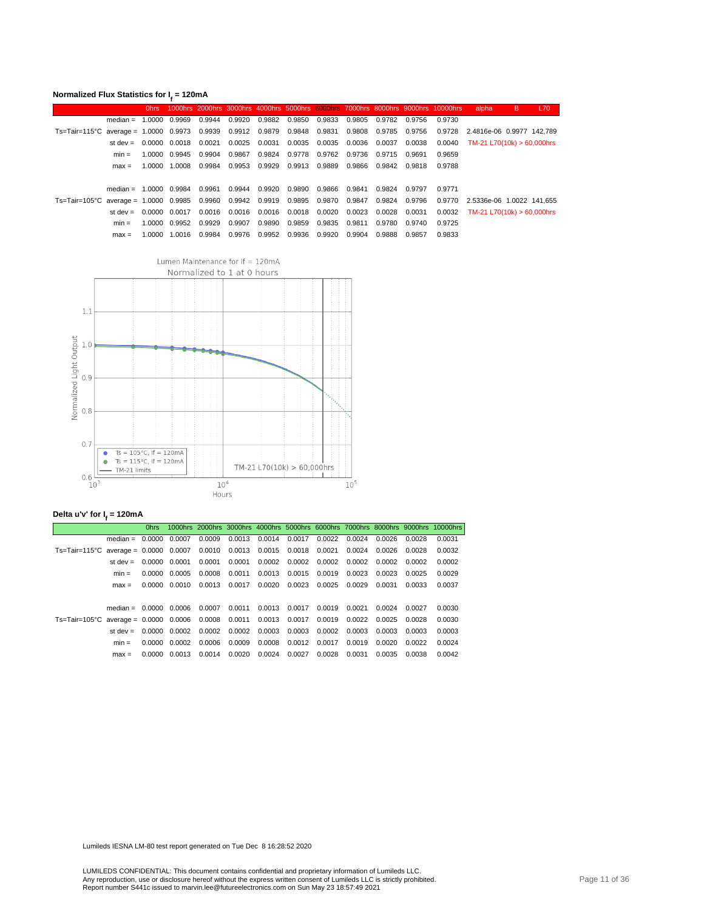| Normalized Flux Statistics for $Ir = 120mA$ |  |  |  |  |  |
|---------------------------------------------|--|--|--|--|--|
|---------------------------------------------|--|--|--|--|--|

|                                                                                               |                                     | 0hrs |                      |        |        |                                        |               |        |        |        | 1000hrs 2000hrs 3000hrs 4000hrs 5000hrs 6000hrs 7000hrs 8000hrs 9000hrs 10000hrs | alpha                            | B | L70 |
|-----------------------------------------------------------------------------------------------|-------------------------------------|------|----------------------|--------|--------|----------------------------------------|---------------|--------|--------|--------|----------------------------------------------------------------------------------|----------------------------------|---|-----|
|                                                                                               | median = $1.0000$ 0.9969            |      |                      | 0.9944 | 0.9920 | 0.9882 0.9850                          | 0.9833        | 0.9805 | 0.9782 | 0.9756 | 0.9730                                                                           |                                  |   |     |
| Ts=Tair=115°C average = 1.0000 0.9973 0.9939 0.9912 0.9879 0.9848 0.9831 0.9808 0.9785 0.9756 |                                     |      |                      |        |        |                                        |               |        |        |        |                                                                                  | 0.9728 2.4816e-06 0.9977 142.789 |   |     |
|                                                                                               | st dev = $0.0000$ $0.0018$ $0.0021$ |      |                      |        |        | 0.0025  0.0031  0.0035  0.0035  0.0036 |               |        | 0.0037 | 0.0038 | 0.0040                                                                           | TM-21 L70(10k) > 60.000hrs       |   |     |
|                                                                                               | $min =$                             |      | 1.0000 0.9945 0.9904 |        | 0.9867 | 0.9824 0.9778 0.9762 0.9736            |               |        | 0.9715 | 0.9691 | 0.9659                                                                           |                                  |   |     |
|                                                                                               | $max =$                             |      | 1.0000 1.0008        | 0.9984 |        | 0.9953 0.9929 0.9913 0.9889            |               | 0.9866 | 0.9842 | 0.9818 | 0.9788                                                                           |                                  |   |     |
|                                                                                               |                                     |      |                      |        |        |                                        |               |        |        |        |                                                                                  |                                  |   |     |
|                                                                                               | median = $1.0000$ 0.9984            |      |                      | 0.9961 | 0.9944 | 0.9920 0.9890                          | 0.9866 0.9841 |        | 0.9824 | 0.9797 | 0.9771                                                                           |                                  |   |     |
| Ts=Tair=105°C average = 1.0000 0.9985 0.9960 0.9942 0.9919 0.9895 0.9870 0.9847 0.9824        |                                     |      |                      |        |        |                                        |               |        |        | 0.9796 |                                                                                  | 0.9770 2.5336e-06 1.0022 141.655 |   |     |
|                                                                                               | st dev $=$                          |      | 0.0000 0.0017        | 0.0016 |        | 0.0016  0.0016  0.0018  0.0020  0.0023 |               |        | 0.0028 | 0.0031 | 0.0032                                                                           | TM-21 L70(10k) > 60.000hrs       |   |     |
|                                                                                               | $min =$                             |      | 1.0000 0.9952 0.9929 |        | 0.9907 | 0.9890 0.9859                          | 0.9835 0.9811 |        | 0.9780 | 0.9740 | 0.9725                                                                           |                                  |   |     |
|                                                                                               | $max =$                             |      | 1.0000 1.0016        | 0.9984 | 0.9976 | 0.9952 0.9936                          | 0.9920        | 0.9904 | 0.9888 | 0.9857 | 0.9833                                                                           |                                  |   |     |



#### **Delta u'v' for I<sup>f</sup> = 120mA**

|                                                                                 |                          | 0hrs.         |               |        |                      |        |                       |                                           |               |        |        | 1000hrs 2000hrs 3000hrs 4000hrs 5000hrs 6000hrs 7000hrs 8000hrs 9000hrs 10000hrs |
|---------------------------------------------------------------------------------|--------------------------|---------------|---------------|--------|----------------------|--------|-----------------------|-------------------------------------------|---------------|--------|--------|----------------------------------------------------------------------------------|
|                                                                                 | $median = 0.0000 0.0007$ |               |               | 0.0009 |                      |        |                       | 0.0013 0.0014 0.0017 0.0022 0.0024 0.0026 |               |        | 0.0028 | 0.0031                                                                           |
| Ts=Tair=115°C average = 0.0000 0.0007 0.0010 0.0013 0.0015 0.0018 0.0021        |                          |               |               |        |                      |        |                       |                                           | 0.0024 0.0026 |        | 0.0028 | 0.0032                                                                           |
|                                                                                 | st dev $=$               | 0.0000 0.0001 |               | 0.0001 | 0.0001               |        | 0.0002 0.0002         | 0.0002 0.0002                             |               | 0.0002 | 0.0002 | 0.0002                                                                           |
|                                                                                 | $min =$                  |               | 0.0000 0.0005 | 0.0008 | 0.0011               |        |                       | 0.0013 0.0015 0.0019 0.0023               |               | 0.0023 | 0.0025 | 0.0029                                                                           |
|                                                                                 | $max =$                  |               | 0.0000 0.0010 | 0.0013 | 0.0017               |        | $0.0020 \quad 0.0023$ | 0.0025                                    | 0.0029        | 0.0031 | 0.0033 | 0.0037                                                                           |
|                                                                                 |                          |               |               |        |                      |        |                       |                                           |               |        |        |                                                                                  |
|                                                                                 | $median = 0.0000 0.0006$ |               |               | 0.0007 | 0.0011               |        | 0.0013 0.0017         | 0.0019                                    | 0.0021        | 0.0024 | 0.0027 | 0.0030                                                                           |
| Ts=Tair=105°C average = 0.0000 0.0006 0.0008 0.0011 0.0013 0.0017 0.0019 0.0022 |                          |               |               |        |                      |        |                       |                                           |               | 0.0025 | 0.0028 | 0.0030                                                                           |
|                                                                                 | st dev $=$               |               | 0.0000 0.0002 | 0.0002 | 0.0002 0.0003 0.0003 |        |                       | 0.0002                                    | 0.0003        | 0.0003 | 0.0003 | 0.0003                                                                           |
|                                                                                 | $min =$                  |               | 0.0000 0.0002 | 0.0006 | 0.0009               |        | 0.0008 0.0012         | 0.0017                                    | 0.0019        | 0.0020 | 0.0022 | 0.0024                                                                           |
|                                                                                 | $max =$                  |               | 0.0000 0.0013 | 0.0014 | 0.0020               | 0.0024 | 0.0027                | 0.0028                                    | 0.0031        | 0.0035 | 0.0038 | 0.0042                                                                           |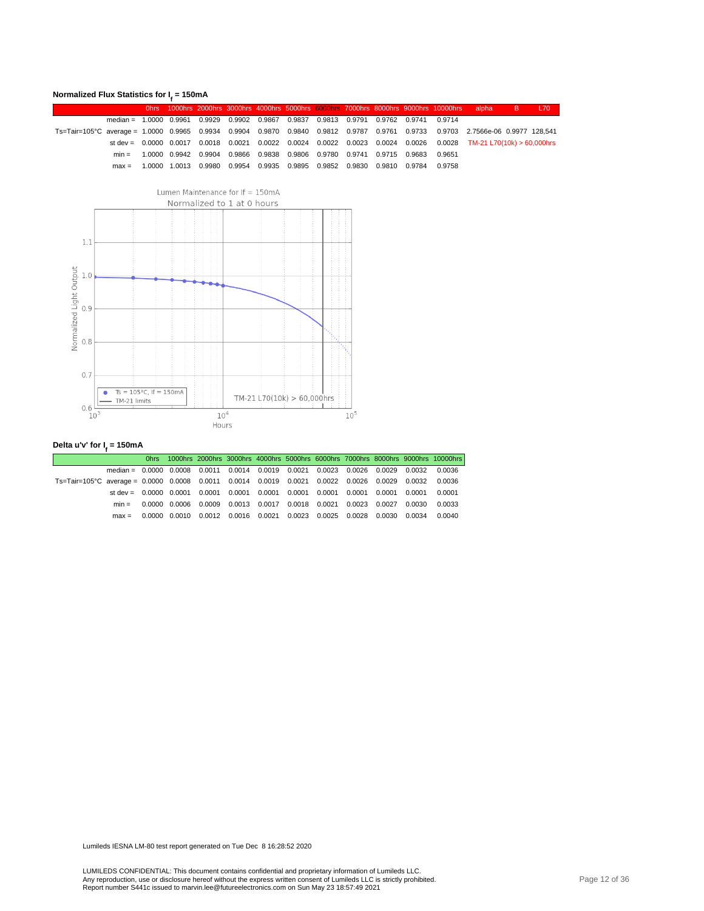#### **Normalized Flux Statistics for I<sup>f</sup> = 150mA**

|                                                                                                                                |                                                                                       |  |  |                                                                                     |  |  |  | <u>Dhrs 1000hrs 2000hrs 3000hrs 4000hrs 5000hrs 6000hrs 7000hrs 8000hrs 9000hrs 10000hrs alpha BBBE L70,</u>     |  |
|--------------------------------------------------------------------------------------------------------------------------------|---------------------------------------------------------------------------------------|--|--|-------------------------------------------------------------------------------------|--|--|--|------------------------------------------------------------------------------------------------------------------|--|
|                                                                                                                                | median = 1,0000 0.9961 0.9929 0.9902 0.9867 0.9837 0.9813 0.9791 0.9762 0.9741 0.9714 |  |  |                                                                                     |  |  |  |                                                                                                                  |  |
| Ts=Tair=105°C average = 1.0000 0.9965 0.9934 0.9904 0.9870 0.9840 0.9812 0.9787 0.9761 0.9733 0.9703 2.7566e-06 0.9977 128,541 |                                                                                       |  |  |                                                                                     |  |  |  |                                                                                                                  |  |
|                                                                                                                                |                                                                                       |  |  |                                                                                     |  |  |  | st dev = 0.0000 0.0017 0.0018 0.0021 0.0022 0.0024 0.0022 0.0023 0.0024 0.0026 0.0028 TM-21 L70(10k) > 60,000hrs |  |
|                                                                                                                                |                                                                                       |  |  | min =  1.0000 0.9942 0.9904 0.9866 0.9838 0.9806 0.9780 0.9741 0.9715 0.9683 0.9651 |  |  |  |                                                                                                                  |  |
|                                                                                                                                |                                                                                       |  |  | max = 1.0000 1.0013 0.9980 0.9954 0.9935 0.9895 0.9852 0.9830 0.9810 0.9784 0.9758  |  |  |  |                                                                                                                  |  |



#### **Delta u'v' for I<sup>f</sup> = 150mA**

|                                                                                                      |                                                                                       |  |  |  |                                                                                           |  | Ohrs 1000hrs 2000hrs 3000hrs 4000hrs 5000hrs 6000hrs 7000hrs 8000hrs 9000hrs 10000hrs |
|------------------------------------------------------------------------------------------------------|---------------------------------------------------------------------------------------|--|--|--|-------------------------------------------------------------------------------------------|--|---------------------------------------------------------------------------------------|
|                                                                                                      | median = 0.0000 0.0008 0.0011 0.0014 0.0019 0.0021 0.0023 0.0026 0.0029 0.0032 0.0036 |  |  |  |                                                                                           |  |                                                                                       |
| Ts=Tair=105°C average = 0.0000 0.0008 0.0011 0.0014 0.0019 0.0021 0.0022 0.0026 0.0029 0.0032 0.0036 |                                                                                       |  |  |  |                                                                                           |  |                                                                                       |
|                                                                                                      | st dev = 0.0000 0.0001 0.0001 0.0001 0.0001 0.0001 0.0001 0.0001 0.0001 0.0001        |  |  |  |                                                                                           |  | 0.0001                                                                                |
|                                                                                                      | $min =$                                                                               |  |  |  | $0.0000$ $0.0006$ $0.0009$ $0.0013$ $0.0017$ $0.0018$ $0.0021$ $0.0023$ $0.0027$ $0.0030$ |  | 0.0033                                                                                |
|                                                                                                      |                                                                                       |  |  |  | max = 0.0000 0.0010 0.0012 0.0016 0.0021 0.0023 0.0025 0.0028 0.0030 0.0034               |  | 0.0040                                                                                |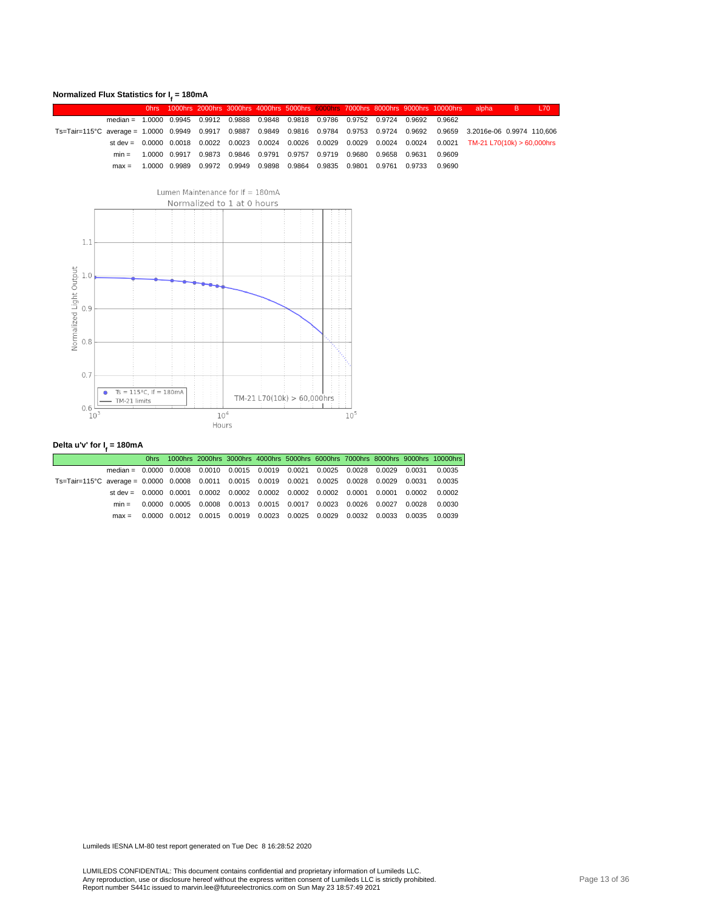#### **Normalized Flux Statistics for I<sup>f</sup> = 180mA**

|                                                                                                                                |                                                                                       |  |  |                                                                                     |  |  | Ohrs 1000hrs 2000hrs 3000hrs 4000hrs 5000hrs 6000hrs 7000hrs 8000hrs 9000hrs 10000hrs alpha B L70                |  |
|--------------------------------------------------------------------------------------------------------------------------------|---------------------------------------------------------------------------------------|--|--|-------------------------------------------------------------------------------------|--|--|------------------------------------------------------------------------------------------------------------------|--|
|                                                                                                                                | median = 1,0000 0,9945 0,9912 0,9888 0,9848 0,9818 0,9786 0,9752 0,9724 0,9692 0,9662 |  |  |                                                                                     |  |  |                                                                                                                  |  |
| Ts=Tair=115°C average = 1.0000 0.9949 0.9917 0.9887 0.9849 0.9816 0.9784 0.9753 0.9724 0.9692 0.9659 3.2016e-06 0.9974 110,606 |                                                                                       |  |  |                                                                                     |  |  |                                                                                                                  |  |
|                                                                                                                                |                                                                                       |  |  |                                                                                     |  |  | st dev = 0.0000 0.0018 0.0022 0.0023 0.0024 0.0026 0.0029 0.0029 0.0024 0.0024 0.0021 TM-21 L70(10k) > 60,000hrs |  |
|                                                                                                                                |                                                                                       |  |  | min =  1.0000 0.9917 0.9873 0.9846 0.9791 0.9757 0.9719 0.9680 0.9658 0.9631 0.9609 |  |  |                                                                                                                  |  |
|                                                                                                                                |                                                                                       |  |  | max = 1.0000 0.9989 0.9972 0.9949 0.9898 0.9864 0.9835 0.9801 0.9761 0.9733 0.9690  |  |  |                                                                                                                  |  |



#### **Delta u'v' for I<sup>f</sup> = 180mA**

|                                                                                               |                                                                                       |  |  |  |  |                                                                                                    | Ohrs 1000hrs 2000hrs 3000hrs 4000hrs 5000hrs 6000hrs 7000hrs 8000hrs 9000hrs 10000hrs |
|-----------------------------------------------------------------------------------------------|---------------------------------------------------------------------------------------|--|--|--|--|----------------------------------------------------------------------------------------------------|---------------------------------------------------------------------------------------|
|                                                                                               | median = 0.0000 0.0008 0.0010 0.0015 0.0019 0.0021 0.0025 0.0028 0.0029 0.0031 0.0035 |  |  |  |  |                                                                                                    |                                                                                       |
| Ts=Tair=115°C average = 0.0000 0.0008 0.0011 0.0015 0.0019 0.0021 0.0025 0.0028 0.0029 0.0031 |                                                                                       |  |  |  |  |                                                                                                    | 0.0035                                                                                |
|                                                                                               | st dev = 0.0000 0.0001 0.0002 0.0002 0.0002 0.0002 0.0002 0.0001 0.0001 0.0002        |  |  |  |  |                                                                                                    | 0.0002                                                                                |
|                                                                                               |                                                                                       |  |  |  |  | min = 0.0000 0.0005 0.0008 0.0013 0.0015 0.0017 0.0023 0.0026 0.0027 0.0028 0.0030                 |                                                                                       |
|                                                                                               | $max =$                                                                               |  |  |  |  | $0.0000$ $0.0012$ $0.0015$ $0.0019$ $0.0023$ $0.0025$ $0.0029$ $0.0032$ $0.0033$ $0.0035$ $0.0039$ |                                                                                       |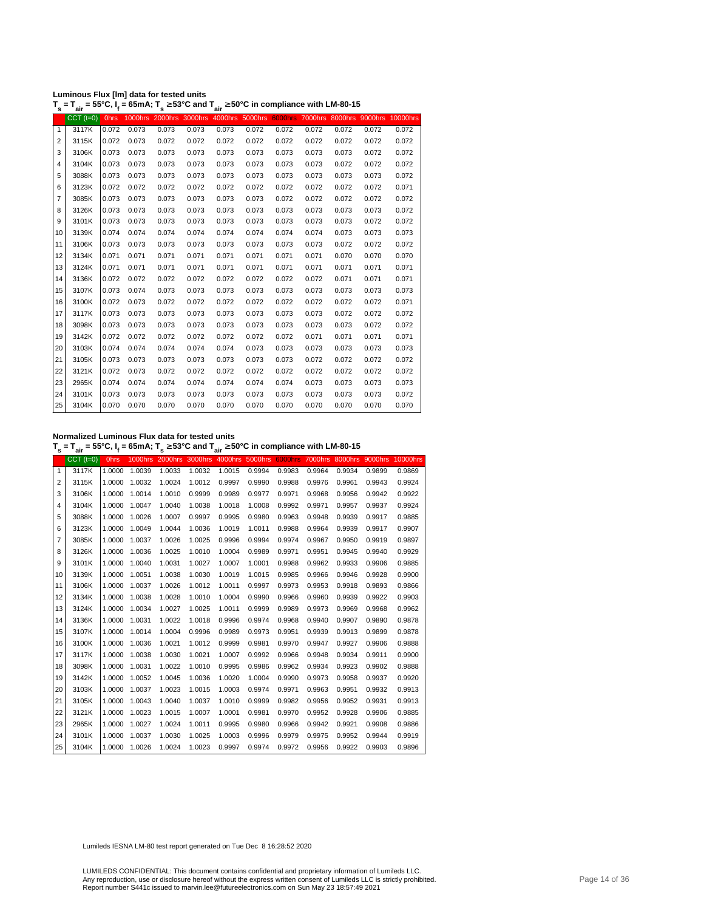| Luminous Flux [Im] data for tested units |                                                                                                                                                |
|------------------------------------------|------------------------------------------------------------------------------------------------------------------------------------------------|
|                                          | T <sub>s</sub> = T <sub>air</sub> = 55°C, I <sub>f</sub> = 65mA; T <sub>s</sub> ≥ 53°C and T <sub>air</sub> ≥ 50°C in compliance with LM-80-15 |

|                | aıı         |             |       |                |       | all             |       |       |       |       |       |                                                          |
|----------------|-------------|-------------|-------|----------------|-------|-----------------|-------|-------|-------|-------|-------|----------------------------------------------------------|
|                | $CCT$ (t=0) | <b>Ohrs</b> |       |                |       |                 |       |       |       |       |       |                                                          |
| $\mathbf{1}$   | 3117K       | 0.072       | 0.073 | 0.073          | 0.073 | 0.073           | 0.072 | 0.072 | 0.072 | 0.072 | 0.072 | 0.072                                                    |
| $\overline{2}$ | 3115K       | 0.072       | 0.073 | 0.072          | 0.072 | 0.072           | 0.072 | 0.072 | 0.072 | 0.072 | 0.072 | 0.072                                                    |
| 3              | 3106K       | 0.073       | 0.073 | 0.073          | 0.073 | 0.073           | 0.073 | 0.073 | 0.073 | 0.073 | 0.072 | 0.072                                                    |
| 4              | 3104K       | 0.073       | 0.073 | 0.073          | 0.073 | 0.073           | 0.073 | 0.073 | 0.073 | 0.072 | 0.072 | 0.072                                                    |
| 5              | 3088K       | 0.073       | 0.073 | 0.073          | 0.073 | 0.073           | 0.073 | 0.073 | 0.073 | 0.073 | 0.073 | 0.072                                                    |
| 6              | 3123K       | 0.072       | 0.072 | 0.072          | 0.072 | 0.072           | 0.072 | 0.072 | 0.072 | 0.072 | 0.072 | 0.071                                                    |
| 7              | 3085K       | 0.073       | 0.073 | 0.073          | 0.073 | 0.073           | 0.073 | 0.072 | 0.072 | 0.072 | 0.072 | 0.072                                                    |
| 8              | 3126K       | 0.073       | 0.073 | 0.073          | 0.073 | 0.073           | 0.073 | 0.073 | 0.073 | 0.073 | 0.073 | 0.072                                                    |
| 9              | 3101K       | 0.073       | 0.073 | 0.073          | 0.073 | 0.073           | 0.073 | 0.073 | 0.073 | 0.073 | 0.072 | 0.072                                                    |
| 10             | 3139K       | 0.074       | 0.074 | 0.074          | 0.074 | 0.074           | 0.074 | 0.074 | 0.074 | 0.073 | 0.073 | 0.073                                                    |
| 11             | 3106K       | 0.073       | 0.073 | 0.073          | 0.073 | 0.073           | 0.073 | 0.073 | 0.073 | 0.072 | 0.072 | 0.072                                                    |
| 12             | 3134K       | 0.071       | 0.071 | 0.071          | 0.071 | 0.071           | 0.071 | 0.071 | 0.071 | 0.070 | 0.070 | 0.070                                                    |
| 13             | 3124K       | 0.071       | 0.071 | 0.071          | 0.071 | 0.071           | 0.071 | 0.071 | 0.071 | 0.071 | 0.071 | 0.071                                                    |
| 14             | 3136K       | 0.072       | 0.072 | 0.072          | 0.072 | 0.072           | 0.072 | 0.072 | 0.072 | 0.071 | 0.071 | 0.071                                                    |
| 15             | 3107K       | 0.073       | 0.074 | 0.073          | 0.073 | 0.073           | 0.073 | 0.073 | 0.073 | 0.073 | 0.073 | 0.073                                                    |
| 16             | 3100K       | 0.072       | 0.073 | 0.072          | 0.072 | 0.072           | 0.072 | 0.072 | 0.072 | 0.072 | 0.072 | 0.071                                                    |
| 17             | 3117K       | 0.073       | 0.073 | 0.073          | 0.073 | 0.073           | 0.073 | 0.073 | 0.073 | 0.072 | 0.072 | 0.072                                                    |
| 18             | 3098K       | 0.073       | 0.073 | 0.073          | 0.073 | 0.073           | 0.073 | 0.073 | 0.073 | 0.073 | 0.072 | 0.072                                                    |
| 19             | 3142K       | 0.072       | 0.072 | 0.072          | 0.072 | 0.072           | 0.072 | 0.072 | 0.071 | 0.071 | 0.071 | 0.071                                                    |
| 20             | 3103K       | 0.074       | 0.074 | 0.074          | 0.074 | 0.074           | 0.073 | 0.073 | 0.073 | 0.073 | 0.073 | 0.073                                                    |
| 21             | 3105K       | 0.073       | 0.073 | 0.073          | 0.073 | 0.073           | 0.073 | 0.073 | 0.072 | 0.072 | 0.072 | 0.072                                                    |
| 22             | 3121K       | 0.072       | 0.073 | 0.072          | 0.072 | 0.072           | 0.072 | 0.072 | 0.072 | 0.072 | 0.072 | 0.072                                                    |
| 23             | 2965K       | 0.074       | 0.074 | 0.074          | 0.074 | 0.074           | 0.074 | 0.074 | 0.073 | 0.073 | 0.073 | 0.073                                                    |
| 24             | 3101K       | 0.073       | 0.073 | 0.073          | 0.073 | 0.073           | 0.073 | 0.073 | 0.073 | 0.073 | 0.073 | 0.072                                                    |
| 25             | 3104K       | 0.070       | 0.070 | 0.070          | 0.070 | 0.070           | 0.070 | 0.070 | 0.070 | 0.070 | 0.070 | 0.070                                                    |
|                |             |             |       | <b>1000hrs</b> |       | 2000hrs 3000hrs |       |       |       |       |       | 4000hrs 5000hrs 6000hrs 7000hrs 8000hrs 9000hrs 10000hrs |

**Normalized Luminous Flux data for tested units**

**T s = Tair = 55°C, I<sup>f</sup> = 65mA; T s** <sup>≥</sup> **53°C and Tair** <sup>≥</sup> **50°C in compliance with LM-80-15**

|                | $CCT$ ( $t=0$ ) | <b>Ohrs</b> |               |        |        |        |        |        |        |        |        | 1000hrs 2000hrs 3000hrs 4000hrs 5000hrs 6000hrs 7000hrs 8000hrs 9000hrs 10000hrs |
|----------------|-----------------|-------------|---------------|--------|--------|--------|--------|--------|--------|--------|--------|----------------------------------------------------------------------------------|
| $\mathbf{1}$   | 3117K           | 1.0000      | 1.0039        | 1.0033 | 1.0032 | 1.0015 | 0.9994 | 0.9983 | 0.9964 | 0.9934 | 0.9899 | 0.9869                                                                           |
| $\overline{2}$ | 3115K           | 1.0000      | 1.0032        | 1.0024 | 1.0012 | 0.9997 | 0.9990 | 0.9988 | 0.9976 | 0.9961 | 0.9943 | 0.9924                                                                           |
| 3              | 3106K           | 1.0000      | 1.0014        | 1.0010 | 0.9999 | 0.9989 | 0.9977 | 0.9971 | 0.9968 | 0.9956 | 0.9942 | 0.9922                                                                           |
| 4              | 3104K           | 1.0000      | 1.0047        | 1.0040 | 1.0038 | 1.0018 | 1.0008 | 0.9992 | 0.9971 | 0.9957 | 0.9937 | 0.9924                                                                           |
| 5              | 3088K           | 1.0000      | 1.0026        | 1.0007 | 0.9997 | 0.9995 | 0.9980 | 0.9963 | 0.9948 | 0.9939 | 0.9917 | 0.9885                                                                           |
| 6              | 3123K           | 1.0000      | 1.0049        | 1.0044 | 1.0036 | 1.0019 | 1.0011 | 0.9988 | 0.9964 | 0.9939 | 0.9917 | 0.9907                                                                           |
| 7              | 3085K           | 1.0000      | 1.0037        | 1.0026 | 1.0025 | 0.9996 | 0.9994 | 0.9974 | 0.9967 | 0.9950 | 0.9919 | 0.9897                                                                           |
| 8              | 3126K           | 1.0000      | 1.0036        | 1.0025 | 1.0010 | 1.0004 | 0.9989 | 0.9971 | 0.9951 | 0.9945 | 0.9940 | 0.9929                                                                           |
| 9              | 3101K           | 1.0000      | 1.0040        | 1.0031 | 1.0027 | 1.0007 | 1.0001 | 0.9988 | 0.9962 | 0.9933 | 0.9906 | 0.9885                                                                           |
| 10             | 3139K           | 1.0000      | 1.0051        | 1.0038 | 1.0030 | 1.0019 | 1.0015 | 0.9985 | 0.9966 | 0.9946 | 0.9928 | 0.9900                                                                           |
| 11             | 3106K           | 1.0000      | 1.0037        | 1.0026 | 1.0012 | 1.0011 | 0.9997 | 0.9973 | 0.9953 | 0.9918 | 0.9893 | 0.9866                                                                           |
| 12             | 3134K           | 1.0000      | 1.0038        | 1.0028 | 1.0010 | 1.0004 | 0.9990 | 0.9966 | 0.9960 | 0.9939 | 0.9922 | 0.9903                                                                           |
| 13             | 3124K           | 1.0000      | 1.0034        | 1.0027 | 1.0025 | 1.0011 | 0.9999 | 0.9989 | 0.9973 | 0.9969 | 0.9968 | 0.9962                                                                           |
| 14             | 3136K           | 1.0000      | 1.0031        | 1.0022 | 1.0018 | 0.9996 | 0.9974 | 0.9968 | 0.9940 | 0.9907 | 0.9890 | 0.9878                                                                           |
| 15             | 3107K           | 1.0000      | 1.0014        | 1.0004 | 0.9996 | 0.9989 | 0.9973 | 0.9951 | 0.9939 | 0.9913 | 0.9899 | 0.9878                                                                           |
| 16             | 3100K           | 1.0000      | 1.0036        | 1.0021 | 1.0012 | 0.9999 | 0.9981 | 0.9970 | 0.9947 | 0.9927 | 0.9906 | 0.9888                                                                           |
| 17             | 3117K           | 1.0000      | 1.0038        | 1.0030 | 1.0021 | 1.0007 | 0.9992 | 0.9966 | 0.9948 | 0.9934 | 0.9911 | 0.9900                                                                           |
| 18             | 3098K           | 1.0000      | 1.0031        | 1.0022 | 1.0010 | 0.9995 | 0.9986 | 0.9962 | 0.9934 | 0.9923 | 0.9902 | 0.9888                                                                           |
| 19             | 3142K           | 1.0000      | 1.0052        | 1.0045 | 1.0036 | 1.0020 | 1.0004 | 0.9990 | 0.9973 | 0.9958 | 0.9937 | 0.9920                                                                           |
| 20             | 3103K           | 1.0000      | 1.0037        | 1.0023 | 1.0015 | 1.0003 | 0.9974 | 0.9971 | 0.9963 | 0.9951 | 0.9932 | 0.9913                                                                           |
| 21             | 3105K           | 1.0000      | 1.0043        | 1.0040 | 1.0037 | 1.0010 | 0.9999 | 0.9982 | 0.9956 | 0.9952 | 0.9931 | 0.9913                                                                           |
| 22             | 3121K           | 1.0000      | 1.0023        | 1.0015 | 1.0007 | 1.0001 | 0.9981 | 0.9970 | 0.9952 | 0.9928 | 0.9906 | 0.9885                                                                           |
| 23             | 2965K           | 1.0000      | 1.0027        | 1.0024 | 1.0011 | 0.9995 | 0.9980 | 0.9966 | 0.9942 | 0.9921 | 0.9908 | 0.9886                                                                           |
| 24             | 3101K           | 1.0000      | 1.0037        | 1.0030 | 1.0025 | 1.0003 | 0.9996 | 0.9979 | 0.9975 | 0.9952 | 0.9944 | 0.9919                                                                           |
| 25             | 3104K           |             | 1.0000 1.0026 | 1.0024 | 1.0023 | 0.9997 | 0.9974 | 0.9972 | 0.9956 | 0.9922 | 0.9903 | 0.9896                                                                           |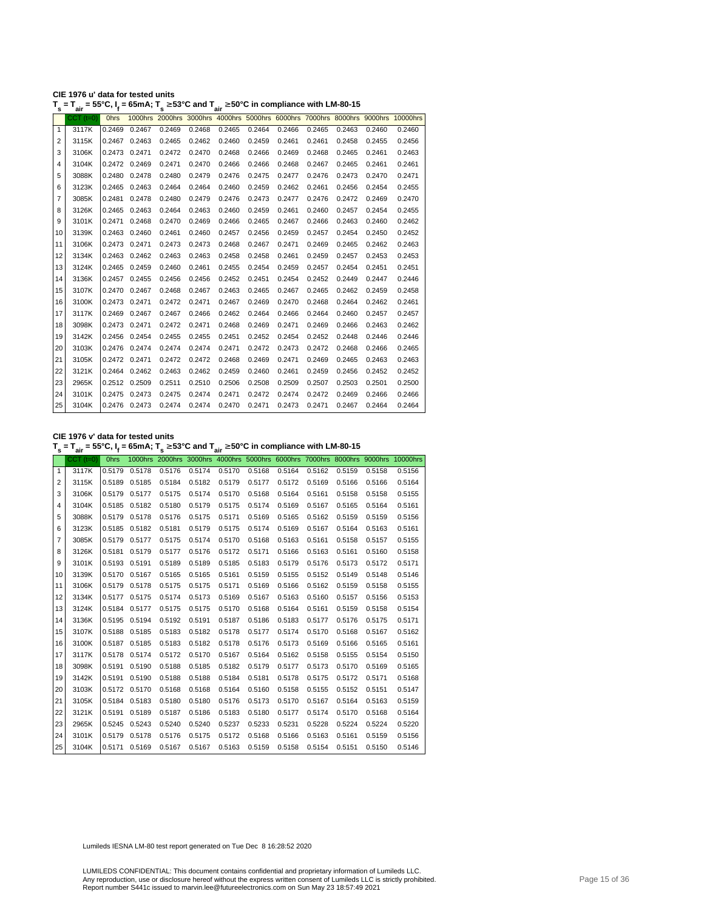| CIE 1976 u' data for tested units |                                                                                                                                          |
|-----------------------------------|------------------------------------------------------------------------------------------------------------------------------------------|
|                                   | $T_s = T_{air} = 55^{\circ}$ C, I <sub>f</sub> = 65mA; $T_s \ge 53^{\circ}$ C and $T_{air} \ge 50^{\circ}$ C in compliance with LM-80-15 |

| s              | ີ່air           | יי,         | $-$ , $\cdot$ | $ -$   | ™ air  |        |        |        |        |        |        |                                                                                  |
|----------------|-----------------|-------------|---------------|--------|--------|--------|--------|--------|--------|--------|--------|----------------------------------------------------------------------------------|
|                | $CCT$ ( $t=0$ ) | <b>Ohrs</b> |               |        |        |        |        |        |        |        |        | 1000hrs 2000hrs 3000hrs 4000hrs 5000hrs 6000hrs 7000hrs 8000hrs 9000hrs 10000hrs |
| $\mathbf{1}$   | 3117K           | 0.2469      | 0.2467        | 0.2469 | 0.2468 | 0.2465 | 0.2464 | 0.2466 | 0.2465 | 0.2463 | 0.2460 | 0.2460                                                                           |
| $\overline{2}$ | 3115K           | 0.2467      | 0.2463        | 0.2465 | 0.2462 | 0.2460 | 0.2459 | 0.2461 | 0.2461 | 0.2458 | 0.2455 | 0.2456                                                                           |
| 3              | 3106K           |             | 0.2473 0.2471 | 0.2472 | 0.2470 | 0.2468 | 0.2466 | 0.2469 | 0.2468 | 0.2465 | 0.2461 | 0.2463                                                                           |
| 4              | 3104K           |             | 0.2472 0.2469 | 0.2471 | 0.2470 | 0.2466 | 0.2466 | 0.2468 | 0.2467 | 0.2465 | 0.2461 | 0.2461                                                                           |
| 5              | 3088K           | 0.2480      | 0.2478        | 0.2480 | 0.2479 | 0.2476 | 0.2475 | 0.2477 | 0.2476 | 0.2473 | 0.2470 | 0.2471                                                                           |
| 6              | 3123K           | 0.2465      | 0.2463        | 0.2464 | 0.2464 | 0.2460 | 0.2459 | 0.2462 | 0.2461 | 0.2456 | 0.2454 | 0.2455                                                                           |
| 7              | 3085K           | 0.2481      | 0.2478        | 0.2480 | 0.2479 | 0.2476 | 0.2473 | 0.2477 | 0.2476 | 0.2472 | 0.2469 | 0.2470                                                                           |
| 8              | 3126K           | 0.2465      | 0.2463        | 0.2464 | 0.2463 | 0.2460 | 0.2459 | 0.2461 | 0.2460 | 0.2457 | 0.2454 | 0.2455                                                                           |
| 9              | 3101K           | 0.2471      | 0.2468        | 0.2470 | 0.2469 | 0.2466 | 0.2465 | 0.2467 | 0.2466 | 0.2463 | 0.2460 | 0.2462                                                                           |
| 10             | 3139K           | 0.2463      | 0.2460        | 0.2461 | 0.2460 | 0.2457 | 0.2456 | 0.2459 | 0.2457 | 0.2454 | 0.2450 | 0.2452                                                                           |
| 11             | 3106K           | 0.2473      | 0.2471        | 0.2473 | 0.2473 | 0.2468 | 0.2467 | 0.2471 | 0.2469 | 0.2465 | 0.2462 | 0.2463                                                                           |
| 12             | 3134K           | 0.2463      | 0.2462        | 0.2463 | 0.2463 | 0.2458 | 0.2458 | 0.2461 | 0.2459 | 0.2457 | 0.2453 | 0.2453                                                                           |
| 13             | 3124K           | 0.2465      | 0.2459        | 0.2460 | 0.2461 | 0.2455 | 0.2454 | 0.2459 | 0.2457 | 0.2454 | 0.2451 | 0.2451                                                                           |
| 14             | 3136K           | 0.2457      | 0.2455        | 0.2456 | 0.2456 | 0.2452 | 0.2451 | 0.2454 | 0.2452 | 0.2449 | 0.2447 | 0.2446                                                                           |
| 15             | 3107K           | 0.2470      | 0.2467        | 0.2468 | 0.2467 | 0.2463 | 0.2465 | 0.2467 | 0.2465 | 0.2462 | 0.2459 | 0.2458                                                                           |
| 16             | 3100K           |             | 0.2473 0.2471 | 0.2472 | 0.2471 | 0.2467 | 0.2469 | 0.2470 | 0.2468 | 0.2464 | 0.2462 | 0.2461                                                                           |
| 17             | 3117K           | 0.2469      | 0.2467        | 0.2467 | 0.2466 | 0.2462 | 0.2464 | 0.2466 | 0.2464 | 0.2460 | 0.2457 | 0.2457                                                                           |
| 18             | 3098K           |             | 0.2473 0.2471 | 0.2472 | 0.2471 | 0.2468 | 0.2469 | 0.2471 | 0.2469 | 0.2466 | 0.2463 | 0.2462                                                                           |
| 19             | 3142K           | 0.2456      | 0.2454        | 0.2455 | 0.2455 | 0.2451 | 0.2452 | 0.2454 | 0.2452 | 0.2448 | 0.2446 | 0.2446                                                                           |
| 20             | 3103K           |             | 0.2476 0.2474 | 0.2474 | 0.2474 | 0.2471 | 0.2472 | 0.2473 | 0.2472 | 0.2468 | 0.2466 | 0.2465                                                                           |
| 21             | 3105K           |             | 0.2472 0.2471 | 0.2472 | 0.2472 | 0.2468 | 0.2469 | 0.2471 | 0.2469 | 0.2465 | 0.2463 | 0.2463                                                                           |
| 22             | 3121K           | 0.2464      | 0.2462        | 0.2463 | 0.2462 | 0.2459 | 0.2460 | 0.2461 | 0.2459 | 0.2456 | 0.2452 | 0.2452                                                                           |
| 23             | 2965K           |             | 0.2512 0.2509 | 0.2511 | 0.2510 | 0.2506 | 0.2508 | 0.2509 | 0.2507 | 0.2503 | 0.2501 | 0.2500                                                                           |
| 24             | 3101K           | 0.2475      | 0.2473        | 0.2475 | 0.2474 | 0.2471 | 0.2472 | 0.2474 | 0.2472 | 0.2469 | 0.2466 | 0.2466                                                                           |
| 25             | 3104K           |             | 0.2476 0.2473 | 0.2474 | 0.2474 | 0.2470 | 0.2471 | 0.2473 | 0.2471 | 0.2467 | 0.2464 | 0.2464                                                                           |
|                |                 |             |               |        |        |        |        |        |        |        |        |                                                                                  |

**CIE 1976 v' data for tested units**

**T s = Tair = 55°C, I<sup>f</sup> = 65mA; T s** <sup>≥</sup> **53°C and Tair** <sup>≥</sup> **50°C in compliance with LM-80-15**

|    | $CCT$ $(t=0)$ | <b>Ohrs</b> |        |        |        |        |        |        |        |        |        | 1000hrs 2000hrs 3000hrs 4000hrs 5000hrs 6000hrs 7000hrs 8000hrs 9000hrs 10000hrs |
|----|---------------|-------------|--------|--------|--------|--------|--------|--------|--------|--------|--------|----------------------------------------------------------------------------------|
| 1  | 3117K         | 0.5179      | 0.5178 | 0.5176 | 0.5174 | 0.5170 | 0.5168 | 0.5164 | 0.5162 | 0.5159 | 0.5158 | 0.5156                                                                           |
| 2  | 3115K         | 0.5189      | 0.5185 | 0.5184 | 0.5182 | 0.5179 | 0.5177 | 0.5172 | 0.5169 | 0.5166 | 0.5166 | 0.5164                                                                           |
| 3  | 3106K         | 0.5179      | 0.5177 | 0.5175 | 0.5174 | 0.5170 | 0.5168 | 0.5164 | 0.5161 | 0.5158 | 0.5158 | 0.5155                                                                           |
| 4  | 3104K         | 0.5185      | 0.5182 | 0.5180 | 0.5179 | 0.5175 | 0.5174 | 0.5169 | 0.5167 | 0.5165 | 0.5164 | 0.5161                                                                           |
| 5  | 3088K         | 0.5179      | 0.5178 | 0.5176 | 0.5175 | 0.5171 | 0.5169 | 0.5165 | 0.5162 | 0.5159 | 0.5159 | 0.5156                                                                           |
| 6  | 3123K         | 0.5185      | 0.5182 | 0.5181 | 0.5179 | 0.5175 | 0.5174 | 0.5169 | 0.5167 | 0.5164 | 0.5163 | 0.5161                                                                           |
| 7  | 3085K         | 0.5179      | 0.5177 | 0.5175 | 0.5174 | 0.5170 | 0.5168 | 0.5163 | 0.5161 | 0.5158 | 0.5157 | 0.5155                                                                           |
| 8  | 3126K         | 0.5181      | 0.5179 | 0.5177 | 0.5176 | 0.5172 | 0.5171 | 0.5166 | 0.5163 | 0.5161 | 0.5160 | 0.5158                                                                           |
| 9  | 3101K         | 0.5193      | 0.5191 | 0.5189 | 0.5189 | 0.5185 | 0.5183 | 0.5179 | 0.5176 | 0.5173 | 0.5172 | 0.5171                                                                           |
| 10 | 3139K         | 0.5170      | 0.5167 | 0.5165 | 0.5165 | 0.5161 | 0.5159 | 0.5155 | 0.5152 | 0.5149 | 0.5148 | 0.5146                                                                           |
| 11 | 3106K         | 0.5179      | 0.5178 | 0.5175 | 0.5175 | 0.5171 | 0.5169 | 0.5166 | 0.5162 | 0.5159 | 0.5158 | 0.5155                                                                           |
| 12 | 3134K         | 0.5177      | 0.5175 | 0.5174 | 0.5173 | 0.5169 | 0.5167 | 0.5163 | 0.5160 | 0.5157 | 0.5156 | 0.5153                                                                           |
| 13 | 3124K         | 0.5184      | 0.5177 | 0.5175 | 0.5175 | 0.5170 | 0.5168 | 0.5164 | 0.5161 | 0.5159 | 0.5158 | 0.5154                                                                           |
| 14 | 3136K         | 0.5195      | 0.5194 | 0.5192 | 0.5191 | 0.5187 | 0.5186 | 0.5183 | 0.5177 | 0.5176 | 0.5175 | 0.5171                                                                           |
| 15 | 3107K         | 0.5188      | 0.5185 | 0.5183 | 0.5182 | 0.5178 | 0.5177 | 0.5174 | 0.5170 | 0.5168 | 0.5167 | 0.5162                                                                           |
| 16 | 3100K         | 0.5187      | 0.5185 | 0.5183 | 0.5182 | 0.5178 | 0.5176 | 0.5173 | 0.5169 | 0.5166 | 0.5165 | 0.5161                                                                           |
| 17 | 3117K         | 0.5178      | 0.5174 | 0.5172 | 0.5170 | 0.5167 | 0.5164 | 0.5162 | 0.5158 | 0.5155 | 0.5154 | 0.5150                                                                           |
| 18 | 3098K         | 0.5191      | 0.5190 | 0.5188 | 0.5185 | 0.5182 | 0.5179 | 0.5177 | 0.5173 | 0.5170 | 0.5169 | 0.5165                                                                           |
| 19 | 3142K         | 0.5191      | 0.5190 | 0.5188 | 0.5188 | 0.5184 | 0.5181 | 0.5178 | 0.5175 | 0.5172 | 0.5171 | 0.5168                                                                           |
| 20 | 3103K         | 0.5172      | 0.5170 | 0.5168 | 0.5168 | 0.5164 | 0.5160 | 0.5158 | 0.5155 | 0.5152 | 0.5151 | 0.5147                                                                           |
| 21 | 3105K         | 0.5184      | 0.5183 | 0.5180 | 0.5180 | 0.5176 | 0.5173 | 0.5170 | 0.5167 | 0.5164 | 0.5163 | 0.5159                                                                           |
| 22 | 3121K         | 0.5191      | 0.5189 | 0.5187 | 0.5186 | 0.5183 | 0.5180 | 0.5177 | 0.5174 | 0.5170 | 0.5168 | 0.5164                                                                           |
| 23 | 2965K         | 0.5245      | 0.5243 | 0.5240 | 0.5240 | 0.5237 | 0.5233 | 0.5231 | 0.5228 | 0.5224 | 0.5224 | 0.5220                                                                           |
| 24 | 3101K         | 0.5179      | 0.5178 | 0.5176 | 0.5175 | 0.5172 | 0.5168 | 0.5166 | 0.5163 | 0.5161 | 0.5159 | 0.5156                                                                           |
| 25 | 3104K         | 0.5171      | 0.5169 | 0.5167 | 0.5167 | 0.5163 | 0.5159 | 0.5158 | 0.5154 | 0.5151 | 0.5150 | 0.5146                                                                           |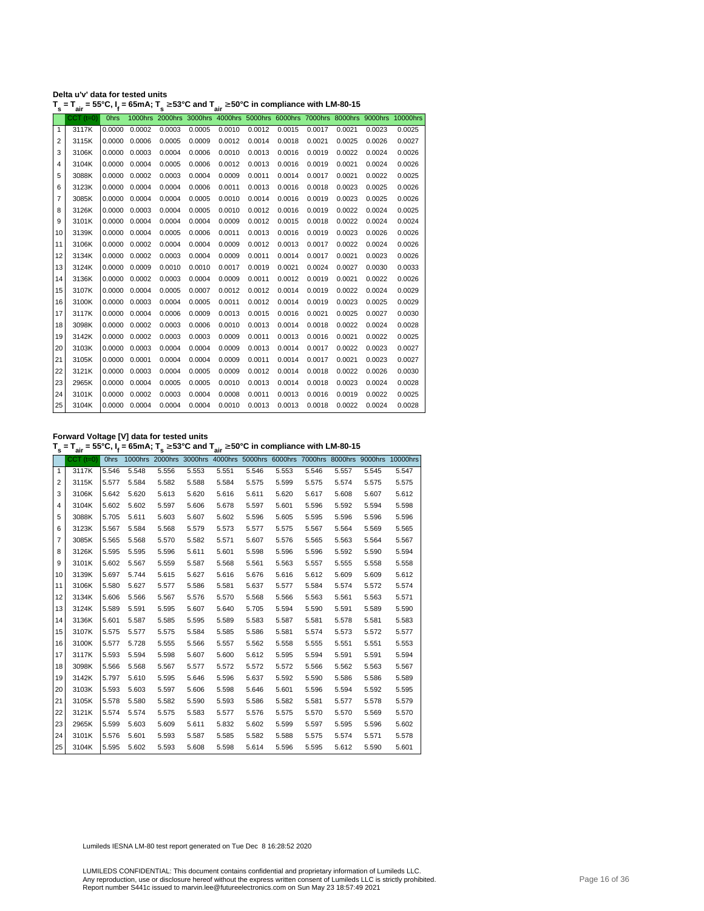| Delta u'v' data for tested units                                                                                                                               |  |
|----------------------------------------------------------------------------------------------------------------------------------------------------------------|--|
| $T_s = T_{air} = 55^{\circ}$ C, I <sub>f</sub> = 65mA; T <sub>s</sub> $\geq 53^{\circ}$ C and T <sub>air</sub> $\geq 50^{\circ}$ C in compliance with LM-80-15 |  |

|              | $CCT$ (t=0) | <b>Ohrs</b> |        |        |        |        |        |        |        |        |        | 1000hrs 2000hrs 3000hrs 4000hrs 5000hrs 6000hrs 7000hrs 8000hrs 9000hrs 10000hrs |
|--------------|-------------|-------------|--------|--------|--------|--------|--------|--------|--------|--------|--------|----------------------------------------------------------------------------------|
| $\mathbf{1}$ | 3117K       | 0.0000      | 0.0002 | 0.0003 | 0.0005 | 0.0010 | 0.0012 | 0.0015 | 0.0017 | 0.0021 | 0.0023 | 0.0025                                                                           |
| 2            | 3115K       | 0.0000      | 0.0006 | 0.0005 | 0.0009 | 0.0012 | 0.0014 | 0.0018 | 0.0021 | 0.0025 | 0.0026 | 0.0027                                                                           |
| 3            | 3106K       | 0.0000      | 0.0003 | 0.0004 | 0.0006 | 0.0010 | 0.0013 | 0.0016 | 0.0019 | 0.0022 | 0.0024 | 0.0026                                                                           |
| 4            | 3104K       | 0.0000      | 0.0004 | 0.0005 | 0.0006 | 0.0012 | 0.0013 | 0.0016 | 0.0019 | 0.0021 | 0.0024 | 0.0026                                                                           |
| 5            | 3088K       | 0.0000      | 0.0002 | 0.0003 | 0.0004 | 0.0009 | 0.0011 | 0.0014 | 0.0017 | 0.0021 | 0.0022 | 0.0025                                                                           |
| 6            | 3123K       | 0.0000      | 0.0004 | 0.0004 | 0.0006 | 0.0011 | 0.0013 | 0.0016 | 0.0018 | 0.0023 | 0.0025 | 0.0026                                                                           |
| 7            | 3085K       | 0.0000      | 0.0004 | 0.0004 | 0.0005 | 0.0010 | 0.0014 | 0.0016 | 0.0019 | 0.0023 | 0.0025 | 0.0026                                                                           |
| 8            | 3126K       | 0.0000      | 0.0003 | 0.0004 | 0.0005 | 0.0010 | 0.0012 | 0.0016 | 0.0019 | 0.0022 | 0.0024 | 0.0025                                                                           |
| 9            | 3101K       | 0.0000      | 0.0004 | 0.0004 | 0.0004 | 0.0009 | 0.0012 | 0.0015 | 0.0018 | 0.0022 | 0.0024 | 0.0024                                                                           |
| 10           | 3139K       | 0.0000      | 0.0004 | 0.0005 | 0.0006 | 0.0011 | 0.0013 | 0.0016 | 0.0019 | 0.0023 | 0.0026 | 0.0026                                                                           |
| 11           | 3106K       | 0.0000      | 0.0002 | 0.0004 | 0.0004 | 0.0009 | 0.0012 | 0.0013 | 0.0017 | 0.0022 | 0.0024 | 0.0026                                                                           |
| 12           | 3134K       | 0.0000      | 0.0002 | 0.0003 | 0.0004 | 0.0009 | 0.0011 | 0.0014 | 0.0017 | 0.0021 | 0.0023 | 0.0026                                                                           |
| 13           | 3124K       | 0.0000      | 0.0009 | 0.0010 | 0.0010 | 0.0017 | 0.0019 | 0.0021 | 0.0024 | 0.0027 | 0.0030 | 0.0033                                                                           |
| 14           | 3136K       | 0.0000      | 0.0002 | 0.0003 | 0.0004 | 0.0009 | 0.0011 | 0.0012 | 0.0019 | 0.0021 | 0.0022 | 0.0026                                                                           |
| 15           | 3107K       | 0.0000      | 0.0004 | 0.0005 | 0.0007 | 0.0012 | 0.0012 | 0.0014 | 0.0019 | 0.0022 | 0.0024 | 0.0029                                                                           |
| 16           | 3100K       | 0.0000      | 0.0003 | 0.0004 | 0.0005 | 0.0011 | 0.0012 | 0.0014 | 0.0019 | 0.0023 | 0.0025 | 0.0029                                                                           |
| 17           | 3117K       | 0.0000      | 0.0004 | 0.0006 | 0.0009 | 0.0013 | 0.0015 | 0.0016 | 0.0021 | 0.0025 | 0.0027 | 0.0030                                                                           |
| 18           | 3098K       | 0.0000      | 0.0002 | 0.0003 | 0.0006 | 0.0010 | 0.0013 | 0.0014 | 0.0018 | 0.0022 | 0.0024 | 0.0028                                                                           |
| 19           | 3142K       | 0.0000      | 0.0002 | 0.0003 | 0.0003 | 0.0009 | 0.0011 | 0.0013 | 0.0016 | 0.0021 | 0.0022 | 0.0025                                                                           |
| 20           | 3103K       | 0.0000      | 0.0003 | 0.0004 | 0.0004 | 0.0009 | 0.0013 | 0.0014 | 0.0017 | 0.0022 | 0.0023 | 0.0027                                                                           |
| 21           | 3105K       | 0.0000      | 0.0001 | 0.0004 | 0.0004 | 0.0009 | 0.0011 | 0.0014 | 0.0017 | 0.0021 | 0.0023 | 0.0027                                                                           |
| 22           | 3121K       | 0.0000      | 0.0003 | 0.0004 | 0.0005 | 0.0009 | 0.0012 | 0.0014 | 0.0018 | 0.0022 | 0.0026 | 0.0030                                                                           |
| 23           | 2965K       | 0.0000      | 0.0004 | 0.0005 | 0.0005 | 0.0010 | 0.0013 | 0.0014 | 0.0018 | 0.0023 | 0.0024 | 0.0028                                                                           |
| 24           | 3101K       | 0.0000      | 0.0002 | 0.0003 | 0.0004 | 0.0008 | 0.0011 | 0.0013 | 0.0016 | 0.0019 | 0.0022 | 0.0025                                                                           |
| 25           | 3104K       | 0.0000      | 0.0004 | 0.0004 | 0.0004 | 0.0010 | 0.0013 | 0.0013 | 0.0018 | 0.0022 | 0.0024 | 0.0028                                                                           |
|              |             |             |        |        |        |        |        |        |        |        |        |                                                                                  |

**Forward Voltage [V] data for tested units T s = Tair = 55°C, I<sup>f</sup> = 65mA; T s** <sup>≥</sup> **53°C and Tair** <sup>≥</sup> **50°C in compliance with LM-80-15**

|              | <br>$CCT$ ( $t=0$ ) | Ohrs  |             |       |       |       |       |       |       |       |       | 1000hrs 2000hrs 3000hrs 4000hrs 5000hrs 6000hrs 7000hrs 8000hrs 9000hrs 10000hrs |
|--------------|---------------------|-------|-------------|-------|-------|-------|-------|-------|-------|-------|-------|----------------------------------------------------------------------------------|
| $\mathbf{1}$ | 3117K               | 5.546 | 5.548       | 5.556 | 5.553 | 5.551 | 5.546 | 5.553 | 5.546 | 5.557 | 5.545 | 5.547                                                                            |
| 2            | 3115K               | 5.577 | 5.584       | 5.582 | 5.588 | 5.584 | 5.575 | 5.599 | 5.575 | 5.574 | 5.575 | 5.575                                                                            |
| 3            | 3106K               | 5.642 | 5.620       | 5.613 | 5.620 | 5.616 | 5.611 | 5.620 | 5.617 | 5.608 | 5.607 | 5.612                                                                            |
| 4            | 3104K               | 5.602 | 5.602       | 5.597 | 5.606 | 5.678 | 5.597 | 5.601 | 5.596 | 5.592 | 5.594 | 5.598                                                                            |
| 5            | 3088K               | 5.705 | 5.611       | 5.603 | 5.607 | 5.602 | 5.596 | 5.605 | 5.595 | 5.596 | 5.596 | 5.596                                                                            |
| 6            | 3123K               | 5.567 | 5.584       | 5.568 | 5.579 | 5.573 | 5.577 | 5.575 | 5.567 | 5.564 | 5.569 | 5.565                                                                            |
| 7            | 3085K               | 5.565 | 5.568       | 5.570 | 5.582 | 5.571 | 5.607 | 5.576 | 5.565 | 5.563 | 5.564 | 5.567                                                                            |
| 8            | 3126K               | 5.595 | 5.595       | 5.596 | 5.611 | 5.601 | 5.598 | 5.596 | 5.596 | 5.592 | 5.590 | 5.594                                                                            |
| 9            | 3101K               | 5.602 | 5.567       | 5.559 | 5.587 | 5.568 | 5.561 | 5.563 | 5.557 | 5.555 | 5.558 | 5.558                                                                            |
| 10           | 3139K               | 5.697 | 5.744       | 5.615 | 5.627 | 5.616 | 5.676 | 5.616 | 5.612 | 5.609 | 5.609 | 5.612                                                                            |
| 11           | 3106K               | 5.580 | 5.627       | 5.577 | 5.586 | 5.581 | 5.637 | 5.577 | 5.584 | 5.574 | 5.572 | 5.574                                                                            |
| 12           | 3134K               | 5.606 | 5.566       | 5.567 | 5.576 | 5.570 | 5.568 | 5.566 | 5.563 | 5.561 | 5.563 | 5.571                                                                            |
| 13           | 3124K               | 5.589 | 5.591       | 5.595 | 5.607 | 5.640 | 5.705 | 5.594 | 5.590 | 5.591 | 5.589 | 5.590                                                                            |
| 14           | 3136K               | 5.601 | 5.587       | 5.585 | 5.595 | 5.589 | 5.583 | 5.587 | 5.581 | 5.578 | 5.581 | 5.583                                                                            |
| 15           | 3107K               | 5.575 | 5.577       | 5.575 | 5.584 | 5.585 | 5.586 | 5.581 | 5.574 | 5.573 | 5.572 | 5.577                                                                            |
| 16           | 3100K               | 5.577 | 5.728       | 5.555 | 5.566 | 5.557 | 5.562 | 5.558 | 5.555 | 5.551 | 5.551 | 5.553                                                                            |
| 17           | 3117K               | 5.593 | 5.594       | 5.598 | 5.607 | 5.600 | 5.612 | 5.595 | 5.594 | 5.591 | 5.591 | 5.594                                                                            |
| 18           | 3098K               | 5.566 | 5.568       | 5.567 | 5.577 | 5.572 | 5.572 | 5.572 | 5.566 | 5.562 | 5.563 | 5.567                                                                            |
| 19           | 3142K               | 5.797 | 5.610       | 5.595 | 5.646 | 5.596 | 5.637 | 5.592 | 5.590 | 5.586 | 5.586 | 5.589                                                                            |
| 20           | 3103K               | 5.593 | 5.603       | 5.597 | 5.606 | 5.598 | 5.646 | 5.601 | 5.596 | 5.594 | 5.592 | 5.595                                                                            |
| 21           | 3105K               | 5.578 | 5.580       | 5.582 | 5.590 | 5.593 | 5.586 | 5.582 | 5.581 | 5.577 | 5.578 | 5.579                                                                            |
| 22           | 3121K               | 5.574 | 5.574       | 5.575 | 5.583 | 5.577 | 5.576 | 5.575 | 5.570 | 5.570 | 5.569 | 5.570                                                                            |
| 23           | 2965K               | 5.599 | 5.603       | 5.609 | 5.611 | 5.832 | 5.602 | 5.599 | 5.597 | 5.595 | 5.596 | 5.602                                                                            |
| 24           | 3101K               | 5.576 | 5.601       | 5.593 | 5.587 | 5.585 | 5.582 | 5.588 | 5.575 | 5.574 | 5.571 | 5.578                                                                            |
| 25           | 3104K               |       | 5.595 5.602 | 5.593 | 5.608 | 5.598 | 5.614 | 5.596 | 5.595 | 5.612 | 5.590 | 5.601                                                                            |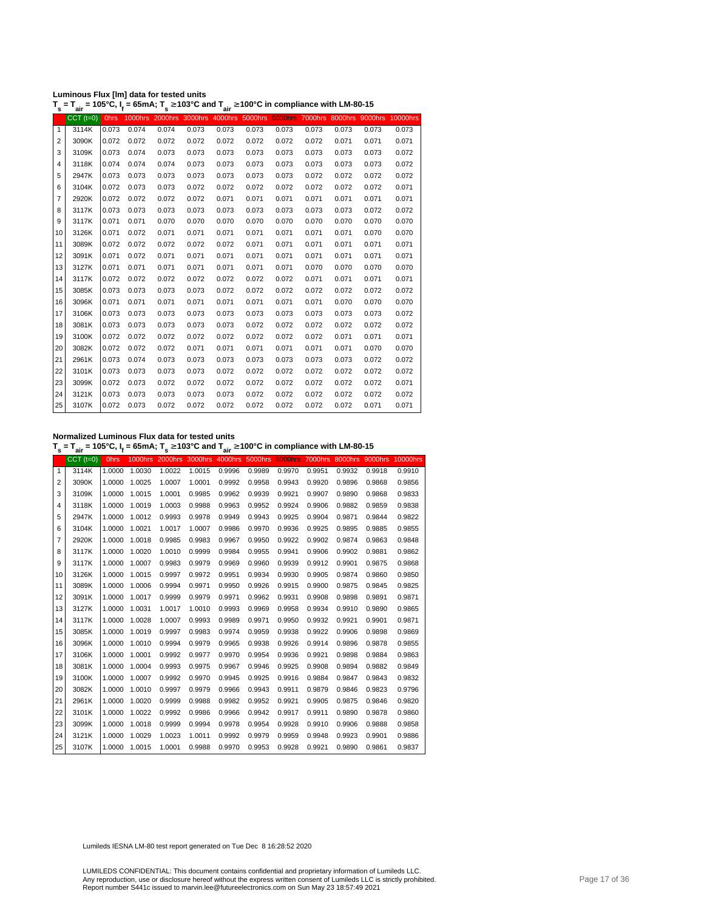|  | Luminous Flux [Im] data for tested units |  |
|--|------------------------------------------|--|
|--|------------------------------------------|--|

**T s = Tair = 105°C, I<sup>f</sup> = 65mA; T s** <sup>≥</sup> **103°C and Tair** <sup>≥</sup> **100°C in compliance with LM-80-15**

|                | au            |             |       |       |       | ан    |       |       |       |       |                                                                                  |       |
|----------------|---------------|-------------|-------|-------|-------|-------|-------|-------|-------|-------|----------------------------------------------------------------------------------|-------|
|                | $CCT$ $(t=0)$ | <b>Ohrs</b> |       |       |       |       |       |       |       |       | 1000hrs 2000hrs 3000hrs 4000hrs 5000hrs 6000hrs 7000hrs 8000hrs 9000hrs 10000hrs |       |
| $\mathbf{1}$   | 3114K         | 0.073       | 0.074 | 0.074 | 0.073 | 0.073 | 0.073 | 0.073 | 0.073 | 0.073 | 0.073                                                                            | 0.073 |
| $\overline{2}$ | 3090K         | 0.072       | 0.072 | 0.072 | 0.072 | 0.072 | 0.072 | 0.072 | 0.072 | 0.071 | 0.071                                                                            | 0.071 |
| 3              | 3109K         | 0.073       | 0.074 | 0.073 | 0.073 | 0.073 | 0.073 | 0.073 | 0.073 | 0.073 | 0.073                                                                            | 0.072 |
| 4              | 3118K         | 0.074       | 0.074 | 0.074 | 0.073 | 0.073 | 0.073 | 0.073 | 0.073 | 0.073 | 0.073                                                                            | 0.072 |
| 5              | 2947K         | 0.073       | 0.073 | 0.073 | 0.073 | 0.073 | 0.073 | 0.073 | 0.072 | 0.072 | 0.072                                                                            | 0.072 |
| 6              | 3104K         | 0.072       | 0.073 | 0.073 | 0.072 | 0.072 | 0.072 | 0.072 | 0.072 | 0.072 | 0.072                                                                            | 0.071 |
| 7              | 2920K         | 0.072       | 0.072 | 0.072 | 0.072 | 0.071 | 0.071 | 0.071 | 0.071 | 0.071 | 0.071                                                                            | 0.071 |
| 8              | 3117K         | 0.073       | 0.073 | 0.073 | 0.073 | 0.073 | 0.073 | 0.073 | 0.073 | 0.073 | 0.072                                                                            | 0.072 |
| 9              | 3117K         | 0.071       | 0.071 | 0.070 | 0.070 | 0.070 | 0.070 | 0.070 | 0.070 | 0.070 | 0.070                                                                            | 0.070 |
| 10             | 3126K         | 0.071       | 0.072 | 0.071 | 0.071 | 0.071 | 0.071 | 0.071 | 0.071 | 0.071 | 0.070                                                                            | 0.070 |
| 11             | 3089K         | 0.072       | 0.072 | 0.072 | 0.072 | 0.072 | 0.071 | 0.071 | 0.071 | 0.071 | 0.071                                                                            | 0.071 |
| 12             | 3091K         | 0.071       | 0.072 | 0.071 | 0.071 | 0.071 | 0.071 | 0.071 | 0.071 | 0.071 | 0.071                                                                            | 0.071 |
| 13             | 3127K         | 0.071       | 0.071 | 0.071 | 0.071 | 0.071 | 0.071 | 0.071 | 0.070 | 0.070 | 0.070                                                                            | 0.070 |
| 14             | 3117K         | 0.072       | 0.072 | 0.072 | 0.072 | 0.072 | 0.072 | 0.072 | 0.071 | 0.071 | 0.071                                                                            | 0.071 |
| 15             | 3085K         | 0.073       | 0.073 | 0.073 | 0.073 | 0.072 | 0.072 | 0.072 | 0.072 | 0.072 | 0.072                                                                            | 0.072 |
| 16             | 3096K         | 0.071       | 0.071 | 0.071 | 0.071 | 0.071 | 0.071 | 0.071 | 0.071 | 0.070 | 0.070                                                                            | 0.070 |
| 17             | 3106K         | 0.073       | 0.073 | 0.073 | 0.073 | 0.073 | 0.073 | 0.073 | 0.073 | 0.073 | 0.073                                                                            | 0.072 |
| 18             | 3081K         | 0.073       | 0.073 | 0.073 | 0.073 | 0.073 | 0.072 | 0.072 | 0.072 | 0.072 | 0.072                                                                            | 0.072 |
| 19             | 3100K         | 0.072       | 0.072 | 0.072 | 0.072 | 0.072 | 0.072 | 0.072 | 0.072 | 0.071 | 0.071                                                                            | 0.071 |
| 20             | 3082K         | 0.072       | 0.072 | 0.072 | 0.071 | 0.071 | 0.071 | 0.071 | 0.071 | 0.071 | 0.070                                                                            | 0.070 |
| 21             | 2961K         | 0.073       | 0.074 | 0.073 | 0.073 | 0.073 | 0.073 | 0.073 | 0.073 | 0.073 | 0.072                                                                            | 0.072 |
| 22             | 3101K         | 0.073       | 0.073 | 0.073 | 0.073 | 0.072 | 0.072 | 0.072 | 0.072 | 0.072 | 0.072                                                                            | 0.072 |
| 23             | 3099K         | 0.072       | 0.073 | 0.072 | 0.072 | 0.072 | 0.072 | 0.072 | 0.072 | 0.072 | 0.072                                                                            | 0.071 |
| 24             | 3121K         | 0.073       | 0.073 | 0.073 | 0.073 | 0.073 | 0.072 | 0.072 | 0.072 | 0.072 | 0.072                                                                            | 0.072 |
| 25             | 3107K         | 0.072       | 0.073 | 0.072 | 0.072 | 0.072 | 0.072 | 0.072 | 0.072 | 0.072 | 0.071                                                                            | 0.071 |

**Normalized Luminous Flux data for tested units**

**T s = Tair = 105°C, I<sup>f</sup> = 65mA; T s** <sup>≥</sup> **103°C and Tair** <sup>≥</sup> **100°C in compliance with LM-80-15**

|              | $CCT$ ( $t=0$ ) | <b>Ohrs</b> |               |        |        |        |        |        |        |        |        | 1000hrs 2000hrs 3000hrs 4000hrs 5000hrs 6000hrs 7000hrs 8000hrs 9000hrs 10000hrs |
|--------------|-----------------|-------------|---------------|--------|--------|--------|--------|--------|--------|--------|--------|----------------------------------------------------------------------------------|
| $\mathbf{1}$ | 3114K           | 1.0000      | 1.0030        | 1.0022 | 1.0015 | 0.9996 | 0.9989 | 0.9970 | 0.9951 | 0.9932 | 0.9918 | 0.9910                                                                           |
| 2            | 3090K           | 1.0000      | 1.0025        | 1.0007 | 1.0001 | 0.9992 | 0.9958 | 0.9943 | 0.9920 | 0.9896 | 0.9868 | 0.9856                                                                           |
| 3            | 3109K           | 1.0000      | 1.0015        | 1.0001 | 0.9985 | 0.9962 | 0.9939 | 0.9921 | 0.9907 | 0.9890 | 0.9868 | 0.9833                                                                           |
| 4            | 3118K           | 1.0000      | 1.0019        | 1.0003 | 0.9988 | 0.9963 | 0.9952 | 0.9924 | 0.9906 | 0.9882 | 0.9859 | 0.9838                                                                           |
| 5            | 2947K           | 1.0000      | 1.0012        | 0.9993 | 0.9978 | 0.9949 | 0.9943 | 0.9925 | 0.9904 | 0.9871 | 0.9844 | 0.9822                                                                           |
| 6            | 3104K           | 1.0000      | 1.0021        | 1.0017 | 1.0007 | 0.9986 | 0.9970 | 0.9936 | 0.9925 | 0.9895 | 0.9885 | 0.9855                                                                           |
| 7            | 2920K           | 1.0000      | 1.0018        | 0.9985 | 0.9983 | 0.9967 | 0.9950 | 0.9922 | 0.9902 | 0.9874 | 0.9863 | 0.9848                                                                           |
| 8            | 3117K           | 1.0000      | 1.0020        | 1.0010 | 0.9999 | 0.9984 | 0.9955 | 0.9941 | 0.9906 | 0.9902 | 0.9881 | 0.9862                                                                           |
| 9            | 3117K           | 1.0000      | 1.0007        | 0.9983 | 0.9979 | 0.9969 | 0.9960 | 0.9939 | 0.9912 | 0.9901 | 0.9875 | 0.9868                                                                           |
| 10           | 3126K           | 1.0000      | 1.0015        | 0.9997 | 0.9972 | 0.9951 | 0.9934 | 0.9930 | 0.9905 | 0.9874 | 0.9860 | 0.9850                                                                           |
| 11           | 3089K           | 1.0000      | 1.0006        | 0.9994 | 0.9971 | 0.9950 | 0.9926 | 0.9915 | 0.9900 | 0.9875 | 0.9845 | 0.9825                                                                           |
| 12           | 3091K           | 1.0000      | 1.0017        | 0.9999 | 0.9979 | 0.9971 | 0.9962 | 0.9931 | 0.9908 | 0.9898 | 0.9891 | 0.9871                                                                           |
| 13           | 3127K           | 1.0000      | 1.0031        | 1.0017 | 1.0010 | 0.9993 | 0.9969 | 0.9958 | 0.9934 | 0.9910 | 0.9890 | 0.9865                                                                           |
| 14           | 3117K           | 1.0000      | 1.0028        | 1.0007 | 0.9993 | 0.9989 | 0.9971 | 0.9950 | 0.9932 | 0.9921 | 0.9901 | 0.9871                                                                           |
| 15           | 3085K           | 1.0000      | 1.0019        | 0.9997 | 0.9983 | 0.9974 | 0.9959 | 0.9938 | 0.9922 | 0.9906 | 0.9898 | 0.9869                                                                           |
| 16           | 3096K           | 1.0000      | 1.0010        | 0.9994 | 0.9979 | 0.9965 | 0.9938 | 0.9926 | 0.9914 | 0.9896 | 0.9878 | 0.9855                                                                           |
| 17           | 3106K           | 1.0000      | 1.0001        | 0.9992 | 0.9977 | 0.9970 | 0.9954 | 0.9936 | 0.9921 | 0.9898 | 0.9884 | 0.9863                                                                           |
| 18           | 3081K           | 1.0000      | 1.0004        | 0.9993 | 0.9975 | 0.9967 | 0.9946 | 0.9925 | 0.9908 | 0.9894 | 0.9882 | 0.9849                                                                           |
| 19           | 3100K           | 1.0000      | 1.0007        | 0.9992 | 0.9970 | 0.9945 | 0.9925 | 0.9916 | 0.9884 | 0.9847 | 0.9843 | 0.9832                                                                           |
| 20           | 3082K           | 1.0000      | 1.0010        | 0.9997 | 0.9979 | 0.9966 | 0.9943 | 0.9911 | 0.9879 | 0.9846 | 0.9823 | 0.9796                                                                           |
| 21           | 2961K           | 1.0000      | 1.0020        | 0.9999 | 0.9988 | 0.9982 | 0.9952 | 0.9921 | 0.9905 | 0.9875 | 0.9846 | 0.9820                                                                           |
| 22           | 3101K           | 1.0000      | 1.0022        | 0.9992 | 0.9986 | 0.9966 | 0.9942 | 0.9917 | 0.9911 | 0.9890 | 0.9878 | 0.9860                                                                           |
| 23           | 3099K           | 1.0000      | 1.0018        | 0.9999 | 0.9994 | 0.9978 | 0.9954 | 0.9928 | 0.9910 | 0.9906 | 0.9888 | 0.9858                                                                           |
| 24           | 3121K           | 1.0000      | 1.0029        | 1.0023 | 1.0011 | 0.9992 | 0.9979 | 0.9959 | 0.9948 | 0.9923 | 0.9901 | 0.9886                                                                           |
| 25           | 3107K           |             | 1.0000 1.0015 | 1.0001 | 0.9988 | 0.9970 | 0.9953 | 0.9928 | 0.9921 | 0.9890 | 0.9861 | 0.9837                                                                           |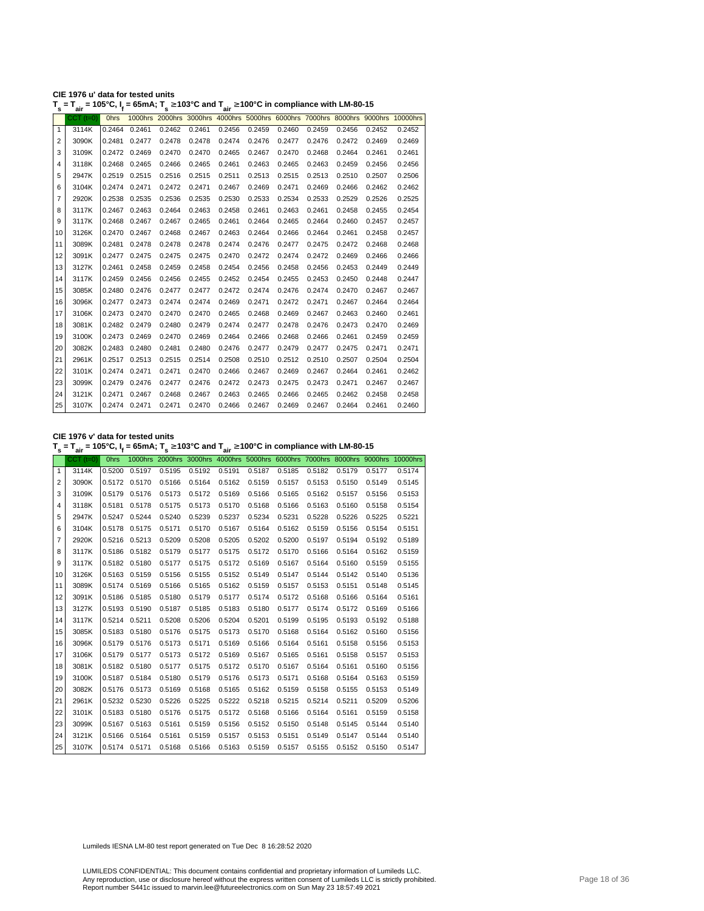| CIE 1976 u' data for tested units                                                                                                                 |  |
|---------------------------------------------------------------------------------------------------------------------------------------------------|--|
| T <sub>s</sub> = T <sub>air</sub> = 105°C, I <sub>f</sub> = 65mA; T <sub>s</sub> ≥ 103°C and T <sub>air</sub> ≥ 100°C in compliance with LM-80-15 |  |

| s              | ີ່air           | .           | $-$ , $\cdot$ | <u>.</u> .vv |        | air air |        |        |        |        |        |                                                                                  |
|----------------|-----------------|-------------|---------------|--------------|--------|---------|--------|--------|--------|--------|--------|----------------------------------------------------------------------------------|
|                | $CCT$ ( $t=0$ ) | <b>Ohrs</b> |               |              |        |         |        |        |        |        |        | 1000hrs 2000hrs 3000hrs 4000hrs 5000hrs 6000hrs 7000hrs 8000hrs 9000hrs 10000hrs |
| $\mathbf{1}$   | 3114K           | 0.2464      | 0.2461        | 0.2462       | 0.2461 | 0.2456  | 0.2459 | 0.2460 | 0.2459 | 0.2456 | 0.2452 | 0.2452                                                                           |
| $\overline{2}$ | 3090K           | 0.2481      | 0.2477        | 0.2478       | 0.2478 | 0.2474  | 0.2476 | 0.2477 | 0.2476 | 0.2472 | 0.2469 | 0.2469                                                                           |
| 3              | 3109K           |             | 0.2472 0.2469 | 0.2470       | 0.2470 | 0.2465  | 0.2467 | 0.2470 | 0.2468 | 0.2464 | 0.2461 | 0.2461                                                                           |
| 4              | 3118K           | 0.2468      | 0.2465        | 0.2466       | 0.2465 | 0.2461  | 0.2463 | 0.2465 | 0.2463 | 0.2459 | 0.2456 | 0.2456                                                                           |
| 5              | 2947K           | 0.2519      | 0.2515        | 0.2516       | 0.2515 | 0.2511  | 0.2513 | 0.2515 | 0.2513 | 0.2510 | 0.2507 | 0.2506                                                                           |
| 6              | 3104K           |             | 0.2474 0.2471 | 0.2472       | 0.2471 | 0.2467  | 0.2469 | 0.2471 | 0.2469 | 0.2466 | 0.2462 | 0.2462                                                                           |
| 7              | 2920K           | 0.2538      | 0.2535        | 0.2536       | 0.2535 | 0.2530  | 0.2533 | 0.2534 | 0.2533 | 0.2529 | 0.2526 | 0.2525                                                                           |
| 8              | 3117K           | 0.2467      | 0.2463        | 0.2464       | 0.2463 | 0.2458  | 0.2461 | 0.2463 | 0.2461 | 0.2458 | 0.2455 | 0.2454                                                                           |
| 9              | 3117K           | 0.2468      | 0.2467        | 0.2467       | 0.2465 | 0.2461  | 0.2464 | 0.2465 | 0.2464 | 0.2460 | 0.2457 | 0.2457                                                                           |
| 10             | 3126K           | 0.2470      | 0.2467        | 0.2468       | 0.2467 | 0.2463  | 0.2464 | 0.2466 | 0.2464 | 0.2461 | 0.2458 | 0.2457                                                                           |
| 11             | 3089K           | 0.2481      | 0.2478        | 0.2478       | 0.2478 | 0.2474  | 0.2476 | 0.2477 | 0.2475 | 0.2472 | 0.2468 | 0.2468                                                                           |
| 12             | 3091K           | 0.2477      | 0.2475        | 0.2475       | 0.2475 | 0.2470  | 0.2472 | 0.2474 | 0.2472 | 0.2469 | 0.2466 | 0.2466                                                                           |
| 13             | 3127K           | 0.2461      | 0.2458        | 0.2459       | 0.2458 | 0.2454  | 0.2456 | 0.2458 | 0.2456 | 0.2453 | 0.2449 | 0.2449                                                                           |
| 14             | 3117K           | 0.2459      | 0.2456        | 0.2456       | 0.2455 | 0.2452  | 0.2454 | 0.2455 | 0.2453 | 0.2450 | 0.2448 | 0.2447                                                                           |
| 15             | 3085K           | 0.2480      | 0.2476        | 0.2477       | 0.2477 | 0.2472  | 0.2474 | 0.2476 | 0.2474 | 0.2470 | 0.2467 | 0.2467                                                                           |
| 16             | 3096K           | 0.2477      | 0.2473        | 0.2474       | 0.2474 | 0.2469  | 0.2471 | 0.2472 | 0.2471 | 0.2467 | 0.2464 | 0.2464                                                                           |
| 17             | 3106K           | 0.2473      | 0.2470        | 0.2470       | 0.2470 | 0.2465  | 0.2468 | 0.2469 | 0.2467 | 0.2463 | 0.2460 | 0.2461                                                                           |
| 18             | 3081K           |             | 0.2482 0.2479 | 0.2480       | 0.2479 | 0.2474  | 0.2477 | 0.2478 | 0.2476 | 0.2473 | 0.2470 | 0.2469                                                                           |
| 19             | 3100K           | 0.2473      | 0.2469        | 0.2470       | 0.2469 | 0.2464  | 0.2466 | 0.2468 | 0.2466 | 0.2461 | 0.2459 | 0.2459                                                                           |
| 20             | 3082K           | 0.2483      | 0.2480        | 0.2481       | 0.2480 | 0.2476  | 0.2477 | 0.2479 | 0.2477 | 0.2475 | 0.2471 | 0.2471                                                                           |
| 21             | 2961K           | 0.2517      | 0.2513        | 0.2515       | 0.2514 | 0.2508  | 0.2510 | 0.2512 | 0.2510 | 0.2507 | 0.2504 | 0.2504                                                                           |
| 22             | 3101K           |             | 0.2474 0.2471 | 0.2471       | 0.2470 | 0.2466  | 0.2467 | 0.2469 | 0.2467 | 0.2464 | 0.2461 | 0.2462                                                                           |
| 23             | 3099K           | 0.2479      | 0.2476        | 0.2477       | 0.2476 | 0.2472  | 0.2473 | 0.2475 | 0.2473 | 0.2471 | 0.2467 | 0.2467                                                                           |
| 24             | 3121K           | 0.2471      | 0.2467        | 0.2468       | 0.2467 | 0.2463  | 0.2465 | 0.2466 | 0.2465 | 0.2462 | 0.2458 | 0.2458                                                                           |
| 25             | 3107K           |             | 0.2474 0.2471 | 0.2471       | 0.2470 | 0.2466  | 0.2467 | 0.2469 | 0.2467 | 0.2464 | 0.2461 | 0.2460                                                                           |

**CIE 1976 v' data for tested units**

**T s = Tair = 105°C, I<sup>f</sup> = 65mA; T s** <sup>≥</sup> **103°C and Tair** <sup>≥</sup> **100°C in compliance with LM-80-15**

|                | $CCT$ ( $t=0$ ) | <b>Ohrs</b>   |               |        |        |        |                                                                       |                        |        |        |        | 1000hrs 2000hrs 3000hrs 4000hrs 5000hrs 6000hrs 7000hrs 8000hrs 9000hrs 10000hrs |
|----------------|-----------------|---------------|---------------|--------|--------|--------|-----------------------------------------------------------------------|------------------------|--------|--------|--------|----------------------------------------------------------------------------------|
| $\mathbf{1}$   | 3114K           | 0.5200        | 0.5197        | 0.5195 | 0.5192 | 0.5191 | 0.5187                                                                | 0.5185                 | 0.5182 | 0.5179 | 0.5177 | 0.5174                                                                           |
| 2              | 3090K           |               | 0.5172 0.5170 | 0.5166 | 0.5164 | 0.5162 | 0.5159                                                                | 0.5157                 | 0.5153 | 0.5150 | 0.5149 | 0.5145                                                                           |
| 3              | 3109K           |               | 0.5179 0.5176 | 0.5173 | 0.5172 | 0.5169 | 0.5166                                                                | 0.5165                 | 0.5162 | 0.5157 | 0.5156 | 0.5153                                                                           |
| $\overline{4}$ | 3118K           |               | 0.5181 0.5178 | 0.5175 | 0.5173 | 0.5170 | 0.5168                                                                | 0.5166                 | 0.5163 | 0.5160 | 0.5158 | 0.5154                                                                           |
| 5              | 2947K           |               | 0.5247 0.5244 | 0.5240 | 0.5239 | 0.5237 | 0.5234                                                                | 0.5231                 | 0.5228 | 0.5226 | 0.5225 | 0.5221                                                                           |
| 6              | 3104K           |               | 0.5178 0.5175 | 0.5171 | 0.5170 | 0.5167 | 0.5164                                                                | 0.5162                 | 0.5159 | 0.5156 | 0.5154 | 0.5151                                                                           |
| 7              | 2920K           |               | 0.5216 0.5213 | 0.5209 | 0.5208 | 0.5205 | 0.5202                                                                | 0.5200                 | 0.5197 | 0.5194 | 0.5192 | 0.5189                                                                           |
| 8              | 3117K           |               | 0.5186 0.5182 | 0.5179 | 0.5177 | 0.5175 | 0.5172                                                                | 0.5170                 | 0.5166 | 0.5164 | 0.5162 | 0.5159                                                                           |
| 9              | 3117K           |               | 0.5182 0.5180 | 0.5177 | 0.5175 | 0.5172 | 0.5169                                                                | 0.5167                 | 0.5164 | 0.5160 | 0.5159 | 0.5155                                                                           |
| 10             | 3126K           |               | 0.5163 0.5159 | 0.5156 | 0.5155 | 0.5152 | 0.5149                                                                | 0.5147                 | 0.5144 | 0.5142 | 0.5140 | 0.5136                                                                           |
| 11             | 3089K           |               | 0.5174 0.5169 | 0.5166 | 0.5165 | 0.5162 | 0.5159                                                                | 0.5157  0.5153  0.5151 |        |        | 0.5148 | 0.5145                                                                           |
| 12             | 3091K           |               | 0.5186 0.5185 | 0.5180 | 0.5179 | 0.5177 | 0.5174                                                                | 0.5172                 | 0.5168 | 0.5166 | 0.5164 | 0.5161                                                                           |
| 13             | 3127K           |               | 0.5193 0.5190 | 0.5187 | 0.5185 | 0.5183 | 0.5180                                                                | 0.5177                 | 0.5174 | 0.5172 | 0.5169 | 0.5166                                                                           |
| 14             | 3117K           | 0.5214 0.5211 |               | 0.5208 | 0.5206 | 0.5204 | 0.5201                                                                | 0.5199                 | 0.5195 | 0.5193 | 0.5192 | 0.5188                                                                           |
| 15             | 3085K           |               | 0.5183 0.5180 | 0.5176 | 0.5175 | 0.5173 | 0.5170                                                                | 0.5168                 | 0.5164 | 0.5162 | 0.5160 | 0.5156                                                                           |
| 16             | 3096K           |               | 0.5179 0.5176 | 0.5173 | 0.5171 | 0.5169 | 0.5166                                                                | 0.5164                 | 0.5161 | 0.5158 | 0.5156 | 0.5153                                                                           |
| 17             | 3106K           |               | 0.5179 0.5177 | 0.5173 | 0.5172 | 0.5169 | 0.5167                                                                | 0.5165                 | 0.5161 | 0.5158 | 0.5157 | 0.5153                                                                           |
| 18             | 3081K           |               | 0.5182 0.5180 | 0.5177 | 0.5175 | 0.5172 | 0.5170                                                                | 0.5167                 | 0.5164 | 0.5161 | 0.5160 | 0.5156                                                                           |
| 19             | 3100K           |               | 0.5187 0.5184 | 0.5180 | 0.5179 | 0.5176 | 0.5173                                                                | 0.5171                 | 0.5168 | 0.5164 | 0.5163 | 0.5159                                                                           |
| 20             | 3082K           |               | 0.5176 0.5173 | 0.5169 | 0.5168 | 0.5165 | 0.5162                                                                | 0.5159                 | 0.5158 | 0.5155 | 0.5153 | 0.5149                                                                           |
| 21             | 2961K           |               | 0.5232 0.5230 | 0.5226 | 0.5225 | 0.5222 | 0.5218                                                                | 0.5215                 | 0.5214 | 0.5211 | 0.5209 | 0.5206                                                                           |
| 22             | 3101K           | 0.5183        | 0.5180        | 0.5176 | 0.5175 | 0.5172 | 0.5168                                                                | 0.5166                 | 0.5164 | 0.5161 | 0.5159 | 0.5158                                                                           |
| 23             | 3099K           |               | 0.5167 0.5163 | 0.5161 | 0.5159 | 0.5156 | 0.5152                                                                | 0.5150                 | 0.5148 | 0.5145 | 0.5144 | 0.5140                                                                           |
| 24             | 3121K           |               | 0.5166 0.5164 | 0.5161 | 0.5159 | 0.5157 | 0.5153                                                                | 0.5151                 | 0.5149 | 0.5147 | 0.5144 | 0.5140                                                                           |
| 25             | 3107K           |               |               |        |        |        | 0.5174 0.5171 0.5168 0.5166 0.5163 0.5159 0.5157 0.5155 0.5152 0.5150 |                        |        |        |        | 0.5147                                                                           |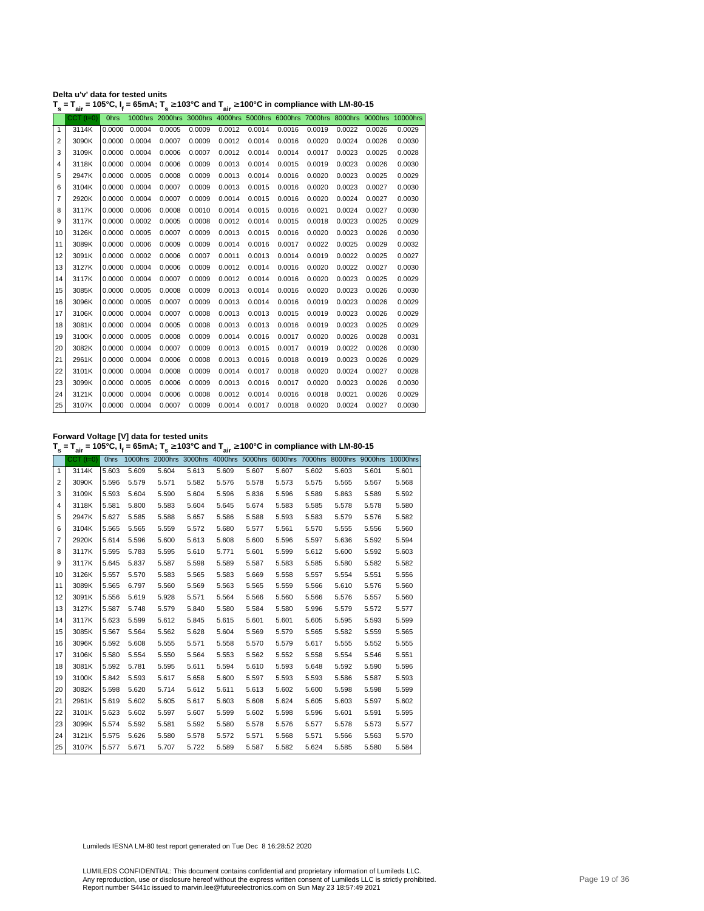| Delta u'v' data for tested units                                                                                                  |  |
|-----------------------------------------------------------------------------------------------------------------------------------|--|
| $T_s$ = $T_{air}$ = 105°C, I <sub>f</sub> = 65mA; T <sub>s</sub> ≥ 103°C and T <sub>air</sub> ≥ 100°C in compliance with LM-80-15 |  |

|    | $CCT$ (t=0) | <b>Ohrs</b> |               |        |        |        |        |        |        |        |        | 1000hrs 2000hrs 3000hrs 4000hrs 5000hrs 6000hrs 7000hrs 8000hrs 9000hrs 10000hrs |
|----|-------------|-------------|---------------|--------|--------|--------|--------|--------|--------|--------|--------|----------------------------------------------------------------------------------|
| 1  | 3114K       | 0.0000      | 0.0004        | 0.0005 | 0.0009 | 0.0012 | 0.0014 | 0.0016 | 0.0019 | 0.0022 | 0.0026 | 0.0029                                                                           |
| 2  | 3090K       | 0.0000      | 0.0004        | 0.0007 | 0.0009 | 0.0012 | 0.0014 | 0.0016 | 0.0020 | 0.0024 | 0.0026 | 0.0030                                                                           |
| 3  | 3109K       | 0.0000      | 0.0004        | 0.0006 | 0.0007 | 0.0012 | 0.0014 | 0.0014 | 0.0017 | 0.0023 | 0.0025 | 0.0028                                                                           |
| 4  | 3118K       | 0.0000      | 0.0004        | 0.0006 | 0.0009 | 0.0013 | 0.0014 | 0.0015 | 0.0019 | 0.0023 | 0.0026 | 0.0030                                                                           |
| 5  | 2947K       | 0.0000      | 0.0005        | 0.0008 | 0.0009 | 0.0013 | 0.0014 | 0.0016 | 0.0020 | 0.0023 | 0.0025 | 0.0029                                                                           |
| 6  | 3104K       | 0.0000      | 0.0004        | 0.0007 | 0.0009 | 0.0013 | 0.0015 | 0.0016 | 0.0020 | 0.0023 | 0.0027 | 0.0030                                                                           |
| 7  | 2920K       | 0.0000      | 0.0004        | 0.0007 | 0.0009 | 0.0014 | 0.0015 | 0.0016 | 0.0020 | 0.0024 | 0.0027 | 0.0030                                                                           |
| 8  | 3117K       | 0.0000      | 0.0006        | 0.0008 | 0.0010 | 0.0014 | 0.0015 | 0.0016 | 0.0021 | 0.0024 | 0.0027 | 0.0030                                                                           |
| 9  | 3117K       | 0.0000      | 0.0002        | 0.0005 | 0.0008 | 0.0012 | 0.0014 | 0.0015 | 0.0018 | 0.0023 | 0.0025 | 0.0029                                                                           |
| 10 | 3126K       | 0.0000      | 0.0005        | 0.0007 | 0.0009 | 0.0013 | 0.0015 | 0.0016 | 0.0020 | 0.0023 | 0.0026 | 0.0030                                                                           |
| 11 | 3089K       | 0.0000      | 0.0006        | 0.0009 | 0.0009 | 0.0014 | 0.0016 | 0.0017 | 0.0022 | 0.0025 | 0.0029 | 0.0032                                                                           |
| 12 | 3091K       | 0.0000      | 0.0002        | 0.0006 | 0.0007 | 0.0011 | 0.0013 | 0.0014 | 0.0019 | 0.0022 | 0.0025 | 0.0027                                                                           |
| 13 | 3127K       | 0.0000      | 0.0004        | 0.0006 | 0.0009 | 0.0012 | 0.0014 | 0.0016 | 0.0020 | 0.0022 | 0.0027 | 0.0030                                                                           |
| 14 | 3117K       | 0.0000      | 0.0004        | 0.0007 | 0.0009 | 0.0012 | 0.0014 | 0.0016 | 0.0020 | 0.0023 | 0.0025 | 0.0029                                                                           |
| 15 | 3085K       | 0.0000      | 0.0005        | 0.0008 | 0.0009 | 0.0013 | 0.0014 | 0.0016 | 0.0020 | 0.0023 | 0.0026 | 0.0030                                                                           |
| 16 | 3096K       | 0.0000      | 0.0005        | 0.0007 | 0.0009 | 0.0013 | 0.0014 | 0.0016 | 0.0019 | 0.0023 | 0.0026 | 0.0029                                                                           |
| 17 | 3106K       | 0.0000      | 0.0004        | 0.0007 | 0.0008 | 0.0013 | 0.0013 | 0.0015 | 0.0019 | 0.0023 | 0.0026 | 0.0029                                                                           |
| 18 | 3081K       | 0.0000      | 0.0004        | 0.0005 | 0.0008 | 0.0013 | 0.0013 | 0.0016 | 0.0019 | 0.0023 | 0.0025 | 0.0029                                                                           |
| 19 | 3100K       | 0.0000      | 0.0005        | 0.0008 | 0.0009 | 0.0014 | 0.0016 | 0.0017 | 0.0020 | 0.0026 | 0.0028 | 0.0031                                                                           |
| 20 | 3082K       | 0.0000      | 0.0004        | 0.0007 | 0.0009 | 0.0013 | 0.0015 | 0.0017 | 0.0019 | 0.0022 | 0.0026 | 0.0030                                                                           |
| 21 | 2961K       | 0.0000      | 0.0004        | 0.0006 | 0.0008 | 0.0013 | 0.0016 | 0.0018 | 0.0019 | 0.0023 | 0.0026 | 0.0029                                                                           |
| 22 | 3101K       | 0.0000      | 0.0004        | 0.0008 | 0.0009 | 0.0014 | 0.0017 | 0.0018 | 0.0020 | 0.0024 | 0.0027 | 0.0028                                                                           |
| 23 | 3099K       | 0.0000      | 0.0005        | 0.0006 | 0.0009 | 0.0013 | 0.0016 | 0.0017 | 0.0020 | 0.0023 | 0.0026 | 0.0030                                                                           |
| 24 | 3121K       | 0.0000      | 0.0004        | 0.0006 | 0.0008 | 0.0012 | 0.0014 | 0.0016 | 0.0018 | 0.0021 | 0.0026 | 0.0029                                                                           |
| 25 | 3107K       |             | 0.0000 0.0004 | 0.0007 | 0.0009 | 0.0014 | 0.0017 | 0.0018 | 0.0020 | 0.0024 | 0.0027 | 0.0030                                                                           |

**Forward Voltage [V] data for tested units**

**T s = Tair = 105°C, I<sup>f</sup> = 65mA; T s** <sup>≥</sup> **103°C and Tair** <sup>≥</sup> **100°C in compliance with LM-80-15**

|                | $CCT$ $(t=0)$ | <b>Ohrs</b> |       |       |       |       |       |       |       |       |       | 1000hrs 2000hrs 3000hrs 4000hrs 5000hrs 6000hrs 7000hrs 8000hrs 9000hrs 10000hrs |
|----------------|---------------|-------------|-------|-------|-------|-------|-------|-------|-------|-------|-------|----------------------------------------------------------------------------------|
| $\mathbf{1}$   | 3114K         | 5.603       | 5.609 | 5.604 | 5.613 | 5.609 | 5.607 | 5.607 | 5.602 | 5.603 | 5.601 | 5.601                                                                            |
| 2              | 3090K         | 5.596       | 5.579 | 5.571 | 5.582 | 5.576 | 5.578 | 5.573 | 5.575 | 5.565 | 5.567 | 5.568                                                                            |
| 3              | 3109K         | 5.593       | 5.604 | 5.590 | 5.604 | 5.596 | 5.836 | 5.596 | 5.589 | 5.863 | 5.589 | 5.592                                                                            |
| $\overline{4}$ | 3118K         | 5.581       | 5.800 | 5.583 | 5.604 | 5.645 | 5.674 | 5.583 | 5.585 | 5.578 | 5.578 | 5.580                                                                            |
| 5              | 2947K         | 5.627       | 5.585 | 5.588 | 5.657 | 5.586 | 5.588 | 5.593 | 5.583 | 5.579 | 5.576 | 5.582                                                                            |
| 6              | 3104K         | 5.565       | 5.565 | 5.559 | 5.572 | 5.680 | 5.577 | 5.561 | 5.570 | 5.555 | 5.556 | 5.560                                                                            |
| 7              | 2920K         | 5.614       | 5.596 | 5.600 | 5.613 | 5.608 | 5.600 | 5.596 | 5.597 | 5.636 | 5.592 | 5.594                                                                            |
| 8              | 3117K         | 5.595       | 5.783 | 5.595 | 5.610 | 5.771 | 5.601 | 5.599 | 5.612 | 5.600 | 5.592 | 5.603                                                                            |
| 9              | 3117K         | 5.645       | 5.837 | 5.587 | 5.598 | 5.589 | 5.587 | 5.583 | 5.585 | 5.580 | 5.582 | 5.582                                                                            |
| 10             | 3126K         | 5.557       | 5.570 | 5.583 | 5.565 | 5.583 | 5.669 | 5.558 | 5.557 | 5.554 | 5.551 | 5.556                                                                            |
| 11             | 3089K         | 5.565       | 6.797 | 5.560 | 5.569 | 5.563 | 5.565 | 5.559 | 5.566 | 5.610 | 5.576 | 5.560                                                                            |
| 12             | 3091K         | 5.556       | 5.619 | 5.928 | 5.571 | 5.564 | 5.566 | 5.560 | 5.566 | 5.576 | 5.557 | 5.560                                                                            |
| 13             | 3127K         | 5.587       | 5.748 | 5.579 | 5.840 | 5.580 | 5.584 | 5.580 | 5.996 | 5.579 | 5.572 | 5.577                                                                            |
| 14             | 3117K         | 5.623       | 5.599 | 5.612 | 5.845 | 5.615 | 5.601 | 5.601 | 5.605 | 5.595 | 5.593 | 5.599                                                                            |
| 15             | 3085K         | 5.567       | 5.564 | 5.562 | 5.628 | 5.604 | 5.569 | 5.579 | 5.565 | 5.582 | 5.559 | 5.565                                                                            |
| 16             | 3096K         | 5.592       | 5.608 | 5.555 | 5.571 | 5.558 | 5.570 | 5.579 | 5.617 | 5.555 | 5.552 | 5.555                                                                            |
| 17             | 3106K         | 5.580       | 5.554 | 5.550 | 5.564 | 5.553 | 5.562 | 5.552 | 5.558 | 5.554 | 5.546 | 5.551                                                                            |
| 18             | 3081K         | 5.592       | 5.781 | 5.595 | 5.611 | 5.594 | 5.610 | 5.593 | 5.648 | 5.592 | 5.590 | 5.596                                                                            |
| 19             | 3100K         | 5.842       | 5.593 | 5.617 | 5.658 | 5.600 | 5.597 | 5.593 | 5.593 | 5.586 | 5.587 | 5.593                                                                            |
| 20             | 3082K         | 5.598       | 5.620 | 5.714 | 5.612 | 5.611 | 5.613 | 5.602 | 5.600 | 5.598 | 5.598 | 5.599                                                                            |
| 21             | 2961K         | 5.619       | 5.602 | 5.605 | 5.617 | 5.603 | 5.608 | 5.624 | 5.605 | 5.603 | 5.597 | 5.602                                                                            |
| 22             | 3101K         | 5.623       | 5.602 | 5.597 | 5.607 | 5.599 | 5.602 | 5.598 | 5.596 | 5.601 | 5.591 | 5.595                                                                            |
| 23             | 3099K         | 5.574       | 5.592 | 5.581 | 5.592 | 5.580 | 5.578 | 5.576 | 5.577 | 5.578 | 5.573 | 5.577                                                                            |
| 24             | 3121K         | 5.575       | 5.626 | 5.580 | 5.578 | 5.572 | 5.571 | 5.568 | 5.571 | 5.566 | 5.563 | 5.570                                                                            |
| 25             | 3107K         | 5.577       | 5.671 | 5.707 | 5.722 | 5.589 | 5.587 | 5.582 | 5.624 | 5.585 | 5.580 | 5.584                                                                            |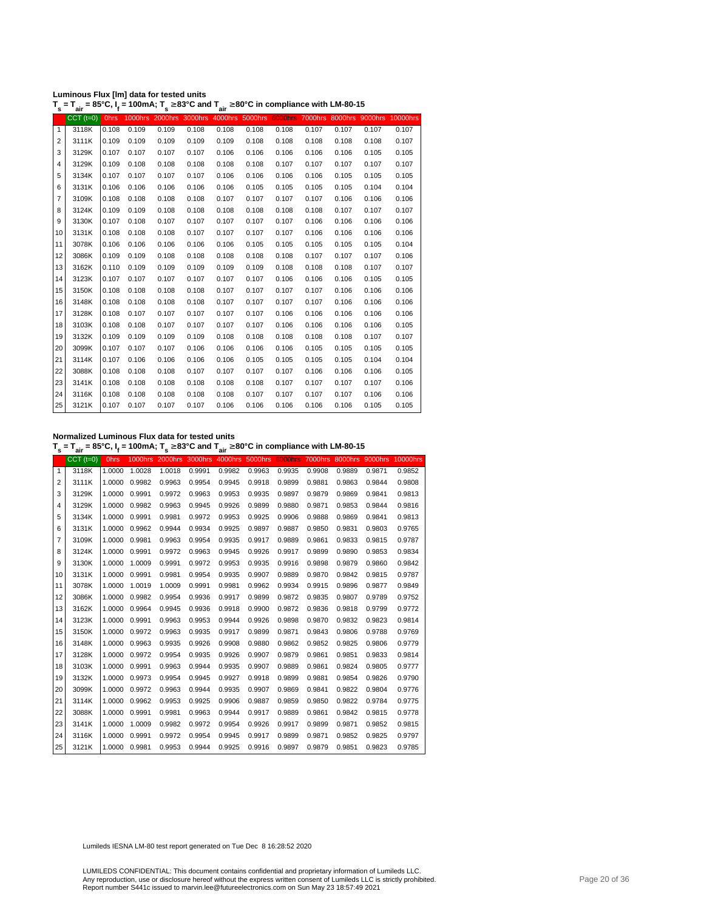| Luminous Flux [Im] data for tested units                                                                           |  |
|--------------------------------------------------------------------------------------------------------------------|--|
| $T = T = 05\degree$ $\Gamma = 400mA$ , $T \times 0.2\degree$ and $T \times 0.0\degree$ in compliance with LM 00.45 |  |

|                | $T_s = T_{air} = 85^{\circ}$ C, $I_f = 100$ mA; $T_s \ge 83^{\circ}$ C and $T_{air} \ge 80^{\circ}$ C in compliance with LM-80-15 |             |       |       |                                                                                  |       |       |       |       |       |       |       |
|----------------|-----------------------------------------------------------------------------------------------------------------------------------|-------------|-------|-------|----------------------------------------------------------------------------------|-------|-------|-------|-------|-------|-------|-------|
|                | $CCT$ ( $t=0$ )                                                                                                                   | <b>Ohrs</b> |       |       | 1000hrs 2000hrs 3000hrs 4000hrs 5000hrs 6000hrs 7000hrs 8000hrs 9000hrs 10000hrs |       |       |       |       |       |       |       |
| $\mathbf{1}$   | 3118K                                                                                                                             | 0.108       | 0.109 | 0.109 | 0.108                                                                            | 0.108 | 0.108 | 0.108 | 0.107 | 0.107 | 0.107 | 0.107 |
| 2              | 3111K                                                                                                                             | 0.109       | 0.109 | 0.109 | 0.109                                                                            | 0.109 | 0.108 | 0.108 | 0.108 | 0.108 | 0.108 | 0.107 |
| 3              | 3129K                                                                                                                             | 0.107       | 0.107 | 0.107 | 0.107                                                                            | 0.106 | 0.106 | 0.106 | 0.106 | 0.106 | 0.105 | 0.105 |
| $\overline{4}$ | 3129K                                                                                                                             | 0.109       | 0.108 | 0.108 | 0.108                                                                            | 0.108 | 0.108 | 0.107 | 0.107 | 0.107 | 0.107 | 0.107 |
| 5              | 3134K                                                                                                                             | 0.107       | 0.107 | 0.107 | 0.107                                                                            | 0.106 | 0.106 | 0.106 | 0.106 | 0.105 | 0.105 | 0.105 |
| 6              | 3131K                                                                                                                             | 0.106       | 0.106 | 0.106 | 0.106                                                                            | 0.106 | 0.105 | 0.105 | 0.105 | 0.105 | 0.104 | 0.104 |
| $\overline{7}$ | 3109K                                                                                                                             | 0.108       | 0.108 | 0.108 | 0.108                                                                            | 0.107 | 0.107 | 0.107 | 0.107 | 0.106 | 0.106 | 0.106 |
| 8              | 3124K                                                                                                                             | 0.109       | 0.109 | 0.108 | 0.108                                                                            | 0.108 | 0.108 | 0.108 | 0.108 | 0.107 | 0.107 | 0.107 |
| 9              | 3130K                                                                                                                             | 0.107       | 0.108 | 0.107 | 0.107                                                                            | 0.107 | 0.107 | 0.107 | 0.106 | 0.106 | 0.106 | 0.106 |
| 10             | 3131K                                                                                                                             | 0.108       | 0.108 | 0.108 | 0.107                                                                            | 0.107 | 0.107 | 0.107 | 0.106 | 0.106 | 0.106 | 0.106 |
| 11             | 3078K                                                                                                                             | 0.106       | 0.106 | 0.106 | 0.106                                                                            | 0.106 | 0.105 | 0.105 | 0.105 | 0.105 | 0.105 | 0.104 |
| 12             | 3086K                                                                                                                             | 0.109       | 0.109 | 0.108 | 0.108                                                                            | 0.108 | 0.108 | 0.108 | 0.107 | 0.107 | 0.107 | 0.106 |
| 13             | 3162K                                                                                                                             | 0.110       | 0.109 | 0.109 | 0.109                                                                            | 0.109 | 0.109 | 0.108 | 0.108 | 0.108 | 0.107 | 0.107 |
| 14             | 3123K                                                                                                                             | 0.107       | 0.107 | 0.107 | 0.107                                                                            | 0.107 | 0.107 | 0.106 | 0.106 | 0.106 | 0.105 | 0.105 |
| 15             | 3150K                                                                                                                             | 0.108       | 0.108 | 0.108 | 0.108                                                                            | 0.107 | 0.107 | 0.107 | 0.107 | 0.106 | 0.106 | 0.106 |
| 16             | 3148K                                                                                                                             | 0.108       | 0.108 | 0.108 | 0.108                                                                            | 0.107 | 0.107 | 0.107 | 0.107 | 0.106 | 0.106 | 0.106 |
| 17             | 3128K                                                                                                                             | 0.108       | 0.107 | 0.107 | 0.107                                                                            | 0.107 | 0.107 | 0.106 | 0.106 | 0.106 | 0.106 | 0.106 |
| 18             | 3103K                                                                                                                             | 0.108       | 0.108 | 0.107 | 0.107                                                                            | 0.107 | 0.107 | 0.106 | 0.106 | 0.106 | 0.106 | 0.105 |
| 19             | 3132K                                                                                                                             | 0.109       | 0.109 | 0.109 | 0.109                                                                            | 0.108 | 0.108 | 0.108 | 0.108 | 0.108 | 0.107 | 0.107 |
| 20             | 3099K                                                                                                                             | 0.107       | 0.107 | 0.107 | 0.106                                                                            | 0.106 | 0.106 | 0.106 | 0.105 | 0.105 | 0.105 | 0.105 |
| 21             | 3114K                                                                                                                             | 0.107       | 0.106 | 0.106 | 0.106                                                                            | 0.106 | 0.105 | 0.105 | 0.105 | 0.105 | 0.104 | 0.104 |
| 22             | 3088K                                                                                                                             | 0.108       | 0.108 | 0.108 | 0.107                                                                            | 0.107 | 0.107 | 0.107 | 0.106 | 0.106 | 0.106 | 0.105 |
| 23             | 3141K                                                                                                                             | 0.108       | 0.108 | 0.108 | 0.108                                                                            | 0.108 | 0.108 | 0.107 | 0.107 | 0.107 | 0.107 | 0.106 |
| 24             | 3116K                                                                                                                             | 0.108       | 0.108 | 0.108 | 0.108                                                                            | 0.108 | 0.107 | 0.107 | 0.107 | 0.107 | 0.106 | 0.106 |
| 25             | 3121K                                                                                                                             | 0.107       | 0.107 | 0.107 | 0.107                                                                            | 0.106 | 0.106 | 0.106 | 0.106 | 0.106 | 0.105 | 0.105 |

**Normalized Luminous Flux data for tested units**

**T s = Tair = 85°C, I<sup>f</sup> = 100mA; T s** <sup>≥</sup> **83°C and Tair** <sup>≥</sup> **80°C in compliance with LM-80-15**

|    | $CCT$ $(t=0)$ | <b>Ohrs</b> | 1000hrs | 2000hrs 3000hrs |        | 4000hrs | 5000hrs | <b>6000hrs</b> | 7000hrs | 8000hrs |        | 9000hrs 10000hrs |
|----|---------------|-------------|---------|-----------------|--------|---------|---------|----------------|---------|---------|--------|------------------|
| 1  | 3118K         | 1.0000      | 1.0028  | 1.0018          | 0.9991 | 0.9982  | 0.9963  | 0.9935         | 0.9908  | 0.9889  | 0.9871 | 0.9852           |
| 2  | 3111K         | 1.0000      | 0.9982  | 0.9963          | 0.9954 | 0.9945  | 0.9918  | 0.9899         | 0.9881  | 0.9863  | 0.9844 | 0.9808           |
| 3  | 3129K         | 1.0000      | 0.9991  | 0.9972          | 0.9963 | 0.9953  | 0.9935  | 0.9897         | 0.9879  | 0.9869  | 0.9841 | 0.9813           |
| 4  | 3129K         | 1.0000      | 0.9982  | 0.9963          | 0.9945 | 0.9926  | 0.9899  | 0.9880         | 0.9871  | 0.9853  | 0.9844 | 0.9816           |
| 5  | 3134K         | 1.0000      | 0.9991  | 0.9981          | 0.9972 | 0.9953  | 0.9925  | 0.9906         | 0.9888  | 0.9869  | 0.9841 | 0.9813           |
| 6  | 3131K         | 1.0000      | 0.9962  | 0.9944          | 0.9934 | 0.9925  | 0.9897  | 0.9887         | 0.9850  | 0.9831  | 0.9803 | 0.9765           |
| 7  | 3109K         | 1.0000      | 0.9981  | 0.9963          | 0.9954 | 0.9935  | 0.9917  | 0.9889         | 0.9861  | 0.9833  | 0.9815 | 0.9787           |
| 8  | 3124K         | 1.0000      | 0.9991  | 0.9972          | 0.9963 | 0.9945  | 0.9926  | 0.9917         | 0.9899  | 0.9890  | 0.9853 | 0.9834           |
| 9  | 3130K         | 1.0000      | 1.0009  | 0.9991          | 0.9972 | 0.9953  | 0.9935  | 0.9916         | 0.9898  | 0.9879  | 0.9860 | 0.9842           |
| 10 | 3131K         | 1.0000      | 0.9991  | 0.9981          | 0.9954 | 0.9935  | 0.9907  | 0.9889         | 0.9870  | 0.9842  | 0.9815 | 0.9787           |
| 11 | 3078K         | 1.0000      | 1.0019  | 1.0009          | 0.9991 | 0.9981  | 0.9962  | 0.9934         | 0.9915  | 0.9896  | 0.9877 | 0.9849           |
| 12 | 3086K         | 1.0000      | 0.9982  | 0.9954          | 0.9936 | 0.9917  | 0.9899  | 0.9872         | 0.9835  | 0.9807  | 0.9789 | 0.9752           |
| 13 | 3162K         | 1.0000      | 0.9964  | 0.9945          | 0.9936 | 0.9918  | 0.9900  | 0.9872         | 0.9836  | 0.9818  | 0.9799 | 0.9772           |
| 14 | 3123K         | 1.0000      | 0.9991  | 0.9963          | 0.9953 | 0.9944  | 0.9926  | 0.9898         | 0.9870  | 0.9832  | 0.9823 | 0.9814           |
| 15 | 3150K         | 1.0000      | 0.9972  | 0.9963          | 0.9935 | 0.9917  | 0.9899  | 0.9871         | 0.9843  | 0.9806  | 0.9788 | 0.9769           |
| 16 | 3148K         | 1.0000      | 0.9963  | 0.9935          | 0.9926 | 0.9908  | 0.9880  | 0.9862         | 0.9852  | 0.9825  | 0.9806 | 0.9779           |
| 17 | 3128K         | 1.0000      | 0.9972  | 0.9954          | 0.9935 | 0.9926  | 0.9907  | 0.9879         | 0.9861  | 0.9851  | 0.9833 | 0.9814           |
| 18 | 3103K         | 1.0000      | 0.9991  | 0.9963          | 0.9944 | 0.9935  | 0.9907  | 0.9889         | 0.9861  | 0.9824  | 0.9805 | 0.9777           |
| 19 | 3132K         | 1.0000      | 0.9973  | 0.9954          | 0.9945 | 0.9927  | 0.9918  | 0.9899         | 0.9881  | 0.9854  | 0.9826 | 0.9790           |
| 20 | 3099K         | 1.0000      | 0.9972  | 0.9963          | 0.9944 | 0.9935  | 0.9907  | 0.9869         | 0.9841  | 0.9822  | 0.9804 | 0.9776           |
| 21 | 3114K         | 1.0000      | 0.9962  | 0.9953          | 0.9925 | 0.9906  | 0.9887  | 0.9859         | 0.9850  | 0.9822  | 0.9784 | 0.9775           |
| 22 | 3088K         | 1.0000      | 0.9991  | 0.9981          | 0.9963 | 0.9944  | 0.9917  | 0.9889         | 0.9861  | 0.9842  | 0.9815 | 0.9778           |
| 23 | 3141K         | 1.0000      | 1.0009  | 0.9982          | 0.9972 | 0.9954  | 0.9926  | 0.9917         | 0.9899  | 0.9871  | 0.9852 | 0.9815           |
| 24 | 3116K         | 1.0000      | 0.9991  | 0.9972          | 0.9954 | 0.9945  | 0.9917  | 0.9899         | 0.9871  | 0.9852  | 0.9825 | 0.9797           |
| 25 | 3121K         | 1.0000      | 0.9981  | 0.9953          | 0.9944 | 0.9925  | 0.9916  | 0.9897         | 0.9879  | 0.9851  | 0.9823 | 0.9785           |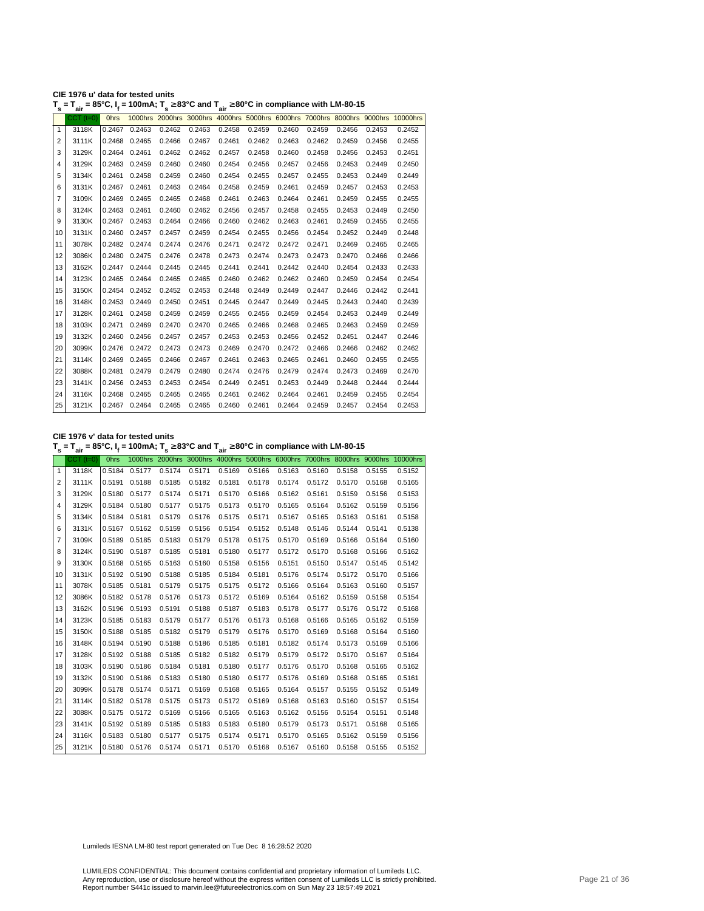| CIE 1976 u' data for tested units                                                                                                         |  |
|-------------------------------------------------------------------------------------------------------------------------------------------|--|
| $T_s$ = $T_{air}$ = 85°C, I <sub>f</sub> = 100mA; T <sub>s</sub> $\geq$ 83°C and T <sub>air</sub> $\geq$ 80°C in compliance with LM-80-15 |  |

| s              | ີ່air           | יי,         |               | $ -$   | .      | air    |        |        |        |        |        |                                                                                  |
|----------------|-----------------|-------------|---------------|--------|--------|--------|--------|--------|--------|--------|--------|----------------------------------------------------------------------------------|
|                | $CCT$ ( $t=0$ ) | <b>Ohrs</b> |               |        |        |        |        |        |        |        |        | 1000hrs 2000hrs 3000hrs 4000hrs 5000hrs 6000hrs 7000hrs 8000hrs 9000hrs 10000hrs |
| $\mathbf{1}$   | 3118K           | 0.2467      | 0.2463        | 0.2462 | 0.2463 | 0.2458 | 0.2459 | 0.2460 | 0.2459 | 0.2456 | 0.2453 | 0.2452                                                                           |
| $\overline{2}$ | 3111K           | 0.2468      | 0.2465        | 0.2466 | 0.2467 | 0.2461 | 0.2462 | 0.2463 | 0.2462 | 0.2459 | 0.2456 | 0.2455                                                                           |
| 3              | 3129K           |             | 0.2464 0.2461 | 0.2462 | 0.2462 | 0.2457 | 0.2458 | 0.2460 | 0.2458 | 0.2456 | 0.2453 | 0.2451                                                                           |
| 4              | 3129K           | 0.2463      | 0.2459        | 0.2460 | 0.2460 | 0.2454 | 0.2456 | 0.2457 | 0.2456 | 0.2453 | 0.2449 | 0.2450                                                                           |
| 5              | 3134K           | 0.2461      | 0.2458        | 0.2459 | 0.2460 | 0.2454 | 0.2455 | 0.2457 | 0.2455 | 0.2453 | 0.2449 | 0.2449                                                                           |
| 6              | 3131K           | 0.2467      | 0.2461        | 0.2463 | 0.2464 | 0.2458 | 0.2459 | 0.2461 | 0.2459 | 0.2457 | 0.2453 | 0.2453                                                                           |
| 7              | 3109K           | 0.2469      | 0.2465        | 0.2465 | 0.2468 | 0.2461 | 0.2463 | 0.2464 | 0.2461 | 0.2459 | 0.2455 | 0.2455                                                                           |
| 8              | 3124K           | 0.2463      | 0.2461        | 0.2460 | 0.2462 | 0.2456 | 0.2457 | 0.2458 | 0.2455 | 0.2453 | 0.2449 | 0.2450                                                                           |
| 9              | 3130K           | 0.2467      | 0.2463        | 0.2464 | 0.2466 | 0.2460 | 0.2462 | 0.2463 | 0.2461 | 0.2459 | 0.2455 | 0.2455                                                                           |
| 10             | 3131K           | 0.2460      | 0.2457        | 0.2457 | 0.2459 | 0.2454 | 0.2455 | 0.2456 | 0.2454 | 0.2452 | 0.2449 | 0.2448                                                                           |
| 11             | 3078K           | 0.2482      | 0.2474        | 0.2474 | 0.2476 | 0.2471 | 0.2472 | 0.2472 | 0.2471 | 0.2469 | 0.2465 | 0.2465                                                                           |
| 12             | 3086K           | 0.2480      | 0.2475        | 0.2476 | 0.2478 | 0.2473 | 0.2474 | 0.2473 | 0.2473 | 0.2470 | 0.2466 | 0.2466                                                                           |
| 13             | 3162K           |             | 0.2447 0.2444 | 0.2445 | 0.2445 | 0.2441 | 0.2441 | 0.2442 | 0.2440 | 0.2454 | 0.2433 | 0.2433                                                                           |
| 14             | 3123K           | 0.2465      | 0.2464        | 0.2465 | 0.2465 | 0.2460 | 0.2462 | 0.2462 | 0.2460 | 0.2459 | 0.2454 | 0.2454                                                                           |
| 15             | 3150K           |             | 0.2454 0.2452 | 0.2452 | 0.2453 | 0.2448 | 0.2449 | 0.2449 | 0.2447 | 0.2446 | 0.2442 | 0.2441                                                                           |
| 16             | 3148K           | 0.2453      | 0.2449        | 0.2450 | 0.2451 | 0.2445 | 0.2447 | 0.2449 | 0.2445 | 0.2443 | 0.2440 | 0.2439                                                                           |
| 17             | 3128K           | 0.2461      | 0.2458        | 0.2459 | 0.2459 | 0.2455 | 0.2456 | 0.2459 | 0.2454 | 0.2453 | 0.2449 | 0.2449                                                                           |
| 18             | 3103K           | 0.2471      | 0.2469        | 0.2470 | 0.2470 | 0.2465 | 0.2466 | 0.2468 | 0.2465 | 0.2463 | 0.2459 | 0.2459                                                                           |
| 19             | 3132K           | 0.2460      | 0.2456        | 0.2457 | 0.2457 | 0.2453 | 0.2453 | 0.2456 | 0.2452 | 0.2451 | 0.2447 | 0.2446                                                                           |
| 20             | 3099K           | 0.2476      | 0.2472        | 0.2473 | 0.2473 | 0.2469 | 0.2470 | 0.2472 | 0.2466 | 0.2466 | 0.2462 | 0.2462                                                                           |
| 21             | 3114K           | 0.2469      | 0.2465        | 0.2466 | 0.2467 | 0.2461 | 0.2463 | 0.2465 | 0.2461 | 0.2460 | 0.2455 | 0.2455                                                                           |
| 22             | 3088K           | 0.2481      | 0.2479        | 0.2479 | 0.2480 | 0.2474 | 0.2476 | 0.2479 | 0.2474 | 0.2473 | 0.2469 | 0.2470                                                                           |
| 23             | 3141K           | 0.2456      | 0.2453        | 0.2453 | 0.2454 | 0.2449 | 0.2451 | 0.2453 | 0.2449 | 0.2448 | 0.2444 | 0.2444                                                                           |
| 24             | 3116K           | 0.2468      | 0.2465        | 0.2465 | 0.2465 | 0.2461 | 0.2462 | 0.2464 | 0.2461 | 0.2459 | 0.2455 | 0.2454                                                                           |
| 25             | 3121K           |             | 0.2467 0.2464 | 0.2465 | 0.2465 | 0.2460 | 0.2461 | 0.2464 | 0.2459 | 0.2457 | 0.2454 | 0.2453                                                                           |
|                |                 |             |               |        |        |        |        |        |        |        |        |                                                                                  |

**CIE 1976 v' data for tested units**

**T s = Tair = 85°C, I<sup>f</sup> = 100mA; T s** <sup>≥</sup> **83°C and Tair** <sup>≥</sup> **80°C in compliance with LM-80-15**

|                | $CCT$ ( $t=0$ ) | Ohrs          |               |                             |        |        |        |                                        |        |        |        | 1000hrs 2000hrs 3000hrs 4000hrs 5000hrs 6000hrs 7000hrs 8000hrs 9000hrs 10000hrs |
|----------------|-----------------|---------------|---------------|-----------------------------|--------|--------|--------|----------------------------------------|--------|--------|--------|----------------------------------------------------------------------------------|
| $\mathbf{1}$   | 3118K           | 0.5184        | 0.5177        | 0.5174                      | 0.5171 | 0.5169 | 0.5166 | 0.5163                                 | 0.5160 | 0.5158 | 0.5155 | 0.5152                                                                           |
| $\overline{2}$ | 3111K           |               | 0.5191 0.5188 | 0.5185                      | 0.5182 | 0.5181 | 0.5178 | 0.5174                                 | 0.5172 | 0.5170 | 0.5168 | 0.5165                                                                           |
| 3              | 3129K           | 0.5180        | 0.5177        | 0.5174                      | 0.5171 | 0.5170 | 0.5166 | 0.5162                                 | 0.5161 | 0.5159 | 0.5156 | 0.5153                                                                           |
| 4              | 3129K           |               | 0.5184 0.5180 | 0.5177                      | 0.5175 | 0.5173 | 0.5170 | 0.5165                                 | 0.5164 | 0.5162 | 0.5159 | 0.5156                                                                           |
| 5              | 3134K           | 0.5184 0.5181 |               | 0.5179                      | 0.5176 | 0.5175 | 0.5171 | 0.5167                                 | 0.5165 | 0.5163 | 0.5161 | 0.5158                                                                           |
| 6              | 3131K           |               | 0.5167 0.5162 | 0.5159                      | 0.5156 | 0.5154 | 0.5152 | 0.5148                                 | 0.5146 | 0.5144 | 0.5141 | 0.5138                                                                           |
| 7              | 3109K           |               | 0.5189 0.5185 | 0.5183                      | 0.5179 | 0.5178 | 0.5175 | 0.5170                                 | 0.5169 | 0.5166 | 0.5164 | 0.5160                                                                           |
| 8              | 3124K           |               | 0.5190 0.5187 | 0.5185                      | 0.5181 | 0.5180 | 0.5177 | 0.5172                                 | 0.5170 | 0.5168 | 0.5166 | 0.5162                                                                           |
| 9              | 3130K           |               | 0.5168 0.5165 | 0.5163                      | 0.5160 | 0.5158 | 0.5156 | 0.5151                                 | 0.5150 | 0.5147 | 0.5145 | 0.5142                                                                           |
| 10             | 3131K           |               | 0.5192 0.5190 | 0.5188                      | 0.5185 | 0.5184 | 0.5181 | 0.5176                                 | 0.5174 | 0.5172 | 0.5170 | 0.5166                                                                           |
| 11             | 3078K           |               | 0.5185 0.5181 | 0.5179                      | 0.5175 | 0.5175 | 0.5172 | 0.5166                                 | 0.5164 | 0.5163 | 0.5160 | 0.5157                                                                           |
| 12             | 3086K           |               | 0.5182 0.5178 | 0.5176                      | 0.5173 | 0.5172 | 0.5169 | 0.5164                                 | 0.5162 | 0.5159 | 0.5158 | 0.5154                                                                           |
| 13             | 3162K           |               | 0.5196 0.5193 | 0.5191                      | 0.5188 | 0.5187 | 0.5183 | 0.5178                                 | 0.5177 | 0.5176 | 0.5172 | 0.5168                                                                           |
| 14             | 3123K           |               | 0.5185 0.5183 | 0.5179                      | 0.5177 | 0.5176 | 0.5173 | 0.5168                                 | 0.5166 | 0.5165 | 0.5162 | 0.5159                                                                           |
| 15             | 3150K           |               | 0.5188 0.5185 | 0.5182                      | 0.5179 | 0.5179 | 0.5176 | 0.5170                                 | 0.5169 | 0.5168 | 0.5164 | 0.5160                                                                           |
| 16             | 3148K           |               | 0.5194 0.5190 | 0.5188                      | 0.5186 | 0.5185 | 0.5181 | 0.5182                                 | 0.5174 | 0.5173 | 0.5169 | 0.5166                                                                           |
| 17             | 3128K           |               | 0.5192 0.5188 | 0.5185                      | 0.5182 | 0.5182 | 0.5179 | 0.5179                                 | 0.5172 | 0.5170 | 0.5167 | 0.5164                                                                           |
| 18             | 3103K           |               | 0.5190 0.5186 | 0.5184                      | 0.5181 | 0.5180 | 0.5177 | 0.5176                                 | 0.5170 | 0.5168 | 0.5165 | 0.5162                                                                           |
| 19             | 3132K           | 0.5190        | 0.5186        | 0.5183                      | 0.5180 | 0.5180 | 0.5177 | 0.5176                                 | 0.5169 | 0.5168 | 0.5165 | 0.5161                                                                           |
| 20             | 3099K           |               | 0.5178 0.5174 | 0.5171                      | 0.5169 | 0.5168 | 0.5165 | 0.5164                                 | 0.5157 | 0.5155 | 0.5152 | 0.5149                                                                           |
| 21             | 3114K           |               | 0.5182 0.5178 | 0.5175                      | 0.5173 | 0.5172 | 0.5169 | 0.5168                                 | 0.5163 | 0.5160 | 0.5157 | 0.5154                                                                           |
| 22             | 3088K           |               | 0.5175 0.5172 | 0.5169                      | 0.5166 | 0.5165 | 0.5163 | 0.5162                                 | 0.5156 | 0.5154 | 0.5151 | 0.5148                                                                           |
| 23             | 3141K           |               | 0.5192 0.5189 | 0.5185                      | 0.5183 | 0.5183 | 0.5180 | 0.5179                                 | 0.5173 | 0.5171 | 0.5168 | 0.5165                                                                           |
| 24             | 3116K           |               | 0.5183 0.5180 | 0.5177                      | 0.5175 | 0.5174 | 0.5171 | 0.5170                                 | 0.5165 | 0.5162 | 0.5159 | 0.5156                                                                           |
| 25             | 3121K           |               |               | 0.5180 0.5176 0.5174 0.5171 |        |        |        | 0.5170  0.5168  0.5167  0.5160  0.5158 |        |        | 0.5155 | 0.5152                                                                           |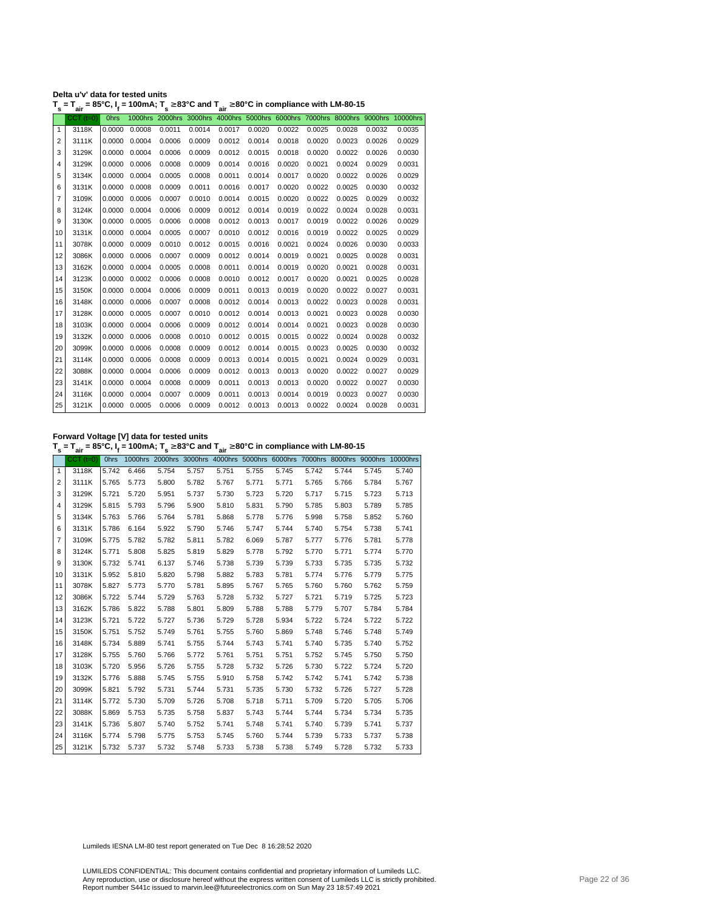| Delta u'v' data for tested units                                                                                                  |  |
|-----------------------------------------------------------------------------------------------------------------------------------|--|
| $T_s = T_{air} = 85^{\circ}$ C, $I_t = 100$ mA; $T_s \ge 83^{\circ}$ C and $T_{air} \ge 80^{\circ}$ C in compliance with LM-80-15 |  |

|                | $CCT$ (t=0) | <b>Ohrs</b> |        |        |        |        |        |        |        |        |        | 1000hrs 2000hrs 3000hrs 4000hrs 5000hrs 6000hrs 7000hrs 8000hrs 9000hrs 10000hrs |
|----------------|-------------|-------------|--------|--------|--------|--------|--------|--------|--------|--------|--------|----------------------------------------------------------------------------------|
| $\mathbf{1}$   | 3118K       | 0.0000      | 0.0008 | 0.0011 | 0.0014 | 0.0017 | 0.0020 | 0.0022 | 0.0025 | 0.0028 | 0.0032 | 0.0035                                                                           |
| $\overline{2}$ | 3111K       | 0.0000      | 0.0004 | 0.0006 | 0.0009 | 0.0012 | 0.0014 | 0.0018 | 0.0020 | 0.0023 | 0.0026 | 0.0029                                                                           |
| 3              | 3129K       | 0.0000      | 0.0004 | 0.0006 | 0.0009 | 0.0012 | 0.0015 | 0.0018 | 0.0020 | 0.0022 | 0.0026 | 0.0030                                                                           |
| 4              | 3129K       | 0.0000      | 0.0006 | 0.0008 | 0.0009 | 0.0014 | 0.0016 | 0.0020 | 0.0021 | 0.0024 | 0.0029 | 0.0031                                                                           |
| 5              | 3134K       | 0.0000      | 0.0004 | 0.0005 | 0.0008 | 0.0011 | 0.0014 | 0.0017 | 0.0020 | 0.0022 | 0.0026 | 0.0029                                                                           |
| 6              | 3131K       | 0.0000      | 0.0008 | 0.0009 | 0.0011 | 0.0016 | 0.0017 | 0.0020 | 0.0022 | 0.0025 | 0.0030 | 0.0032                                                                           |
| 7              | 3109K       | 0.0000      | 0.0006 | 0.0007 | 0.0010 | 0.0014 | 0.0015 | 0.0020 | 0.0022 | 0.0025 | 0.0029 | 0.0032                                                                           |
| 8              | 3124K       | 0.0000      | 0.0004 | 0.0006 | 0.0009 | 0.0012 | 0.0014 | 0.0019 | 0.0022 | 0.0024 | 0.0028 | 0.0031                                                                           |
| 9              | 3130K       | 0.0000      | 0.0005 | 0.0006 | 0.0008 | 0.0012 | 0.0013 | 0.0017 | 0.0019 | 0.0022 | 0.0026 | 0.0029                                                                           |
| 10             | 3131K       | 0.0000      | 0.0004 | 0.0005 | 0.0007 | 0.0010 | 0.0012 | 0.0016 | 0.0019 | 0.0022 | 0.0025 | 0.0029                                                                           |
| 11             | 3078K       | 0.0000      | 0.0009 | 0.0010 | 0.0012 | 0.0015 | 0.0016 | 0.0021 | 0.0024 | 0.0026 | 0.0030 | 0.0033                                                                           |
| 12             | 3086K       | 0.0000      | 0.0006 | 0.0007 | 0.0009 | 0.0012 | 0.0014 | 0.0019 | 0.0021 | 0.0025 | 0.0028 | 0.0031                                                                           |
| 13             | 3162K       | 0.0000      | 0.0004 | 0.0005 | 0.0008 | 0.0011 | 0.0014 | 0.0019 | 0.0020 | 0.0021 | 0.0028 | 0.0031                                                                           |
| 14             | 3123K       | 0.0000      | 0.0002 | 0.0006 | 0.0008 | 0.0010 | 0.0012 | 0.0017 | 0.0020 | 0.0021 | 0.0025 | 0.0028                                                                           |
| 15             | 3150K       | 0.0000      | 0.0004 | 0.0006 | 0.0009 | 0.0011 | 0.0013 | 0.0019 | 0.0020 | 0.0022 | 0.0027 | 0.0031                                                                           |
| 16             | 3148K       | 0.0000      | 0.0006 | 0.0007 | 0.0008 | 0.0012 | 0.0014 | 0.0013 | 0.0022 | 0.0023 | 0.0028 | 0.0031                                                                           |
| 17             | 3128K       | 0.0000      | 0.0005 | 0.0007 | 0.0010 | 0.0012 | 0.0014 | 0.0013 | 0.0021 | 0.0023 | 0.0028 | 0.0030                                                                           |
| 18             | 3103K       | 0.0000      | 0.0004 | 0.0006 | 0.0009 | 0.0012 | 0.0014 | 0.0014 | 0.0021 | 0.0023 | 0.0028 | 0.0030                                                                           |
| 19             | 3132K       | 0.0000      | 0.0006 | 0.0008 | 0.0010 | 0.0012 | 0.0015 | 0.0015 | 0.0022 | 0.0024 | 0.0028 | 0.0032                                                                           |
| 20             | 3099K       | 0.0000      | 0.0006 | 0.0008 | 0.0009 | 0.0012 | 0.0014 | 0.0015 | 0.0023 | 0.0025 | 0.0030 | 0.0032                                                                           |
| 21             | 3114K       | 0.0000      | 0.0006 | 0.0008 | 0.0009 | 0.0013 | 0.0014 | 0.0015 | 0.0021 | 0.0024 | 0.0029 | 0.0031                                                                           |
| 22             | 3088K       | 0.0000      | 0.0004 | 0.0006 | 0.0009 | 0.0012 | 0.0013 | 0.0013 | 0.0020 | 0.0022 | 0.0027 | 0.0029                                                                           |
| 23             | 3141K       | 0.0000      | 0.0004 | 0.0008 | 0.0009 | 0.0011 | 0.0013 | 0.0013 | 0.0020 | 0.0022 | 0.0027 | 0.0030                                                                           |
| 24             | 3116K       | 0.0000      | 0.0004 | 0.0007 | 0.0009 | 0.0011 | 0.0013 | 0.0014 | 0.0019 | 0.0023 | 0.0027 | 0.0030                                                                           |
| 25             | 3121K       | 0.0000      | 0.0005 | 0.0006 | 0.0009 | 0.0012 | 0.0013 | 0.0013 | 0.0022 | 0.0024 | 0.0028 | 0.0031                                                                           |

**Forward Voltage [V] data for tested units**

**T s = Tair = 85°C, I<sup>f</sup> = 100mA; T s** <sup>≥</sup> **83°C and Tair** <sup>≥</sup> **80°C in compliance with LM-80-15**

|              | $CCT$ ( $t=0$ ) | <b>Ohrs</b> |       |       |       |       |       |       |       |       |       | 1000hrs 2000hrs 3000hrs 4000hrs 5000hrs 6000hrs 7000hrs 8000hrs 9000hrs 10000hrs |
|--------------|-----------------|-------------|-------|-------|-------|-------|-------|-------|-------|-------|-------|----------------------------------------------------------------------------------|
| $\mathbf{1}$ | 3118K           | 5.742       | 6.466 | 5.754 | 5.757 | 5.751 | 5.755 | 5.745 | 5.742 | 5.744 | 5.745 | 5.740                                                                            |
| 2            | 3111K           | 5.765       | 5.773 | 5.800 | 5.782 | 5.767 | 5.771 | 5.771 | 5.765 | 5.766 | 5.784 | 5.767                                                                            |
| 3            | 3129K           | 5.721       | 5.720 | 5.951 | 5.737 | 5.730 | 5.723 | 5.720 | 5.717 | 5.715 | 5.723 | 5.713                                                                            |
| 4            | 3129K           | 5.815       | 5.793 | 5.796 | 5.900 | 5.810 | 5.831 | 5.790 | 5.785 | 5.803 | 5.789 | 5.785                                                                            |
| 5            | 3134K           | 5.763       | 5.766 | 5.764 | 5.781 | 5.868 | 5.778 | 5.776 | 5.998 | 5.758 | 5.852 | 5.760                                                                            |
| 6            | 3131K           | 5.786       | 6.164 | 5.922 | 5.790 | 5.746 | 5.747 | 5.744 | 5.740 | 5.754 | 5.738 | 5.741                                                                            |
| 7            | 3109K           | 5.775       | 5.782 | 5.782 | 5.811 | 5.782 | 6.069 | 5.787 | 5.777 | 5.776 | 5.781 | 5.778                                                                            |
| 8            | 3124K           | 5.771       | 5.808 | 5.825 | 5.819 | 5.829 | 5.778 | 5.792 | 5.770 | 5.771 | 5.774 | 5.770                                                                            |
| 9            | 3130K           | 5.732       | 5.741 | 6.137 | 5.746 | 5.738 | 5.739 | 5.739 | 5.733 | 5.735 | 5.735 | 5.732                                                                            |
| 10           | 3131K           | 5.952       | 5.810 | 5.820 | 5.798 | 5.882 | 5.783 | 5.781 | 5.774 | 5.776 | 5.779 | 5.775                                                                            |
| 11           | 3078K           | 5.827       | 5.773 | 5.770 | 5.781 | 5.895 | 5.767 | 5.765 | 5.760 | 5.760 | 5.762 | 5.759                                                                            |
| 12           | 3086K           | 5.722       | 5.744 | 5.729 | 5.763 | 5.728 | 5.732 | 5.727 | 5.721 | 5.719 | 5.725 | 5.723                                                                            |
| 13           | 3162K           | 5.786       | 5.822 | 5.788 | 5.801 | 5.809 | 5.788 | 5.788 | 5.779 | 5.707 | 5.784 | 5.784                                                                            |
| 14           | 3123K           | 5.721       | 5.722 | 5.727 | 5.736 | 5.729 | 5.728 | 5.934 | 5.722 | 5.724 | 5.722 | 5.722                                                                            |
| 15           | 3150K           | 5.751       | 5.752 | 5.749 | 5.761 | 5.755 | 5.760 | 5.869 | 5.748 | 5.746 | 5.748 | 5.749                                                                            |
| 16           | 3148K           | 5.734       | 5.889 | 5.741 | 5.755 | 5.744 | 5.743 | 5.741 | 5.740 | 5.735 | 5.740 | 5.752                                                                            |
| 17           | 3128K           | 5.755       | 5.760 | 5.766 | 5.772 | 5.761 | 5.751 | 5.751 | 5.752 | 5.745 | 5.750 | 5.750                                                                            |
| 18           | 3103K           | 5.720       | 5.956 | 5.726 | 5.755 | 5.728 | 5.732 | 5.726 | 5.730 | 5.722 | 5.724 | 5.720                                                                            |
| 19           | 3132K           | 5.776       | 5.888 | 5.745 | 5.755 | 5.910 | 5.758 | 5.742 | 5.742 | 5.741 | 5.742 | 5.738                                                                            |
| 20           | 3099K           | 5.821       | 5.792 | 5.731 | 5.744 | 5.731 | 5.735 | 5.730 | 5.732 | 5.726 | 5.727 | 5.728                                                                            |
| 21           | 3114K           | 5.772       | 5.730 | 5.709 | 5.726 | 5.708 | 5.718 | 5.711 | 5.709 | 5.720 | 5.705 | 5.706                                                                            |
| 22           | 3088K           | 5.869       | 5.753 | 5.735 | 5.758 | 5.837 | 5.743 | 5.744 | 5.744 | 5.734 | 5.734 | 5.735                                                                            |
| 23           | 3141K           | 5.736       | 5.807 | 5.740 | 5.752 | 5.741 | 5.748 | 5.741 | 5.740 | 5.739 | 5.741 | 5.737                                                                            |
| 24           | 3116K           | 5.774       | 5.798 | 5.775 | 5.753 | 5.745 | 5.760 | 5.744 | 5.739 | 5.733 | 5.737 | 5.738                                                                            |
| 25           | 3121K           | 5.732       | 5.737 | 5.732 | 5.748 | 5.733 | 5.738 | 5.738 | 5.749 | 5.728 | 5.732 | 5.733                                                                            |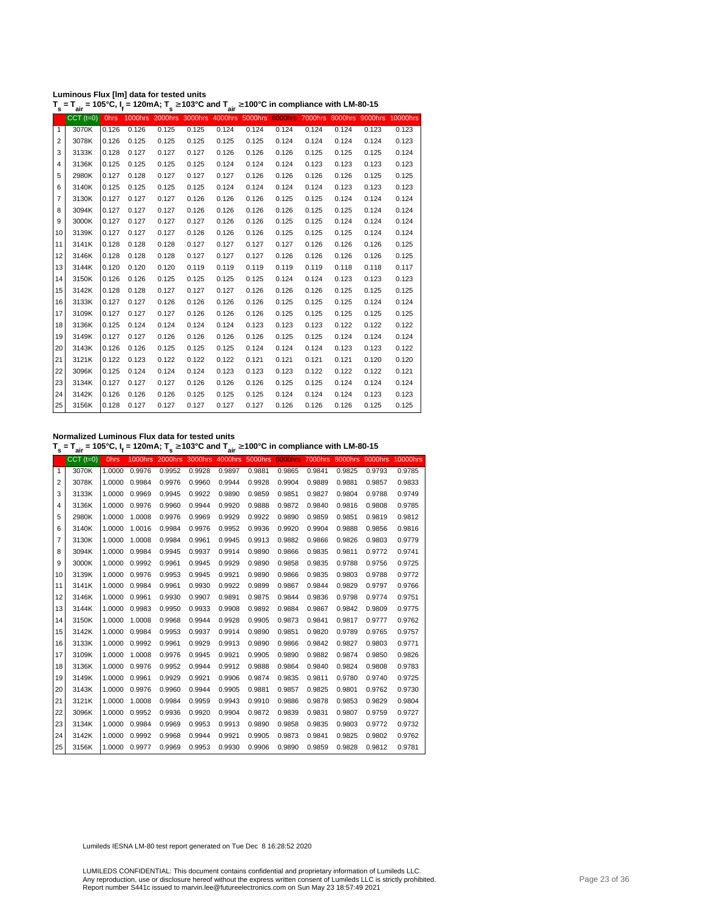| Luminous Flux [Im] data for tested units                                                                         |  |
|------------------------------------------------------------------------------------------------------------------|--|
| $T = T = 105^{\circ}C + 120 \text{mA} \cdot T > 103^{\circ}C$ and $T > 100^{\circ}C$ in compliance with LM-80-14 |  |

|              | $T_s = T_{air} = 105^{\circ}$ C, $I_f = 120$ mA; $T_s \ge 103^{\circ}$ C and $T_{air} \ge 100^{\circ}$ C in compliance with LM-80-15 |             |       |       |       |       |       |       |       |       |                                                                                  |       |
|--------------|--------------------------------------------------------------------------------------------------------------------------------------|-------------|-------|-------|-------|-------|-------|-------|-------|-------|----------------------------------------------------------------------------------|-------|
|              | $CCT$ $(t=0)$                                                                                                                        | <b>Ohrs</b> |       |       |       |       |       |       |       |       | 1000hrs 2000hrs 3000hrs 4000hrs 5000hrs 6000hrs 7000hrs 8000hrs 9000hrs 10000hrs |       |
| $\mathbf{1}$ | 3070K                                                                                                                                | 0.126       | 0.126 | 0.125 | 0.125 | 0.124 | 0.124 | 0.124 | 0.124 | 0.124 | 0.123                                                                            | 0.123 |
| 2            | 3078K                                                                                                                                | 0.126       | 0.125 | 0.125 | 0.125 | 0.125 | 0.125 | 0.124 | 0.124 | 0.124 | 0.124                                                                            | 0.123 |
| 3            | 3133K                                                                                                                                | 0.128       | 0.127 | 0.127 | 0.127 | 0.126 | 0.126 | 0.126 | 0.125 | 0.125 | 0.125                                                                            | 0.124 |
| 4            | 3136K                                                                                                                                | 0.125       | 0.125 | 0.125 | 0.125 | 0.124 | 0.124 | 0.124 | 0.123 | 0.123 | 0.123                                                                            | 0.123 |
| 5            | 2980K                                                                                                                                | 0.127       | 0.128 | 0.127 | 0.127 | 0.127 | 0.126 | 0.126 | 0.126 | 0.126 | 0.125                                                                            | 0.125 |
| 6            | 3140K                                                                                                                                | 0.125       | 0.125 | 0.125 | 0.125 | 0.124 | 0.124 | 0.124 | 0.124 | 0.123 | 0.123                                                                            | 0.123 |
| 7            | 3130K                                                                                                                                | 0.127       | 0.127 | 0.127 | 0.126 | 0.126 | 0.126 | 0.125 | 0.125 | 0.124 | 0.124                                                                            | 0.124 |
| 8            | 3094K                                                                                                                                | 0.127       | 0.127 | 0.127 | 0.126 | 0.126 | 0.126 | 0.126 | 0.125 | 0.125 | 0.124                                                                            | 0.124 |
| 9            | 3000K                                                                                                                                | 0.127       | 0.127 | 0.127 | 0.127 | 0.126 | 0.126 | 0.125 | 0.125 | 0.124 | 0.124                                                                            | 0.124 |
| 10           | 3139K                                                                                                                                | 0.127       | 0.127 | 0.127 | 0.126 | 0.126 | 0.126 | 0.125 | 0.125 | 0.125 | 0.124                                                                            | 0.124 |
| 11           | 3141K                                                                                                                                | 0.128       | 0.128 | 0.128 | 0.127 | 0.127 | 0.127 | 0.127 | 0.126 | 0.126 | 0.126                                                                            | 0.125 |
| 12           | 3146K                                                                                                                                | 0.128       | 0.128 | 0.128 | 0.127 | 0.127 | 0.127 | 0.126 | 0.126 | 0.126 | 0.126                                                                            | 0.125 |
| 13           | 3144K                                                                                                                                | 0.120       | 0.120 | 0.120 | 0.119 | 0.119 | 0.119 | 0.119 | 0.119 | 0.118 | 0.118                                                                            | 0.117 |
| 14           | 3150K                                                                                                                                | 0.126       | 0.126 | 0.125 | 0.125 | 0.125 | 0.125 | 0.124 | 0.124 | 0.123 | 0.123                                                                            | 0.123 |
| 15           | 3142K                                                                                                                                | 0.128       | 0.128 | 0.127 | 0.127 | 0.127 | 0.126 | 0.126 | 0.126 | 0.125 | 0.125                                                                            | 0.125 |
| 16           | 3133K                                                                                                                                | 0.127       | 0.127 | 0.126 | 0.126 | 0.126 | 0.126 | 0.125 | 0.125 | 0.125 | 0.124                                                                            | 0.124 |
| 17           | 3109K                                                                                                                                | 0.127       | 0.127 | 0.127 | 0.126 | 0.126 | 0.126 | 0.125 | 0.125 | 0.125 | 0.125                                                                            | 0.125 |
| 18           | 3136K                                                                                                                                | 0.125       | 0.124 | 0.124 | 0.124 | 0.124 | 0.123 | 0.123 | 0.123 | 0.122 | 0.122                                                                            | 0.122 |
| 19           | 3149K                                                                                                                                | 0.127       | 0.127 | 0.126 | 0.126 | 0.126 | 0.126 | 0.125 | 0.125 | 0.124 | 0.124                                                                            | 0.124 |
| 20           | 3143K                                                                                                                                | 0.126       | 0.126 | 0.125 | 0.125 | 0.125 | 0.124 | 0.124 | 0.124 | 0.123 | 0.123                                                                            | 0.122 |
| 21           | 3121K                                                                                                                                | 0.122       | 0.123 | 0.122 | 0.122 | 0.122 | 0.121 | 0.121 | 0.121 | 0.121 | 0.120                                                                            | 0.120 |
| 22           | 3096K                                                                                                                                | 0.125       | 0.124 | 0.124 | 0.124 | 0.123 | 0.123 | 0.123 | 0.122 | 0.122 | 0.122                                                                            | 0.121 |
| 23           | 3134K                                                                                                                                | 0.127       | 0.127 | 0.127 | 0.126 | 0.126 | 0.126 | 0.125 | 0.125 | 0.124 | 0.124                                                                            | 0.124 |
| 24           | 3142K                                                                                                                                | 0.126       | 0.126 | 0.126 | 0.125 | 0.125 | 0.125 | 0.124 | 0.124 | 0.124 | 0.123                                                                            | 0.123 |
| 25           | 3156K                                                                                                                                | 0.128       | 0.127 | 0.127 | 0.127 | 0.127 | 0.127 | 0.126 | 0.126 | 0.126 | 0.125                                                                            | 0.125 |

**Normalized Luminous Flux data for tested units**

**T s = Tair = 105°C, I<sup>f</sup> = 120mA; T s** <sup>≥</sup> **103°C and Tair** <sup>≥</sup> **100°C in compliance with LM-80-15**

|              | $CCT$ $(t=0)$ | <b>Ohrs</b> |        |        |        |        |        |        |        |        |        | 1000hrs 2000hrs 3000hrs 4000hrs 5000hrs 6000hrs 7000hrs 8000hrs 9000hrs 10000hrs |
|--------------|---------------|-------------|--------|--------|--------|--------|--------|--------|--------|--------|--------|----------------------------------------------------------------------------------|
| $\mathbf{1}$ | 3070K         | 1.0000      | 0.9976 | 0.9952 | 0.9928 | 0.9897 | 0.9881 | 0.9865 | 0.9841 | 0.9825 | 0.9793 | 0.9785                                                                           |
| 2            | 3078K         | 1.0000      | 0.9984 | 0.9976 | 0.9960 | 0.9944 | 0.9928 | 0.9904 | 0.9889 | 0.9881 | 0.9857 | 0.9833                                                                           |
| 3            | 3133K         | 1.0000      | 0.9969 | 0.9945 | 0.9922 | 0.9890 | 0.9859 | 0.9851 | 0.9827 | 0.9804 | 0.9788 | 0.9749                                                                           |
| 4            | 3136K         | 1.0000      | 0.9976 | 0.9960 | 0.9944 | 0.9920 | 0.9888 | 0.9872 | 0.9840 | 0.9816 | 0.9808 | 0.9785                                                                           |
| 5            | 2980K         | 1.0000      | 1.0008 | 0.9976 | 0.9969 | 0.9929 | 0.9922 | 0.9890 | 0.9859 | 0.9851 | 0.9819 | 0.9812                                                                           |
| 6            | 3140K         | 1.0000      | 1.0016 | 0.9984 | 0.9976 | 0.9952 | 0.9936 | 0.9920 | 0.9904 | 0.9888 | 0.9856 | 0.9816                                                                           |
| 7            | 3130K         | 1.0000      | 1.0008 | 0.9984 | 0.9961 | 0.9945 | 0.9913 | 0.9882 | 0.9866 | 0.9826 | 0.9803 | 0.9779                                                                           |
| 8            | 3094K         | 1.0000      | 0.9984 | 0.9945 | 0.9937 | 0.9914 | 0.9890 | 0.9866 | 0.9835 | 0.9811 | 0.9772 | 0.9741                                                                           |
| 9            | 3000K         | 1.0000      | 0.9992 | 0.9961 | 0.9945 | 0.9929 | 0.9890 | 0.9858 | 0.9835 | 0.9788 | 0.9756 | 0.9725                                                                           |
| 10           | 3139K         | 1.0000      | 0.9976 | 0.9953 | 0.9945 | 0.9921 | 0.9890 | 0.9866 | 0.9835 | 0.9803 | 0.9788 | 0.9772                                                                           |
| 11           | 3141K         | 1.0000      | 0.9984 | 0.9961 | 0.9930 | 0.9922 | 0.9899 | 0.9867 | 0.9844 | 0.9829 | 0.9797 | 0.9766                                                                           |
| 12           | 3146K         | 1.0000      | 0.9961 | 0.9930 | 0.9907 | 0.9891 | 0.9875 | 0.9844 | 0.9836 | 0.9798 | 0.9774 | 0.9751                                                                           |
| 13           | 3144K         | 1.0000      | 0.9983 | 0.9950 | 0.9933 | 0.9908 | 0.9892 | 0.9884 | 0.9867 | 0.9842 | 0.9809 | 0.9775                                                                           |
| 14           | 3150K         | 1.0000      | 1.0008 | 0.9968 | 0.9944 | 0.9928 | 0.9905 | 0.9873 | 0.9841 | 0.9817 | 0.9777 | 0.9762                                                                           |
| 15           | 3142K         | 1.0000      | 0.9984 | 0.9953 | 0.9937 | 0.9914 | 0.9890 | 0.9851 | 0.9820 | 0.9789 | 0.9765 | 0.9757                                                                           |
| 16           | 3133K         | 1.0000      | 0.9992 | 0.9961 | 0.9929 | 0.9913 | 0.9890 | 0.9866 | 0.9842 | 0.9827 | 0.9803 | 0.9771                                                                           |
| 17           | 3109K         | 1.0000      | 1.0008 | 0.9976 | 0.9945 | 0.9921 | 0.9905 | 0.9890 | 0.9882 | 0.9874 | 0.9850 | 0.9826                                                                           |
| 18           | 3136K         | 1.0000      | 0.9976 | 0.9952 | 0.9944 | 0.9912 | 0.9888 | 0.9864 | 0.9840 | 0.9824 | 0.9808 | 0.9783                                                                           |
| 19           | 3149K         | 1.0000      | 0.9961 | 0.9929 | 0.9921 | 0.9906 | 0.9874 | 0.9835 | 0.9811 | 0.9780 | 0.9740 | 0.9725                                                                           |
| 20           | 3143K         | 1.0000      | 0.9976 | 0.9960 | 0.9944 | 0.9905 | 0.9881 | 0.9857 | 0.9825 | 0.9801 | 0.9762 | 0.9730                                                                           |
| 21           | 3121K         | 1.0000      | 1.0008 | 0.9984 | 0.9959 | 0.9943 | 0.9910 | 0.9886 | 0.9878 | 0.9853 | 0.9829 | 0.9804                                                                           |
| 22           | 3096K         | 1.0000      | 0.9952 | 0.9936 | 0.9920 | 0.9904 | 0.9872 | 0.9839 | 0.9831 | 0.9807 | 0.9759 | 0.9727                                                                           |
| 23           | 3134K         | 1.0000      | 0.9984 | 0.9969 | 0.9953 | 0.9913 | 0.9890 | 0.9858 | 0.9835 | 0.9803 | 0.9772 | 0.9732                                                                           |
| 24           | 3142K         | 1.0000      | 0.9992 | 0.9968 | 0.9944 | 0.9921 | 0.9905 | 0.9873 | 0.9841 | 0.9825 | 0.9802 | 0.9762                                                                           |
| 25           | 3156K         | 1.0000      | 0.9977 | 0.9969 | 0.9953 | 0.9930 | 0.9906 | 0.9890 | 0.9859 | 0.9828 | 0.9812 | 0.9781                                                                           |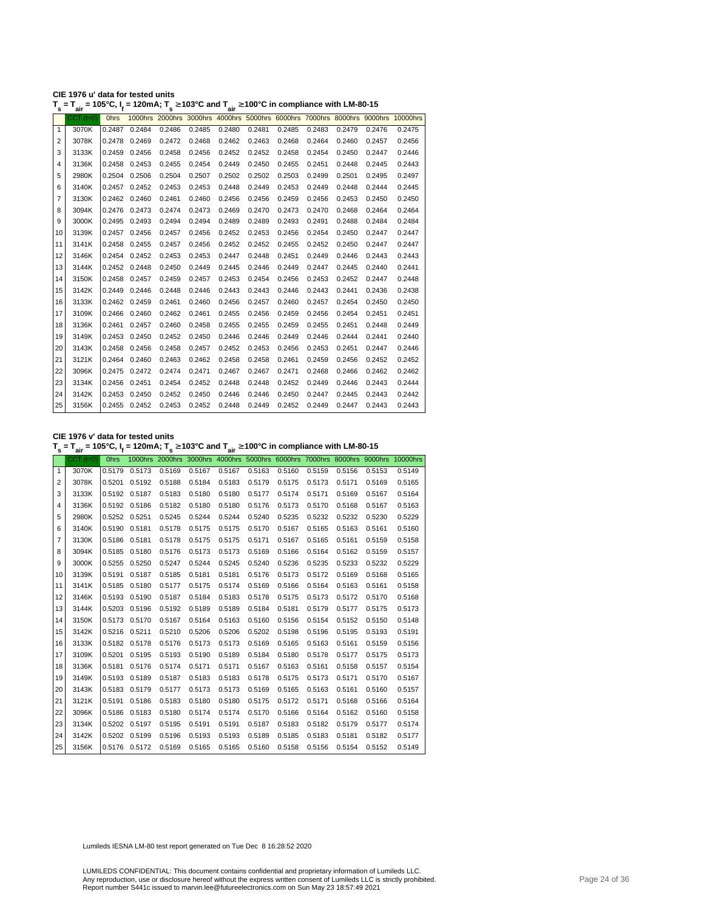| CIE 1976 u' data for tested units                                                                                                                  |  |
|----------------------------------------------------------------------------------------------------------------------------------------------------|--|
| T <sub>s</sub> = T <sub>air</sub> = 105°C, I <sub>f</sub> = 120mA; T <sub>s</sub> ≥ 103°C and T <sub>air</sub> ≥ 100°C in compliance with LM-80-15 |  |

| $CCT$ ( $t=0$ )<br>1000hrs 2000hrs 3000hrs 4000hrs 5000hrs 6000hrs 7000hrs 8000hrs 9000hrs 10000hrs<br><b>Ohrs</b><br>3070K<br>0.2484<br>0.2486<br>0.2485<br>0.2480<br>0.2481<br>0.2485<br>0.2483<br>0.2479<br>0.2476<br>$\mathbf{1}$<br>0.2487<br>3078K<br>0.2472<br>0.2468<br>0.2462<br>0.2463<br>0.2468<br>0.2464<br>$\overline{2}$<br>0.2469<br>0.2460<br>0.2457<br>0.2478<br>3<br>3133K<br>0.2456<br>0.2458<br>0.2456<br>0.2452<br>0.2452<br>0.2458<br>0.2454<br>0.2450<br>0.2447<br>0.2459<br>3136K<br>0.2458<br>0.2453<br>0.2455<br>0.2454<br>0.2449<br>0.2450<br>0.2455<br>0.2451<br>0.2448<br>0.2445<br>4<br>2980K<br>0.2503<br>5<br>0.2504<br>0.2506<br>0.2504<br>0.2507<br>0.2502<br>0.2502<br>0.2499<br>0.2501<br>0.2495<br>3140K<br>0.2452<br>0.2453<br>0.2453<br>0.2448<br>0.2449<br>0.2453<br>0.2449<br>0.2448<br>0.2444<br>6<br>0.2457<br>3130K<br>0.2460<br>0.2461<br>0.2460<br>0.2456<br>0.2456<br>0.2459<br>0.2456<br>7<br>0.2462<br>0.2453<br>0.2450<br>0.2469<br>0.2470<br>0.2464<br>3094K<br>0.2476 0.2473<br>0.2474<br>0.2473<br>0.2473<br>0.2470<br>0.2468<br>8<br>3000K<br>0.2493<br>0.2494<br>0.2494<br>0.2489<br>0.2489<br>0.2493<br>0.2491<br>0.2488<br>9<br>0.2495<br>0.2484<br>3139K<br>0.2457<br>10<br>0.2457<br>0.2456<br>0.2456<br>0.2452<br>0.2453<br>0.2456<br>0.2454<br>0.2450<br>0.2447<br>0.2457<br>0.2452<br>0.2452<br>0.2455<br>0.2450<br>11<br>3141K<br>0.2458<br>0.2455<br>0.2456<br>0.2452<br>0.2447<br>12<br>3146K<br>0.2452<br>0.2453<br>0.2453<br>0.2447<br>0.2448<br>0.2451<br>0.2449<br>0.2446<br>0.2443<br>0.2454<br>13<br>0.2450<br>0.2449<br>0.2445<br>0.2446<br>0.2449<br>3144K<br>0.2452 0.2448<br>0.2447<br>0.2445<br>0.2440<br>3150K<br>0.2457<br>0.2459<br>0.2457<br>0.2453<br>0.2454<br>0.2456<br>0.2453<br>0.2452<br>0.2447<br>14<br>0.2458<br>15<br>3142K<br>0.2446<br>0.2448<br>0.2446<br>0.2443<br>0.2443<br>0.2446<br>0.2441<br>0.2436<br>0.2449<br>0.2443<br>3133K<br>0.2459<br>0.2461<br>0.2460<br>0.2456<br>0.2457<br>0.2460<br>0.2457<br>0.2454<br>0.2450<br>16<br>0.2462<br>17<br>3109K<br>0.2462<br>0.2461<br>0.2455<br>0.2456<br>0.2459<br>0.2451<br>0.2466<br>0.2460<br>0.2456<br>0.2454<br>18<br>3136K<br>0.2460<br>0.2458<br>0.2455<br>0.2455<br>0.2459<br>0.2455<br>0.2451<br>0.2461<br>0.2457<br>0.2448<br>19<br>3149K<br>0.2453<br>0.2450<br>0.2452<br>0.2450<br>0.2446<br>0.2446<br>0.2449<br>0.2446<br>0.2444<br>0.2441<br>20<br>3143K<br>0.2456<br>0.2458<br>0.2457<br>0.2452<br>0.2453<br>0.2456<br>0.2453<br>0.2451<br>0.2447<br>0.2458<br>21<br>3121K<br>0.2460<br>0.2463<br>0.2462<br>0.2458<br>0.2458<br>0.2461<br>0.2459<br>0.2456<br>0.2452<br>0.2464<br>22<br>3096K<br>0.2474<br>0.2471<br>0.2467<br>0.2467<br>0.2471<br>0.2468<br>0.2472<br>0.2466<br>0.2462<br>0.2475<br>23<br>3134K<br>0.2451<br>0.2454<br>0.2452<br>0.2448<br>0.2448<br>0.2452<br>0.2449<br>0.2446<br>0.2443<br>0.2456<br>24<br>3142K<br>0.2453<br>0.2450<br>0.2452<br>0.2450<br>0.2446<br>0.2446<br>0.2450<br>0.2447<br>0.2445<br>0.2443<br>25<br>0.2453 0.2452<br>0.2448<br>0.2449 0.2452<br>0.2449<br>3156K<br>0.2455 0.2452<br>0.2447<br>0.2443 | s | ີ່air | . | - . - - , . <sub>s</sub> | - '' | $\sim$ $\frac{1}{2}$ air | $\sim$ $\ldots$ $\sim$ $\ldots$ $\sim$ $\ldots$ $\sim$ $\sim$ |  |        |
|---------------------------------------------------------------------------------------------------------------------------------------------------------------------------------------------------------------------------------------------------------------------------------------------------------------------------------------------------------------------------------------------------------------------------------------------------------------------------------------------------------------------------------------------------------------------------------------------------------------------------------------------------------------------------------------------------------------------------------------------------------------------------------------------------------------------------------------------------------------------------------------------------------------------------------------------------------------------------------------------------------------------------------------------------------------------------------------------------------------------------------------------------------------------------------------------------------------------------------------------------------------------------------------------------------------------------------------------------------------------------------------------------------------------------------------------------------------------------------------------------------------------------------------------------------------------------------------------------------------------------------------------------------------------------------------------------------------------------------------------------------------------------------------------------------------------------------------------------------------------------------------------------------------------------------------------------------------------------------------------------------------------------------------------------------------------------------------------------------------------------------------------------------------------------------------------------------------------------------------------------------------------------------------------------------------------------------------------------------------------------------------------------------------------------------------------------------------------------------------------------------------------------------------------------------------------------------------------------------------------------------------------------------------------------------------------------------------------------------------------------------------------------------------------------------------------------------------------------------------------------------------------------------------------------------------------------------------------------------------------------------------------------------------------------------------------------------------------------------------|---|-------|---|--------------------------|------|--------------------------|---------------------------------------------------------------|--|--------|
|                                                                                                                                                                                                                                                                                                                                                                                                                                                                                                                                                                                                                                                                                                                                                                                                                                                                                                                                                                                                                                                                                                                                                                                                                                                                                                                                                                                                                                                                                                                                                                                                                                                                                                                                                                                                                                                                                                                                                                                                                                                                                                                                                                                                                                                                                                                                                                                                                                                                                                                                                                                                                                                                                                                                                                                                                                                                                                                                                                                                                                                                                                               |   |       |   |                          |      |                          |                                                               |  |        |
|                                                                                                                                                                                                                                                                                                                                                                                                                                                                                                                                                                                                                                                                                                                                                                                                                                                                                                                                                                                                                                                                                                                                                                                                                                                                                                                                                                                                                                                                                                                                                                                                                                                                                                                                                                                                                                                                                                                                                                                                                                                                                                                                                                                                                                                                                                                                                                                                                                                                                                                                                                                                                                                                                                                                                                                                                                                                                                                                                                                                                                                                                                               |   |       |   |                          |      |                          |                                                               |  | 0.2475 |
|                                                                                                                                                                                                                                                                                                                                                                                                                                                                                                                                                                                                                                                                                                                                                                                                                                                                                                                                                                                                                                                                                                                                                                                                                                                                                                                                                                                                                                                                                                                                                                                                                                                                                                                                                                                                                                                                                                                                                                                                                                                                                                                                                                                                                                                                                                                                                                                                                                                                                                                                                                                                                                                                                                                                                                                                                                                                                                                                                                                                                                                                                                               |   |       |   |                          |      |                          |                                                               |  | 0.2456 |
|                                                                                                                                                                                                                                                                                                                                                                                                                                                                                                                                                                                                                                                                                                                                                                                                                                                                                                                                                                                                                                                                                                                                                                                                                                                                                                                                                                                                                                                                                                                                                                                                                                                                                                                                                                                                                                                                                                                                                                                                                                                                                                                                                                                                                                                                                                                                                                                                                                                                                                                                                                                                                                                                                                                                                                                                                                                                                                                                                                                                                                                                                                               |   |       |   |                          |      |                          |                                                               |  | 0.2446 |
|                                                                                                                                                                                                                                                                                                                                                                                                                                                                                                                                                                                                                                                                                                                                                                                                                                                                                                                                                                                                                                                                                                                                                                                                                                                                                                                                                                                                                                                                                                                                                                                                                                                                                                                                                                                                                                                                                                                                                                                                                                                                                                                                                                                                                                                                                                                                                                                                                                                                                                                                                                                                                                                                                                                                                                                                                                                                                                                                                                                                                                                                                                               |   |       |   |                          |      |                          |                                                               |  | 0.2443 |
|                                                                                                                                                                                                                                                                                                                                                                                                                                                                                                                                                                                                                                                                                                                                                                                                                                                                                                                                                                                                                                                                                                                                                                                                                                                                                                                                                                                                                                                                                                                                                                                                                                                                                                                                                                                                                                                                                                                                                                                                                                                                                                                                                                                                                                                                                                                                                                                                                                                                                                                                                                                                                                                                                                                                                                                                                                                                                                                                                                                                                                                                                                               |   |       |   |                          |      |                          |                                                               |  | 0.2497 |
|                                                                                                                                                                                                                                                                                                                                                                                                                                                                                                                                                                                                                                                                                                                                                                                                                                                                                                                                                                                                                                                                                                                                                                                                                                                                                                                                                                                                                                                                                                                                                                                                                                                                                                                                                                                                                                                                                                                                                                                                                                                                                                                                                                                                                                                                                                                                                                                                                                                                                                                                                                                                                                                                                                                                                                                                                                                                                                                                                                                                                                                                                                               |   |       |   |                          |      |                          |                                                               |  | 0.2445 |
|                                                                                                                                                                                                                                                                                                                                                                                                                                                                                                                                                                                                                                                                                                                                                                                                                                                                                                                                                                                                                                                                                                                                                                                                                                                                                                                                                                                                                                                                                                                                                                                                                                                                                                                                                                                                                                                                                                                                                                                                                                                                                                                                                                                                                                                                                                                                                                                                                                                                                                                                                                                                                                                                                                                                                                                                                                                                                                                                                                                                                                                                                                               |   |       |   |                          |      |                          |                                                               |  | 0.2450 |
|                                                                                                                                                                                                                                                                                                                                                                                                                                                                                                                                                                                                                                                                                                                                                                                                                                                                                                                                                                                                                                                                                                                                                                                                                                                                                                                                                                                                                                                                                                                                                                                                                                                                                                                                                                                                                                                                                                                                                                                                                                                                                                                                                                                                                                                                                                                                                                                                                                                                                                                                                                                                                                                                                                                                                                                                                                                                                                                                                                                                                                                                                                               |   |       |   |                          |      |                          |                                                               |  | 0.2464 |
|                                                                                                                                                                                                                                                                                                                                                                                                                                                                                                                                                                                                                                                                                                                                                                                                                                                                                                                                                                                                                                                                                                                                                                                                                                                                                                                                                                                                                                                                                                                                                                                                                                                                                                                                                                                                                                                                                                                                                                                                                                                                                                                                                                                                                                                                                                                                                                                                                                                                                                                                                                                                                                                                                                                                                                                                                                                                                                                                                                                                                                                                                                               |   |       |   |                          |      |                          |                                                               |  | 0.2484 |
|                                                                                                                                                                                                                                                                                                                                                                                                                                                                                                                                                                                                                                                                                                                                                                                                                                                                                                                                                                                                                                                                                                                                                                                                                                                                                                                                                                                                                                                                                                                                                                                                                                                                                                                                                                                                                                                                                                                                                                                                                                                                                                                                                                                                                                                                                                                                                                                                                                                                                                                                                                                                                                                                                                                                                                                                                                                                                                                                                                                                                                                                                                               |   |       |   |                          |      |                          |                                                               |  | 0.2447 |
|                                                                                                                                                                                                                                                                                                                                                                                                                                                                                                                                                                                                                                                                                                                                                                                                                                                                                                                                                                                                                                                                                                                                                                                                                                                                                                                                                                                                                                                                                                                                                                                                                                                                                                                                                                                                                                                                                                                                                                                                                                                                                                                                                                                                                                                                                                                                                                                                                                                                                                                                                                                                                                                                                                                                                                                                                                                                                                                                                                                                                                                                                                               |   |       |   |                          |      |                          |                                                               |  | 0.2447 |
|                                                                                                                                                                                                                                                                                                                                                                                                                                                                                                                                                                                                                                                                                                                                                                                                                                                                                                                                                                                                                                                                                                                                                                                                                                                                                                                                                                                                                                                                                                                                                                                                                                                                                                                                                                                                                                                                                                                                                                                                                                                                                                                                                                                                                                                                                                                                                                                                                                                                                                                                                                                                                                                                                                                                                                                                                                                                                                                                                                                                                                                                                                               |   |       |   |                          |      |                          |                                                               |  | 0.2443 |
|                                                                                                                                                                                                                                                                                                                                                                                                                                                                                                                                                                                                                                                                                                                                                                                                                                                                                                                                                                                                                                                                                                                                                                                                                                                                                                                                                                                                                                                                                                                                                                                                                                                                                                                                                                                                                                                                                                                                                                                                                                                                                                                                                                                                                                                                                                                                                                                                                                                                                                                                                                                                                                                                                                                                                                                                                                                                                                                                                                                                                                                                                                               |   |       |   |                          |      |                          |                                                               |  | 0.2441 |
|                                                                                                                                                                                                                                                                                                                                                                                                                                                                                                                                                                                                                                                                                                                                                                                                                                                                                                                                                                                                                                                                                                                                                                                                                                                                                                                                                                                                                                                                                                                                                                                                                                                                                                                                                                                                                                                                                                                                                                                                                                                                                                                                                                                                                                                                                                                                                                                                                                                                                                                                                                                                                                                                                                                                                                                                                                                                                                                                                                                                                                                                                                               |   |       |   |                          |      |                          |                                                               |  | 0.2448 |
|                                                                                                                                                                                                                                                                                                                                                                                                                                                                                                                                                                                                                                                                                                                                                                                                                                                                                                                                                                                                                                                                                                                                                                                                                                                                                                                                                                                                                                                                                                                                                                                                                                                                                                                                                                                                                                                                                                                                                                                                                                                                                                                                                                                                                                                                                                                                                                                                                                                                                                                                                                                                                                                                                                                                                                                                                                                                                                                                                                                                                                                                                                               |   |       |   |                          |      |                          |                                                               |  | 0.2438 |
|                                                                                                                                                                                                                                                                                                                                                                                                                                                                                                                                                                                                                                                                                                                                                                                                                                                                                                                                                                                                                                                                                                                                                                                                                                                                                                                                                                                                                                                                                                                                                                                                                                                                                                                                                                                                                                                                                                                                                                                                                                                                                                                                                                                                                                                                                                                                                                                                                                                                                                                                                                                                                                                                                                                                                                                                                                                                                                                                                                                                                                                                                                               |   |       |   |                          |      |                          |                                                               |  | 0.2450 |
|                                                                                                                                                                                                                                                                                                                                                                                                                                                                                                                                                                                                                                                                                                                                                                                                                                                                                                                                                                                                                                                                                                                                                                                                                                                                                                                                                                                                                                                                                                                                                                                                                                                                                                                                                                                                                                                                                                                                                                                                                                                                                                                                                                                                                                                                                                                                                                                                                                                                                                                                                                                                                                                                                                                                                                                                                                                                                                                                                                                                                                                                                                               |   |       |   |                          |      |                          |                                                               |  | 0.2451 |
|                                                                                                                                                                                                                                                                                                                                                                                                                                                                                                                                                                                                                                                                                                                                                                                                                                                                                                                                                                                                                                                                                                                                                                                                                                                                                                                                                                                                                                                                                                                                                                                                                                                                                                                                                                                                                                                                                                                                                                                                                                                                                                                                                                                                                                                                                                                                                                                                                                                                                                                                                                                                                                                                                                                                                                                                                                                                                                                                                                                                                                                                                                               |   |       |   |                          |      |                          |                                                               |  | 0.2449 |
|                                                                                                                                                                                                                                                                                                                                                                                                                                                                                                                                                                                                                                                                                                                                                                                                                                                                                                                                                                                                                                                                                                                                                                                                                                                                                                                                                                                                                                                                                                                                                                                                                                                                                                                                                                                                                                                                                                                                                                                                                                                                                                                                                                                                                                                                                                                                                                                                                                                                                                                                                                                                                                                                                                                                                                                                                                                                                                                                                                                                                                                                                                               |   |       |   |                          |      |                          |                                                               |  | 0.2440 |
|                                                                                                                                                                                                                                                                                                                                                                                                                                                                                                                                                                                                                                                                                                                                                                                                                                                                                                                                                                                                                                                                                                                                                                                                                                                                                                                                                                                                                                                                                                                                                                                                                                                                                                                                                                                                                                                                                                                                                                                                                                                                                                                                                                                                                                                                                                                                                                                                                                                                                                                                                                                                                                                                                                                                                                                                                                                                                                                                                                                                                                                                                                               |   |       |   |                          |      |                          |                                                               |  | 0.2446 |
|                                                                                                                                                                                                                                                                                                                                                                                                                                                                                                                                                                                                                                                                                                                                                                                                                                                                                                                                                                                                                                                                                                                                                                                                                                                                                                                                                                                                                                                                                                                                                                                                                                                                                                                                                                                                                                                                                                                                                                                                                                                                                                                                                                                                                                                                                                                                                                                                                                                                                                                                                                                                                                                                                                                                                                                                                                                                                                                                                                                                                                                                                                               |   |       |   |                          |      |                          |                                                               |  | 0.2452 |
|                                                                                                                                                                                                                                                                                                                                                                                                                                                                                                                                                                                                                                                                                                                                                                                                                                                                                                                                                                                                                                                                                                                                                                                                                                                                                                                                                                                                                                                                                                                                                                                                                                                                                                                                                                                                                                                                                                                                                                                                                                                                                                                                                                                                                                                                                                                                                                                                                                                                                                                                                                                                                                                                                                                                                                                                                                                                                                                                                                                                                                                                                                               |   |       |   |                          |      |                          |                                                               |  | 0.2462 |
|                                                                                                                                                                                                                                                                                                                                                                                                                                                                                                                                                                                                                                                                                                                                                                                                                                                                                                                                                                                                                                                                                                                                                                                                                                                                                                                                                                                                                                                                                                                                                                                                                                                                                                                                                                                                                                                                                                                                                                                                                                                                                                                                                                                                                                                                                                                                                                                                                                                                                                                                                                                                                                                                                                                                                                                                                                                                                                                                                                                                                                                                                                               |   |       |   |                          |      |                          |                                                               |  | 0.2444 |
|                                                                                                                                                                                                                                                                                                                                                                                                                                                                                                                                                                                                                                                                                                                                                                                                                                                                                                                                                                                                                                                                                                                                                                                                                                                                                                                                                                                                                                                                                                                                                                                                                                                                                                                                                                                                                                                                                                                                                                                                                                                                                                                                                                                                                                                                                                                                                                                                                                                                                                                                                                                                                                                                                                                                                                                                                                                                                                                                                                                                                                                                                                               |   |       |   |                          |      |                          |                                                               |  | 0.2442 |
|                                                                                                                                                                                                                                                                                                                                                                                                                                                                                                                                                                                                                                                                                                                                                                                                                                                                                                                                                                                                                                                                                                                                                                                                                                                                                                                                                                                                                                                                                                                                                                                                                                                                                                                                                                                                                                                                                                                                                                                                                                                                                                                                                                                                                                                                                                                                                                                                                                                                                                                                                                                                                                                                                                                                                                                                                                                                                                                                                                                                                                                                                                               |   |       |   |                          |      |                          |                                                               |  | 0.2443 |

**CIE 1976 v' data for tested units**

**T s = Tair = 105°C, I<sup>f</sup> = 120mA; T s** <sup>≥</sup> **103°C and Tair** <sup>≥</sup> **100°C in compliance with LM-80-15**

|              | $CCT$ $(t=0)$ | <b>Ohrs</b> |               |                                    |        |        |                                        |        |        |        |        | 1000hrs 2000hrs 3000hrs 4000hrs 5000hrs 6000hrs 7000hrs 8000hrs 9000hrs 10000hrs |
|--------------|---------------|-------------|---------------|------------------------------------|--------|--------|----------------------------------------|--------|--------|--------|--------|----------------------------------------------------------------------------------|
| $\mathbf{1}$ | 3070K         | 0.5179      | 0.5173        | 0.5169                             | 0.5167 | 0.5167 | 0.5163                                 | 0.5160 | 0.5159 | 0.5156 | 0.5153 | 0.5149                                                                           |
| 2            | 3078K         |             | 0.5201 0.5192 | 0.5188                             | 0.5184 | 0.5183 | 0.5179                                 | 0.5175 | 0.5173 | 0.5171 | 0.5169 | 0.5165                                                                           |
| 3            | 3133K         |             | 0.5192 0.5187 | 0.5183                             | 0.5180 | 0.5180 | 0.5177                                 | 0.5174 | 0.5171 | 0.5169 | 0.5167 | 0.5164                                                                           |
| 4            | 3136K         |             | 0.5192 0.5186 | 0.5182                             | 0.5180 | 0.5180 | 0.5176                                 | 0.5173 | 0.5170 | 0.5168 | 0.5167 | 0.5163                                                                           |
| 5            | 2980K         |             | 0.5252 0.5251 | 0.5245                             | 0.5244 | 0.5244 | 0.5240                                 | 0.5235 | 0.5232 | 0.5232 | 0.5230 | 0.5229                                                                           |
| 6            | 3140K         |             | 0.5190 0.5181 | 0.5178                             | 0.5175 | 0.5175 | 0.5170                                 | 0.5167 | 0.5165 | 0.5163 | 0.5161 | 0.5160                                                                           |
| 7            | 3130K         |             | 0.5186 0.5181 | 0.5178                             | 0.5175 | 0.5175 | 0.5171                                 | 0.5167 | 0.5165 | 0.5161 | 0.5159 | 0.5158                                                                           |
| 8            | 3094K         | 0.5185      | 0.5180        | 0.5176                             | 0.5173 | 0.5173 | 0.5169                                 | 0.5166 | 0.5164 | 0.5162 | 0.5159 | 0.5157                                                                           |
| 9            | 3000K         |             | 0.5255 0.5250 | 0.5247                             | 0.5244 | 0.5245 | 0.5240                                 | 0.5236 | 0.5235 | 0.5233 | 0.5232 | 0.5229                                                                           |
| 10           | 3139K         | 0.5191      | 0.5187        | 0.5185                             | 0.5181 | 0.5181 | 0.5176                                 | 0.5173 | 0.5172 | 0.5169 | 0.5168 | 0.5165                                                                           |
| 11           | 3141K         |             | 0.5185 0.5180 | 0.5177                             | 0.5175 | 0.5174 | 0.5169                                 | 0.5166 | 0.5164 | 0.5163 | 0.5161 | 0.5158                                                                           |
| 12           | 3146K         |             | 0.5193 0.5190 | 0.5187                             | 0.5184 | 0.5183 | 0.5178                                 | 0.5175 | 0.5173 | 0.5172 | 0.5170 | 0.5168                                                                           |
| 13           | 3144K         |             | 0.5203 0.5196 | 0.5192                             | 0.5189 | 0.5189 | 0.5184                                 | 0.5181 | 0.5179 | 0.5177 | 0.5175 | 0.5173                                                                           |
| 14           | 3150K         |             | 0.5173 0.5170 | 0.5167                             | 0.5164 | 0.5163 | 0.5160                                 | 0.5156 | 0.5154 | 0.5152 | 0.5150 | 0.5148                                                                           |
| 15           | 3142K         |             | 0.5216 0.5211 | 0.5210                             | 0.5206 | 0.5206 | 0.5202                                 | 0.5198 | 0.5196 | 0.5195 | 0.5193 | 0.5191                                                                           |
| 16           | 3133K         |             | 0.5182 0.5178 | 0.5176                             | 0.5173 | 0.5173 | 0.5169                                 | 0.5165 | 0.5163 | 0.5161 | 0.5159 | 0.5156                                                                           |
| 17           | 3109K         | 0.5201      | 0.5195        | 0.5193                             | 0.5190 | 0.5189 | 0.5184                                 | 0.5180 | 0.5178 | 0.5177 | 0.5175 | 0.5173                                                                           |
| 18           | 3136K         |             | 0.5181 0.5176 | 0.5174                             | 0.5171 | 0.5171 | 0.5167                                 | 0.5163 | 0.5161 | 0.5158 | 0.5157 | 0.5154                                                                           |
| 19           | 3149K         | 0.5193      | 0.5189        | 0.5187                             | 0.5183 | 0.5183 | 0.5178                                 | 0.5175 | 0.5173 | 0.5171 | 0.5170 | 0.5167                                                                           |
| 20           | 3143K         |             | 0.5183 0.5179 | 0.5177                             | 0.5173 | 0.5173 | 0.5169                                 | 0.5165 | 0.5163 | 0.5161 | 0.5160 | 0.5157                                                                           |
| 21           | 3121K         | 0.5191      | 0.5186        | 0.5183                             | 0.5180 | 0.5180 | 0.5175                                 | 0.5172 | 0.5171 | 0.5168 | 0.5166 | 0.5164                                                                           |
| 22           | 3096K         | 0.5186      | 0.5183        | 0.5180                             | 0.5174 | 0.5174 | 0.5170                                 | 0.5166 | 0.5164 | 0.5162 | 0.5160 | 0.5158                                                                           |
| 23           | 3134K         |             | 0.5202 0.5197 | 0.5195                             | 0.5191 | 0.5191 | 0.5187                                 | 0.5183 | 0.5182 | 0.5179 | 0.5177 | 0.5174                                                                           |
| 24           | 3142K         |             | 0.5202 0.5199 | 0.5196                             | 0.5193 | 0.5193 | 0.5189                                 | 0.5185 | 0.5183 | 0.5181 | 0.5182 | 0.5177                                                                           |
| 25           | 3156K         |             |               | 0.5176 0.5172 0.5169 0.5165 0.5165 |        |        | 0.5160  0.5158  0.5156  0.5154  0.5152 |        |        |        |        | 0.5149                                                                           |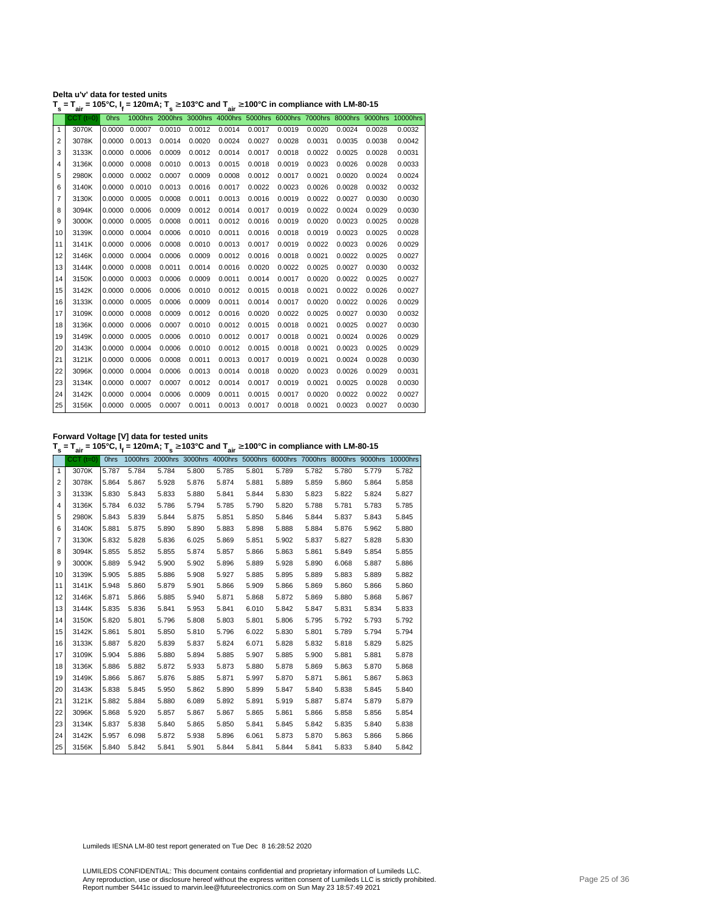| Delta u'v' data for tested units                                                                                                                   |  |  |
|----------------------------------------------------------------------------------------------------------------------------------------------------|--|--|
| T <sub>s</sub> = T <sub>air</sub> = 105°C, I <sub>f</sub> = 120mA; T <sub>s</sub> ≥ 103°C and T <sub>air</sub> ≥ 100°C in compliance with LM-80-15 |  |  |

|                | ан          |             |        |        |        | . .    |        |        |        |        |        |                                                                                  |
|----------------|-------------|-------------|--------|--------|--------|--------|--------|--------|--------|--------|--------|----------------------------------------------------------------------------------|
|                | $CCT$ (t=0) | <b>Ohrs</b> |        |        |        |        |        |        |        |        |        | 1000hrs 2000hrs 3000hrs 4000hrs 5000hrs 6000hrs 7000hrs 8000hrs 9000hrs 10000hrs |
| 1              | 3070K       | 0.0000      | 0.0007 | 0.0010 | 0.0012 | 0.0014 | 0.0017 | 0.0019 | 0.0020 | 0.0024 | 0.0028 | 0.0032                                                                           |
| $\overline{2}$ | 3078K       | 0.0000      | 0.0013 | 0.0014 | 0.0020 | 0.0024 | 0.0027 | 0.0028 | 0.0031 | 0.0035 | 0.0038 | 0.0042                                                                           |
| 3              | 3133K       | 0.0000      | 0.0006 | 0.0009 | 0.0012 | 0.0014 | 0.0017 | 0.0018 | 0.0022 | 0.0025 | 0.0028 | 0.0031                                                                           |
| 4              | 3136K       | 0.0000      | 0.0008 | 0.0010 | 0.0013 | 0.0015 | 0.0018 | 0.0019 | 0.0023 | 0.0026 | 0.0028 | 0.0033                                                                           |
| 5              | 2980K       | 0.0000      | 0.0002 | 0.0007 | 0.0009 | 0.0008 | 0.0012 | 0.0017 | 0.0021 | 0.0020 | 0.0024 | 0.0024                                                                           |
| 6              | 3140K       | 0.0000      | 0.0010 | 0.0013 | 0.0016 | 0.0017 | 0.0022 | 0.0023 | 0.0026 | 0.0028 | 0.0032 | 0.0032                                                                           |
| 7              | 3130K       | 0.0000      | 0.0005 | 0.0008 | 0.0011 | 0.0013 | 0.0016 | 0.0019 | 0.0022 | 0.0027 | 0.0030 | 0.0030                                                                           |
| 8              | 3094K       | 0.0000      | 0.0006 | 0.0009 | 0.0012 | 0.0014 | 0.0017 | 0.0019 | 0.0022 | 0.0024 | 0.0029 | 0.0030                                                                           |
| 9              | 3000K       | 0.0000      | 0.0005 | 0.0008 | 0.0011 | 0.0012 | 0.0016 | 0.0019 | 0.0020 | 0.0023 | 0.0025 | 0.0028                                                                           |
| 10             | 3139K       | 0.0000      | 0.0004 | 0.0006 | 0.0010 | 0.0011 | 0.0016 | 0.0018 | 0.0019 | 0.0023 | 0.0025 | 0.0028                                                                           |
| 11             | 3141K       | 0.0000      | 0.0006 | 0.0008 | 0.0010 | 0.0013 | 0.0017 | 0.0019 | 0.0022 | 0.0023 | 0.0026 | 0.0029                                                                           |
| 12             | 3146K       | 0.0000      | 0.0004 | 0.0006 | 0.0009 | 0.0012 | 0.0016 | 0.0018 | 0.0021 | 0.0022 | 0.0025 | 0.0027                                                                           |
| 13             | 3144K       | 0.0000      | 0.0008 | 0.0011 | 0.0014 | 0.0016 | 0.0020 | 0.0022 | 0.0025 | 0.0027 | 0.0030 | 0.0032                                                                           |
| 14             | 3150K       | 0.0000      | 0.0003 | 0.0006 | 0.0009 | 0.0011 | 0.0014 | 0.0017 | 0.0020 | 0.0022 | 0.0025 | 0.0027                                                                           |
| 15             | 3142K       | 0.0000      | 0.0006 | 0.0006 | 0.0010 | 0.0012 | 0.0015 | 0.0018 | 0.0021 | 0.0022 | 0.0026 | 0.0027                                                                           |
| 16             | 3133K       | 0.0000      | 0.0005 | 0.0006 | 0.0009 | 0.0011 | 0.0014 | 0.0017 | 0.0020 | 0.0022 | 0.0026 | 0.0029                                                                           |
| 17             | 3109K       | 0.0000      | 0.0008 | 0.0009 | 0.0012 | 0.0016 | 0.0020 | 0.0022 | 0.0025 | 0.0027 | 0.0030 | 0.0032                                                                           |
| 18             | 3136K       | 0.0000      | 0.0006 | 0.0007 | 0.0010 | 0.0012 | 0.0015 | 0.0018 | 0.0021 | 0.0025 | 0.0027 | 0.0030                                                                           |
| 19             | 3149K       | 0.0000      | 0.0005 | 0.0006 | 0.0010 | 0.0012 | 0.0017 | 0.0018 | 0.0021 | 0.0024 | 0.0026 | 0.0029                                                                           |
| 20             | 3143K       | 0.0000      | 0.0004 | 0.0006 | 0.0010 | 0.0012 | 0.0015 | 0.0018 | 0.0021 | 0.0023 | 0.0025 | 0.0029                                                                           |
| 21             | 3121K       | 0.0000      | 0.0006 | 0.0008 | 0.0011 | 0.0013 | 0.0017 | 0.0019 | 0.0021 | 0.0024 | 0.0028 | 0.0030                                                                           |
| 22             | 3096K       | 0.0000      | 0.0004 | 0.0006 | 0.0013 | 0.0014 | 0.0018 | 0.0020 | 0.0023 | 0.0026 | 0.0029 | 0.0031                                                                           |
| 23             | 3134K       | 0.0000      | 0.0007 | 0.0007 | 0.0012 | 0.0014 | 0.0017 | 0.0019 | 0.0021 | 0.0025 | 0.0028 | 0.0030                                                                           |
| 24             | 3142K       | 0.0000      | 0.0004 | 0.0006 | 0.0009 | 0.0011 | 0.0015 | 0.0017 | 0.0020 | 0.0022 | 0.0022 | 0.0027                                                                           |
| 25             | 3156K       | 0.0000      | 0.0005 | 0.0007 | 0.0011 | 0.0013 | 0.0017 | 0.0018 | 0.0021 | 0.0023 | 0.0027 | 0.0030                                                                           |

**Forward Voltage [V] data for tested units**

**T s = Tair = 105°C, I<sup>f</sup> = 120mA; T s** <sup>≥</sup> **103°C and Tair** <sup>≥</sup> **100°C in compliance with LM-80-15**

|                | $CCT$ ( $t=0$ ) | <b>Ohrs</b> |       |       |       |       |       |       |       |       |       | 1000hrs 2000hrs 3000hrs 4000hrs 5000hrs 6000hrs 7000hrs 8000hrs 9000hrs 10000hrs |
|----------------|-----------------|-------------|-------|-------|-------|-------|-------|-------|-------|-------|-------|----------------------------------------------------------------------------------|
| $\mathbf{1}$   | 3070K           | 5.787       | 5.784 | 5.784 | 5.800 | 5.785 | 5.801 | 5.789 | 5.782 | 5.780 | 5.779 | 5.782                                                                            |
| 2              | 3078K           | 5.864       | 5.867 | 5.928 | 5.876 | 5.874 | 5.881 | 5.889 | 5.859 | 5.860 | 5.864 | 5.858                                                                            |
| 3              | 3133K           | 5.830       | 5.843 | 5.833 | 5.880 | 5.841 | 5.844 | 5.830 | 5.823 | 5.822 | 5.824 | 5.827                                                                            |
| 4              | 3136K           | 5.784       | 6.032 | 5.786 | 5.794 | 5.785 | 5.790 | 5.820 | 5.788 | 5.781 | 5.783 | 5.785                                                                            |
| 5              | 2980K           | 5.843       | 5.839 | 5.844 | 5.875 | 5.851 | 5.850 | 5.846 | 5.844 | 5.837 | 5.843 | 5.845                                                                            |
| 6              | 3140K           | 5.881       | 5.875 | 5.890 | 5.890 | 5.883 | 5.898 | 5.888 | 5.884 | 5.876 | 5.962 | 5.880                                                                            |
| $\overline{7}$ | 3130K           | 5.832       | 5.828 | 5.836 | 6.025 | 5.869 | 5.851 | 5.902 | 5.837 | 5.827 | 5.828 | 5.830                                                                            |
| 8              | 3094K           | 5.855       | 5.852 | 5.855 | 5.874 | 5.857 | 5.866 | 5.863 | 5.861 | 5.849 | 5.854 | 5.855                                                                            |
| 9              | 3000K           | 5.889       | 5.942 | 5.900 | 5.902 | 5.896 | 5.889 | 5.928 | 5.890 | 6.068 | 5.887 | 5.886                                                                            |
| 10             | 3139K           | 5.905       | 5.885 | 5.886 | 5.908 | 5.927 | 5.885 | 5.895 | 5.889 | 5.883 | 5.889 | 5.882                                                                            |
| 11             | 3141K           | 5.948       | 5.860 | 5.879 | 5.901 | 5.866 | 5.909 | 5.866 | 5.869 | 5.860 | 5.866 | 5.860                                                                            |
| 12             | 3146K           | 5.871       | 5.866 | 5.885 | 5.940 | 5.871 | 5.868 | 5.872 | 5.869 | 5.880 | 5.868 | 5.867                                                                            |
| 13             | 3144K           | 5.835       | 5.836 | 5.841 | 5.953 | 5.841 | 6.010 | 5.842 | 5.847 | 5.831 | 5.834 | 5.833                                                                            |
| 14             | 3150K           | 5.820       | 5.801 | 5.796 | 5.808 | 5.803 | 5.801 | 5.806 | 5.795 | 5.792 | 5.793 | 5.792                                                                            |
| 15             | 3142K           | 5.861       | 5.801 | 5.850 | 5.810 | 5.796 | 6.022 | 5.830 | 5.801 | 5.789 | 5.794 | 5.794                                                                            |
| 16             | 3133K           | 5.887       | 5.820 | 5.839 | 5.837 | 5.824 | 6.071 | 5.828 | 5.832 | 5.818 | 5.829 | 5.825                                                                            |
| 17             | 3109K           | 5.904       | 5.886 | 5.880 | 5.894 | 5.885 | 5.907 | 5.885 | 5.900 | 5.881 | 5.881 | 5.878                                                                            |
| 18             | 3136K           | 5.886       | 5.882 | 5.872 | 5.933 | 5.873 | 5.880 | 5.878 | 5.869 | 5.863 | 5.870 | 5.868                                                                            |
| 19             | 3149K           | 5.866       | 5.867 | 5.876 | 5.885 | 5.871 | 5.997 | 5.870 | 5.871 | 5.861 | 5.867 | 5.863                                                                            |
| 20             | 3143K           | 5.838       | 5.845 | 5.950 | 5.862 | 5.890 | 5.899 | 5.847 | 5.840 | 5.838 | 5.845 | 5.840                                                                            |
| 21             | 3121K           | 5.882       | 5.884 | 5.880 | 6.089 | 5.892 | 5.891 | 5.919 | 5.887 | 5.874 | 5.879 | 5.879                                                                            |
| 22             | 3096K           | 5.868       | 5.920 | 5.857 | 5.867 | 5.867 | 5.865 | 5.861 | 5.866 | 5.858 | 5.856 | 5.854                                                                            |
| 23             | 3134K           | 5.837       | 5.838 | 5.840 | 5.865 | 5.850 | 5.841 | 5.845 | 5.842 | 5.835 | 5.840 | 5.838                                                                            |
| 24             | 3142K           | 5.957       | 6.098 | 5.872 | 5.938 | 5.896 | 6.061 | 5.873 | 5.870 | 5.863 | 5.866 | 5.866                                                                            |
| 25             | 3156K           | 5.840       | 5.842 | 5.841 | 5.901 | 5.844 | 5.841 | 5.844 | 5.841 | 5.833 | 5.840 | 5.842                                                                            |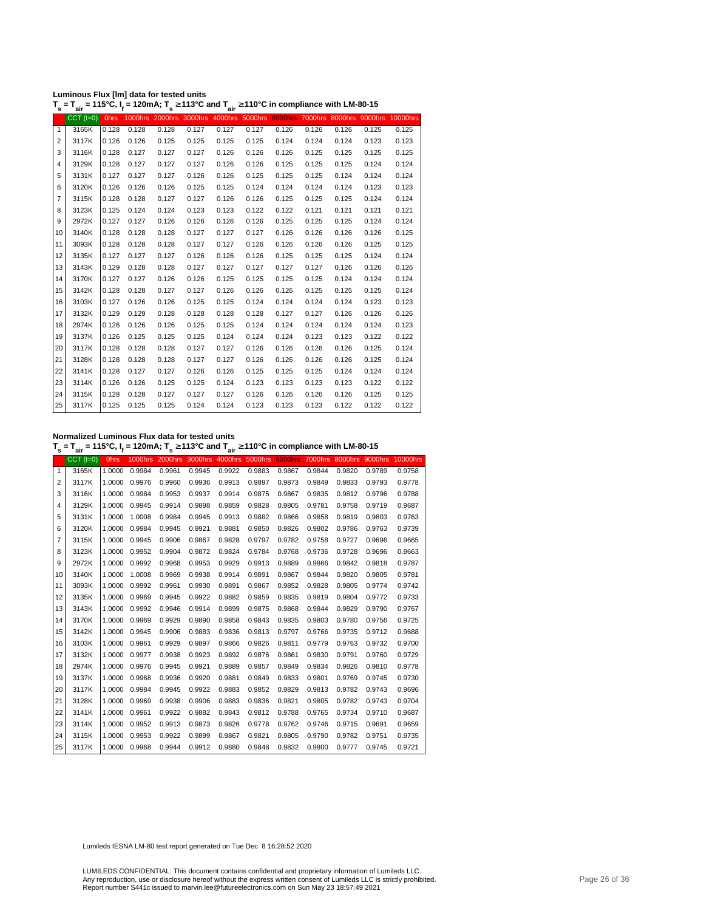| Luminous Flux [Im] data for tested units |                                                                                                                                                    |
|------------------------------------------|----------------------------------------------------------------------------------------------------------------------------------------------------|
|                                          | T <sub>s</sub> = T <sub>air</sub> = 115°C, I <sub>f</sub> = 120mA; T <sub>s</sub> ≥ 113°C and T <sub>air</sub> ≥ 110°C in compliance with LM-80-15 |

| s              | aır             |             |                | s     |                 | aır     |       |       |       |       |                                                  |       |
|----------------|-----------------|-------------|----------------|-------|-----------------|---------|-------|-------|-------|-------|--------------------------------------------------|-------|
|                | $CCT$ ( $t=0$ ) | <b>Ohrs</b> | <b>1000hrs</b> |       | 2000hrs 3000hrs | 4000hrs |       |       |       |       | 5000hrs 6000hrs 7000hrs 8000hrs 9000hrs 10000hrs |       |
| $\mathbf{1}$   | 3165K           | 0.128       | 0.128          | 0.128 | 0.127           | 0.127   | 0.127 | 0.126 | 0.126 | 0.126 | 0.125                                            | 0.125 |
| $\overline{2}$ | 3117K           | 0.126       | 0.126          | 0.125 | 0.125           | 0.125   | 0.125 | 0.124 | 0.124 | 0.124 | 0.123                                            | 0.123 |
| 3              | 3116K           | 0.128       | 0.127          | 0.127 | 0.127           | 0.126   | 0.126 | 0.126 | 0.125 | 0.125 | 0.125                                            | 0.125 |
| $\overline{4}$ | 3129K           | 0.128       | 0.127          | 0.127 | 0.127           | 0.126   | 0.126 | 0.125 | 0.125 | 0.125 | 0.124                                            | 0.124 |
| 5              | 3131K           | 0.127       | 0.127          | 0.127 | 0.126           | 0.126   | 0.125 | 0.125 | 0.125 | 0.124 | 0.124                                            | 0.124 |
| 6              | 3120K           | 0.126       | 0.126          | 0.126 | 0.125           | 0.125   | 0.124 | 0.124 | 0.124 | 0.124 | 0.123                                            | 0.123 |
| $\overline{7}$ | 3115K           | 0.128       | 0.128          | 0.127 | 0.127           | 0.126   | 0.126 | 0.125 | 0.125 | 0.125 | 0.124                                            | 0.124 |
| 8              | 3123K           | 0.125       | 0.124          | 0.124 | 0.123           | 0.123   | 0.122 | 0.122 | 0.121 | 0.121 | 0.121                                            | 0.121 |
| 9              | 2972K           | 0.127       | 0.127          | 0.126 | 0.126           | 0.126   | 0.126 | 0.125 | 0.125 | 0.125 | 0.124                                            | 0.124 |
| 10             | 3140K           | 0.128       | 0.128          | 0.128 | 0.127           | 0.127   | 0.127 | 0.126 | 0.126 | 0.126 | 0.126                                            | 0.125 |
| 11             | 3093K           | 0.128       | 0.128          | 0.128 | 0.127           | 0.127   | 0.126 | 0.126 | 0.126 | 0.126 | 0.125                                            | 0.125 |
| 12             | 3135K           | 0.127       | 0.127          | 0.127 | 0.126           | 0.126   | 0.126 | 0.125 | 0.125 | 0.125 | 0.124                                            | 0.124 |
| 13             | 3143K           | 0.129       | 0.128          | 0.128 | 0.127           | 0.127   | 0.127 | 0.127 | 0.127 | 0.126 | 0.126                                            | 0.126 |
| 14             | 3170K           | 0.127       | 0.127          | 0.126 | 0.126           | 0.125   | 0.125 | 0.125 | 0.125 | 0.124 | 0.124                                            | 0.124 |
| 15             | 3142K           | 0.128       | 0.128          | 0.127 | 0.127           | 0.126   | 0.126 | 0.126 | 0.125 | 0.125 | 0.125                                            | 0.124 |
| 16             | 3103K           | 0.127       | 0.126          | 0.126 | 0.125           | 0.125   | 0.124 | 0.124 | 0.124 | 0.124 | 0.123                                            | 0.123 |
| 17             | 3132K           | 0.129       | 0.129          | 0.128 | 0.128           | 0.128   | 0.128 | 0.127 | 0.127 | 0.126 | 0.126                                            | 0.126 |
| 18             | 2974K           | 0.126       | 0.126          | 0.126 | 0.125           | 0.125   | 0.124 | 0.124 | 0.124 | 0.124 | 0.124                                            | 0.123 |
| 19             | 3137K           | 0.126       | 0.125          | 0.125 | 0.125           | 0.124   | 0.124 | 0.124 | 0.123 | 0.123 | 0.122                                            | 0.122 |
| 20             | 3117K           | 0.128       | 0.128          | 0.128 | 0.127           | 0.127   | 0.126 | 0.126 | 0.126 | 0.126 | 0.125                                            | 0.124 |
| 21             | 3128K           | 0.128       | 0.128          | 0.128 | 0.127           | 0.127   | 0.126 | 0.126 | 0.126 | 0.126 | 0.125                                            | 0.124 |
| 22             | 3141K           | 0.128       | 0.127          | 0.127 | 0.126           | 0.126   | 0.125 | 0.125 | 0.125 | 0.124 | 0.124                                            | 0.124 |
| 23             | 3114K           | 0.126       | 0.126          | 0.125 | 0.125           | 0.124   | 0.123 | 0.123 | 0.123 | 0.123 | 0.122                                            | 0.122 |
| 24             | 3115K           | 0.128       | 0.128          | 0.127 | 0.127           | 0.127   | 0.126 | 0.126 | 0.126 | 0.126 | 0.125                                            | 0.125 |
| 25             | 3117K           | 0.125       | 0.125          | 0.125 | 0.124           | 0.124   | 0.123 | 0.123 | 0.123 | 0.122 | 0.122                                            | 0.122 |
|                |                 |             |                |       |                 |         |       |       |       |       |                                                  |       |

**Normalized Luminous Flux data for tested units**

**T s = Tair = 115°C, I<sup>f</sup> = 120mA; T s** <sup>≥</sup> **113°C and Tair** <sup>≥</sup> **110°C in compliance with LM-80-15**

|    | $CCT$ ( $t=0$ ) | <b>Ohrs</b> | <b>1000hrs</b> | 2000hrs 3000hrs |        | 4000hrs | 5000hrs | <b>6000hrs</b> | 7000hrs | 8000hrs |        | 9000hrs 10000hrs |
|----|-----------------|-------------|----------------|-----------------|--------|---------|---------|----------------|---------|---------|--------|------------------|
| 1  | 3165K           | 1.0000      | 0.9984         | 0.9961          | 0.9945 | 0.9922  | 0.9883  | 0.9867         | 0.9844  | 0.9820  | 0.9789 | 0.9758           |
| 2  | 3117K           | 1.0000      | 0.9976         | 0.9960          | 0.9936 | 0.9913  | 0.9897  | 0.9873         | 0.9849  | 0.9833  | 0.9793 | 0.9778           |
| 3  | 3116K           | 1.0000      | 0.9984         | 0.9953          | 0.9937 | 0.9914  | 0.9875  | 0.9867         | 0.9835  | 0.9812  | 0.9796 | 0.9788           |
| 4  | 3129K           | 1.0000      | 0.9945         | 0.9914          | 0.9898 | 0.9859  | 0.9828  | 0.9805         | 0.9781  | 0.9758  | 0.9719 | 0.9687           |
| 5  | 3131K           | 1.0000      | 1.0008         | 0.9984          | 0.9945 | 0.9913  | 0.9882  | 0.9866         | 0.9858  | 0.9819  | 0.9803 | 0.9763           |
| 6  | 3120K           | 1.0000      | 0.9984         | 0.9945          | 0.9921 | 0.9881  | 0.9850  | 0.9826         | 0.9802  | 0.9786  | 0.9763 | 0.9739           |
| 7  | 3115K           | 1.0000      | 0.9945         | 0.9906          | 0.9867 | 0.9828  | 0.9797  | 0.9782         | 0.9758  | 0.9727  | 0.9696 | 0.9665           |
| 8  | 3123K           | 1.0000      | 0.9952         | 0.9904          | 0.9872 | 0.9824  | 0.9784  | 0.9768         | 0.9736  | 0.9728  | 0.9696 | 0.9663           |
| 9  | 2972K           | 1.0000      | 0.9992         | 0.9968          | 0.9953 | 0.9929  | 0.9913  | 0.9889         | 0.9866  | 0.9842  | 0.9818 | 0.9787           |
| 10 | 3140K           | 1.0000      | 1.0008         | 0.9969          | 0.9938 | 0.9914  | 0.9891  | 0.9867         | 0.9844  | 0.9820  | 0.9805 | 0.9781           |
| 11 | 3093K           | 1.0000      | 0.9992         | 0.9961          | 0.9930 | 0.9891  | 0.9867  | 0.9852         | 0.9828  | 0.9805  | 0.9774 | 0.9742           |
| 12 | 3135K           | 1.0000      | 0.9969         | 0.9945          | 0.9922 | 0.9882  | 0.9859  | 0.9835         | 0.9819  | 0.9804  | 0.9772 | 0.9733           |
| 13 | 3143K           | 1.0000      | 0.9992         | 0.9946          | 0.9914 | 0.9899  | 0.9875  | 0.9868         | 0.9844  | 0.9829  | 0.9790 | 0.9767           |
| 14 | 3170K           | 1.0000      | 0.9969         | 0.9929          | 0.9890 | 0.9858  | 0.9843  | 0.9835         | 0.9803  | 0.9780  | 0.9756 | 0.9725           |
| 15 | 3142K           | 1.0000      | 0.9945         | 0.9906          | 0.9883 | 0.9836  | 0.9813  | 0.9797         | 0.9766  | 0.9735  | 0.9712 | 0.9688           |
| 16 | 3103K           | 1.0000      | 0.9961         | 0.9929          | 0.9897 | 0.9866  | 0.9826  | 0.9811         | 0.9779  | 0.9763  | 0.9732 | 0.9700           |
| 17 | 3132K           | 1.0000      | 0.9977         | 0.9938          | 0.9923 | 0.9892  | 0.9876  | 0.9861         | 0.9830  | 0.9791  | 0.9760 | 0.9729           |
| 18 | 2974K           | 1.0000      | 0.9976         | 0.9945          | 0.9921 | 0.9889  | 0.9857  | 0.9849         | 0.9834  | 0.9826  | 0.9810 | 0.9778           |
| 19 | 3137K           | 1.0000      | 0.9968         | 0.9936          | 0.9920 | 0.9881  | 0.9849  | 0.9833         | 0.9801  | 0.9769  | 0.9745 | 0.9730           |
| 20 | 3117K           | 1.0000      | 0.9984         | 0.9945          | 0.9922 | 0.9883  | 0.9852  | 0.9829         | 0.9813  | 0.9782  | 0.9743 | 0.9696           |
| 21 | 3128K           | 1.0000      | 0.9969         | 0.9938          | 0.9906 | 0.9883  | 0.9836  | 0.9821         | 0.9805  | 0.9782  | 0.9743 | 0.9704           |
| 22 | 3141K           | 1.0000      | 0.9961         | 0.9922          | 0.9882 | 0.9843  | 0.9812  | 0.9788         | 0.9765  | 0.9734  | 0.9710 | 0.9687           |
| 23 | 3114K           | 1.0000      | 0.9952         | 0.9913          | 0.9873 | 0.9826  | 0.9778  | 0.9762         | 0.9746  | 0.9715  | 0.9691 | 0.9659           |
| 24 | 3115K           | 1.0000      | 0.9953         | 0.9922          | 0.9899 | 0.9867  | 0.9821  | 0.9805         | 0.9790  | 0.9782  | 0.9751 | 0.9735           |
| 25 | 3117K           | 1.0000      | 0.9968         | 0.9944          | 0.9912 | 0.9880  | 0.9848  | 0.9832         | 0.9800  | 0.9777  | 0.9745 | 0.9721           |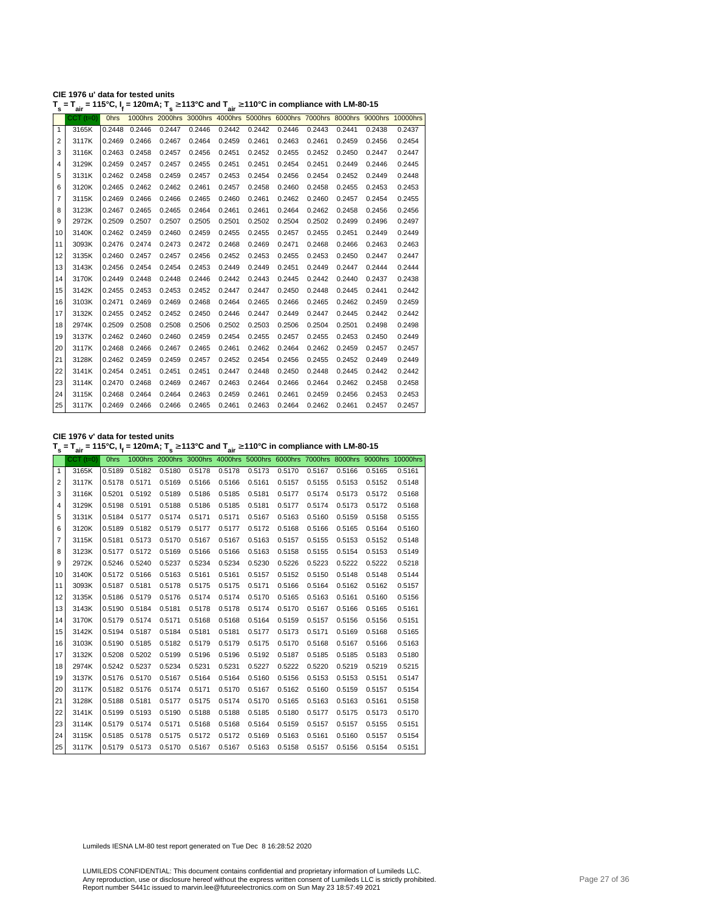| CIE 1976 u' data for tested units                                                                                                                  |  |
|----------------------------------------------------------------------------------------------------------------------------------------------------|--|
| T <sub>s</sub> = T <sub>air</sub> = 115°C, I <sub>f</sub> = 120mA; T <sub>s</sub> ≥ 113°C and T <sub>air</sub> ≥ 110°C in compliance with LM-80-15 |  |

| s            | ີ່air           | . <del>.</del> | - . - - , . <sub>s</sub> |        | <u>.</u> | $\sim$ $\frac{1}{2}$ air |        | o in oompnanoo man am oo |        |        |        |                                                                                  |
|--------------|-----------------|----------------|--------------------------|--------|----------|--------------------------|--------|--------------------------|--------|--------|--------|----------------------------------------------------------------------------------|
|              | $CCT$ ( $t=0$ ) | <b>Ohrs</b>    |                          |        |          |                          |        |                          |        |        |        | 1000hrs 2000hrs 3000hrs 4000hrs 5000hrs 6000hrs 7000hrs 8000hrs 9000hrs 10000hrs |
| $\mathbf{1}$ | 3165K           | 0.2448         | 0.2446                   | 0.2447 | 0.2446   | 0.2442                   | 0.2442 | 0.2446                   | 0.2443 | 0.2441 | 0.2438 | 0.2437                                                                           |
| 2            | 3117K           | 0.2469         | 0.2466                   | 0.2467 | 0.2464   | 0.2459                   | 0.2461 | 0.2463                   | 0.2461 | 0.2459 | 0.2456 | 0.2454                                                                           |
| 3            | 3116K           |                | 0.2463 0.2458            | 0.2457 | 0.2456   | 0.2451                   | 0.2452 | 0.2455                   | 0.2452 | 0.2450 | 0.2447 | 0.2447                                                                           |
| 4            | 3129K           | 0.2459         | 0.2457                   | 0.2457 | 0.2455   | 0.2451                   | 0.2451 | 0.2454                   | 0.2451 | 0.2449 | 0.2446 | 0.2445                                                                           |
| 5            | 3131K           | 0.2462         | 0.2458                   | 0.2459 | 0.2457   | 0.2453                   | 0.2454 | 0.2456                   | 0.2454 | 0.2452 | 0.2449 | 0.2448                                                                           |
| 6            | 3120K           | 0.2465         | 0.2462                   | 0.2462 | 0.2461   | 0.2457                   | 0.2458 | 0.2460                   | 0.2458 | 0.2455 | 0.2453 | 0.2453                                                                           |
| 7            | 3115K           | 0.2469         | 0.2466                   | 0.2466 | 0.2465   | 0.2460                   | 0.2461 | 0.2462                   | 0.2460 | 0.2457 | 0.2454 | 0.2455                                                                           |
| 8            | 3123K           | 0.2467         | 0.2465                   | 0.2465 | 0.2464   | 0.2461                   | 0.2461 | 0.2464                   | 0.2462 | 0.2458 | 0.2456 | 0.2456                                                                           |
| 9            | 2972K           | 0.2509         | 0.2507                   | 0.2507 | 0.2505   | 0.2501                   | 0.2502 | 0.2504                   | 0.2502 | 0.2499 | 0.2496 | 0.2497                                                                           |
| 10           | 3140K           |                | 0.2462 0.2459            | 0.2460 | 0.2459   | 0.2455                   | 0.2455 | 0.2457                   | 0.2455 | 0.2451 | 0.2449 | 0.2449                                                                           |
| 11           | 3093K           | 0.2476         | 0.2474                   | 0.2473 | 0.2472   | 0.2468                   | 0.2469 | 0.2471                   | 0.2468 | 0.2466 | 0.2463 | 0.2463                                                                           |
| 12           | 3135K           | 0.2460         | 0.2457                   | 0.2457 | 0.2456   | 0.2452                   | 0.2453 | 0.2455                   | 0.2453 | 0.2450 | 0.2447 | 0.2447                                                                           |
| 13           | 3143K           |                | 0.2456 0.2454            | 0.2454 | 0.2453   | 0.2449                   | 0.2449 | 0.2451                   | 0.2449 | 0.2447 | 0.2444 | 0.2444                                                                           |
| 14           | 3170K           | 0.2449         | 0.2448                   | 0.2448 | 0.2446   | 0.2442                   | 0.2443 | 0.2445                   | 0.2442 | 0.2440 | 0.2437 | 0.2438                                                                           |
| 15           | 3142K           | 0.2455         | 0.2453                   | 0.2453 | 0.2452   | 0.2447                   | 0.2447 | 0.2450                   | 0.2448 | 0.2445 | 0.2441 | 0.2442                                                                           |
| 16           | 3103K           | 0.2471         | 0.2469                   | 0.2469 | 0.2468   | 0.2464                   | 0.2465 | 0.2466                   | 0.2465 | 0.2462 | 0.2459 | 0.2459                                                                           |
| 17           | 3132K           | 0.2455         | 0.2452                   | 0.2452 | 0.2450   | 0.2446                   | 0.2447 | 0.2449                   | 0.2447 | 0.2445 | 0.2442 | 0.2442                                                                           |
| 18           | 2974K           | 0.2509         | 0.2508                   | 0.2508 | 0.2506   | 0.2502                   | 0.2503 | 0.2506                   | 0.2504 | 0.2501 | 0.2498 | 0.2498                                                                           |
| 19           | 3137K           | 0.2462         | 0.2460                   | 0.2460 | 0.2459   | 0.2454                   | 0.2455 | 0.2457                   | 0.2455 | 0.2453 | 0.2450 | 0.2449                                                                           |
| 20           | 3117K           | 0.2468         | 0.2466                   | 0.2467 | 0.2465   | 0.2461                   | 0.2462 | 0.2464                   | 0.2462 | 0.2459 | 0.2457 | 0.2457                                                                           |
| 21           | 3128K           | 0.2462         | 0.2459                   | 0.2459 | 0.2457   | 0.2452                   | 0.2454 | 0.2456                   | 0.2455 | 0.2452 | 0.2449 | 0.2449                                                                           |
| 22           | 3141K           |                | 0.2454 0.2451            | 0.2451 | 0.2451   | 0.2447                   | 0.2448 | 0.2450                   | 0.2448 | 0.2445 | 0.2442 | 0.2442                                                                           |
| 23           | 3114K           | 0.2470         | 0.2468                   | 0.2469 | 0.2467   | 0.2463                   | 0.2464 | 0.2466                   | 0.2464 | 0.2462 | 0.2458 | 0.2458                                                                           |
| 24           | 3115K           | 0.2468         | 0.2464                   | 0.2464 | 0.2463   | 0.2459                   | 0.2461 | 0.2461                   | 0.2459 | 0.2456 | 0.2453 | 0.2453                                                                           |
| 25           | 3117K           |                | 0.2469 0.2466            | 0.2466 | 0.2465   | 0.2461                   | 0.2463 | 0.2464                   | 0.2462 | 0.2461 | 0.2457 | 0.2457                                                                           |
|              |                 |                |                          |        |          |                          |        |                          |        |        |        |                                                                                  |

**CIE 1976 v' data for tested units**

**T s = Tair = 115°C, I<sup>f</sup> = 120mA; T s** <sup>≥</sup> **113°C and Tair** <sup>≥</sup> **110°C in compliance with LM-80-15**

|              | $CCT$ $(t=0)$ | 0hrs   |               |        |        |        |                                                                         |        |        |               |        | 1000hrs 2000hrs 3000hrs 4000hrs 5000hrs 6000hrs 7000hrs 8000hrs 9000hrs 10000hrs |
|--------------|---------------|--------|---------------|--------|--------|--------|-------------------------------------------------------------------------|--------|--------|---------------|--------|----------------------------------------------------------------------------------|
| $\mathbf{1}$ | 3165K         | 0.5189 | 0.5182        | 0.5180 | 0.5178 | 0.5178 | 0.5173                                                                  | 0.5170 | 0.5167 | 0.5166        | 0.5165 | 0.5161                                                                           |
| 2            | 3117K         |        | 0.5178 0.5171 | 0.5169 | 0.5166 | 0.5166 | 0.5161                                                                  | 0.5157 | 0.5155 | 0.5153        | 0.5152 | 0.5148                                                                           |
| 3            | 3116K         |        | 0.5201 0.5192 | 0.5189 | 0.5186 | 0.5185 | 0.5181                                                                  | 0.5177 | 0.5174 | 0.5173        | 0.5172 | 0.5168                                                                           |
| 4            | 3129K         |        | 0.5198 0.5191 | 0.5188 | 0.5186 | 0.5185 | 0.5181                                                                  | 0.5177 |        | 0.5174 0.5173 | 0.5172 | 0.5168                                                                           |
| 5            | 3131K         |        | 0.5184 0.5177 | 0.5174 | 0.5171 | 0.5171 | 0.5167                                                                  | 0.5163 | 0.5160 | 0.5159        | 0.5158 | 0.5155                                                                           |
| 6            | 3120K         |        | 0.5189 0.5182 | 0.5179 | 0.5177 | 0.5177 | 0.5172                                                                  | 0.5168 | 0.5166 | 0.5165        | 0.5164 | 0.5160                                                                           |
| 7            | 3115K         |        | 0.5181 0.5173 | 0.5170 | 0.5167 | 0.5167 | 0.5163                                                                  | 0.5157 | 0.5155 | 0.5153        | 0.5152 | 0.5148                                                                           |
| 8            | 3123K         |        | 0.5177 0.5172 | 0.5169 | 0.5166 | 0.5166 | 0.5163                                                                  | 0.5158 | 0.5155 | 0.5154        | 0.5153 | 0.5149                                                                           |
| 9            | 2972K         |        | 0.5246 0.5240 | 0.5237 | 0.5234 | 0.5234 | 0.5230                                                                  | 0.5226 | 0.5223 | 0.5222        | 0.5222 | 0.5218                                                                           |
| 10           | 3140K         |        | 0.5172 0.5166 | 0.5163 | 0.5161 | 0.5161 | 0.5157                                                                  | 0.5152 | 0.5150 | 0.5148        | 0.5148 | 0.5144                                                                           |
| 11           | 3093K         |        | 0.5187 0.5181 | 0.5178 | 0.5175 | 0.5175 | 0.5171                                                                  | 0.5166 | 0.5164 | 0.5162        | 0.5162 | 0.5157                                                                           |
| 12           | 3135K         |        | 0.5186 0.5179 | 0.5176 | 0.5174 | 0.5174 | 0.5170                                                                  | 0.5165 | 0.5163 | 0.5161        | 0.5160 | 0.5156                                                                           |
| 13           | 3143K         |        | 0.5190 0.5184 | 0.5181 | 0.5178 | 0.5178 | 0.5174                                                                  | 0.5170 | 0.5167 | 0.5166        | 0.5165 | 0.5161                                                                           |
| 14           | 3170K         |        | 0.5179 0.5174 | 0.5171 | 0.5168 | 0.5168 | 0.5164                                                                  | 0.5159 | 0.5157 | 0.5156        | 0.5156 | 0.5151                                                                           |
| 15           | 3142K         |        | 0.5194 0.5187 | 0.5184 | 0.5181 | 0.5181 | 0.5177                                                                  | 0.5173 | 0.5171 | 0.5169        | 0.5168 | 0.5165                                                                           |
| 16           | 3103K         |        | 0.5190 0.5185 | 0.5182 | 0.5179 | 0.5179 | 0.5175                                                                  | 0.5170 | 0.5168 | 0.5167        | 0.5166 | 0.5163                                                                           |
| 17           | 3132K         | 0.5208 | 0.5202        | 0.5199 | 0.5196 | 0.5196 | 0.5192                                                                  | 0.5187 | 0.5185 | 0.5185        | 0.5183 | 0.5180                                                                           |
| 18           | 2974K         |        | 0.5242 0.5237 | 0.5234 | 0.5231 | 0.5231 | 0.5227                                                                  | 0.5222 | 0.5220 | 0.5219        | 0.5219 | 0.5215                                                                           |
| 19           | 3137K         |        | 0.5176 0.5170 | 0.5167 | 0.5164 | 0.5164 | 0.5160                                                                  | 0.5156 | 0.5153 | 0.5153        | 0.5151 | 0.5147                                                                           |
| 20           | 3117K         |        | 0.5182 0.5176 | 0.5174 | 0.5171 | 0.5170 | 0.5167                                                                  | 0.5162 | 0.5160 | 0.5159        | 0.5157 | 0.5154                                                                           |
| 21           | 3128K         |        | 0.5188 0.5181 | 0.5177 | 0.5175 | 0.5174 | 0.5170                                                                  | 0.5165 | 0.5163 | 0.5163        | 0.5161 | 0.5158                                                                           |
| 22           | 3141K         |        | 0.5199 0.5193 | 0.5190 | 0.5188 | 0.5188 | 0.5185                                                                  | 0.5180 | 0.5177 | 0.5175        | 0.5173 | 0.5170                                                                           |
| 23           | 3114K         |        | 0.5179 0.5174 | 0.5171 | 0.5168 | 0.5168 | 0.5164                                                                  | 0.5159 | 0.5157 | 0.5157        | 0.5155 | 0.5151                                                                           |
| 24           | 3115K         |        | 0.5185 0.5178 | 0.5175 | 0.5172 | 0.5172 | 0.5169                                                                  | 0.5163 | 0.5161 | 0.5160        | 0.5157 | 0.5154                                                                           |
| 25           | 3117K         |        |               |        |        |        | $0.5179$ 0.5173 0.5170 0.5167 0.5167 0.5163 0.5158 0.5157 0.5156 0.5154 |        |        |               |        | 0.5151                                                                           |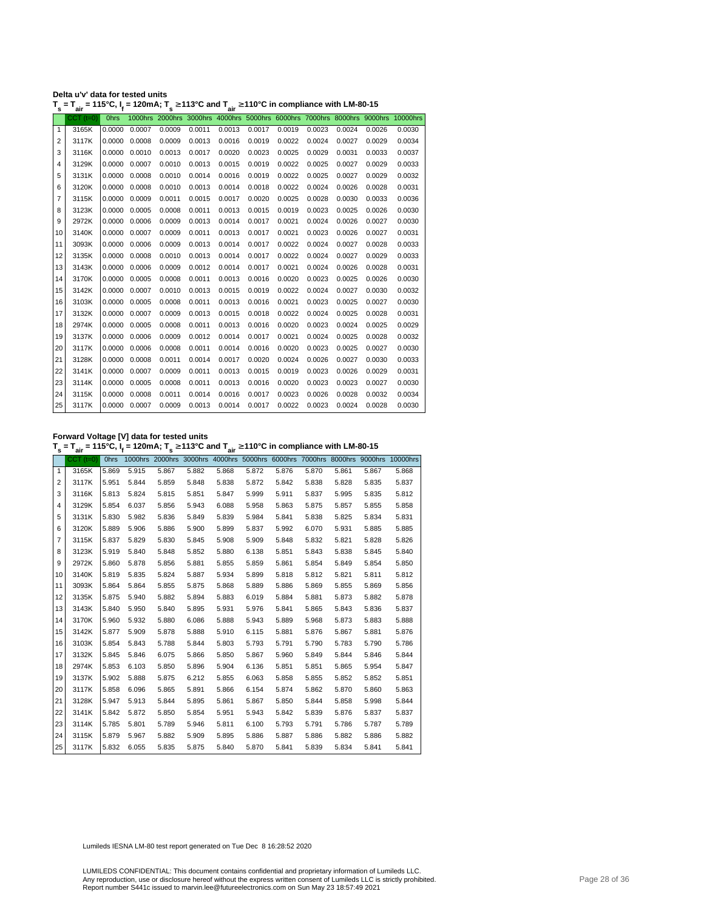| Delta u'v' data for tested units                                                                                                     |  |  |
|--------------------------------------------------------------------------------------------------------------------------------------|--|--|
| $T_s = T_{air} = 115^{\circ}$ C, $I_f = 120$ mA; $T_s \ge 113^{\circ}$ C and $T_{air} \ge 110^{\circ}$ C in compliance with LM-80-15 |  |  |

| 1000hrs 2000hrs 3000hrs 4000hrs 5000hrs 6000hrs 7000hrs 8000hrs 9000hrs 10000hrs<br>$CCT$ $(t=0)$<br><b>Ohrs</b><br>0.0007<br>0.0009<br>0.0011<br>3165K<br>0.0000<br>$\mathbf{1}$<br>3117K<br>0.0008<br>0.0009<br>0.0013<br>$\overline{2}$<br>0.0000<br>3<br>3116K<br>0.0000<br>0.0010<br>0.0013<br>0.0017<br>3129K<br>0.0007<br>0.0010<br>0.0013<br>0.0000<br>4<br>3131K<br>5<br>0.0000<br>0.0008<br>0.0010<br>0.0014 | 0.0013<br>0.0016<br>0.0020<br>0.0015<br>0.0016<br>0.0014<br>0.0017<br>0.0013 | 0.0017<br>0.0019<br>0.0023<br>0.0019<br>0.0019<br>0.0018<br>0.0020 | 0.0019<br>0.0022<br>0.0025<br>0.0022<br>0.0022<br>0.0022 | 0.0023<br>0.0024<br>0.0029<br>0.0025<br>0.0025<br>0.0024 | 0.0024<br>0.0027<br>0.0031<br>0.0027<br>0.0027<br>0.0026 | 0.0026<br>0.0029<br>0.0033<br>0.0029<br>0.0029 | 0.0030<br>0.0034<br>0.0037<br>0.0033<br>0.0032 |
|------------------------------------------------------------------------------------------------------------------------------------------------------------------------------------------------------------------------------------------------------------------------------------------------------------------------------------------------------------------------------------------------------------------------|------------------------------------------------------------------------------|--------------------------------------------------------------------|----------------------------------------------------------|----------------------------------------------------------|----------------------------------------------------------|------------------------------------------------|------------------------------------------------|
|                                                                                                                                                                                                                                                                                                                                                                                                                        |                                                                              |                                                                    |                                                          |                                                          |                                                          |                                                |                                                |
|                                                                                                                                                                                                                                                                                                                                                                                                                        |                                                                              |                                                                    |                                                          |                                                          |                                                          |                                                |                                                |
|                                                                                                                                                                                                                                                                                                                                                                                                                        |                                                                              |                                                                    |                                                          |                                                          |                                                          |                                                |                                                |
|                                                                                                                                                                                                                                                                                                                                                                                                                        |                                                                              |                                                                    |                                                          |                                                          |                                                          |                                                |                                                |
|                                                                                                                                                                                                                                                                                                                                                                                                                        |                                                                              |                                                                    |                                                          |                                                          |                                                          |                                                |                                                |
|                                                                                                                                                                                                                                                                                                                                                                                                                        |                                                                              |                                                                    |                                                          |                                                          |                                                          |                                                |                                                |
| 3120K<br>0.0000<br>0.0008<br>0.0010<br>0.0013<br>6                                                                                                                                                                                                                                                                                                                                                                     |                                                                              |                                                                    |                                                          |                                                          |                                                          | 0.0028                                         | 0.0031                                         |
| 3115K<br>0.0000<br>0.0009<br>0.0011<br>0.0015<br>7                                                                                                                                                                                                                                                                                                                                                                     |                                                                              |                                                                    | 0.0025                                                   | 0.0028                                                   | 0.0030                                                   | 0.0033                                         | 0.0036                                         |
| 3123K<br>0.0000<br>0.0005<br>0.0008<br>0.0011<br>8                                                                                                                                                                                                                                                                                                                                                                     |                                                                              | 0.0015                                                             | 0.0019                                                   | 0.0023                                                   | 0.0025                                                   | 0.0026                                         | 0.0030                                         |
| 2972K<br>0.0006<br>0.0000<br>0.0009<br>0.0013<br>9                                                                                                                                                                                                                                                                                                                                                                     | 0.0014                                                                       | 0.0017                                                             | 0.0021                                                   | 0.0024                                                   | 0.0026                                                   | 0.0027                                         | 0.0030                                         |
| 3140K<br>0.0000<br>0.0007<br>0.0009<br>0.0011<br>10                                                                                                                                                                                                                                                                                                                                                                    | 0.0013                                                                       | 0.0017                                                             | 0.0021                                                   | 0.0023                                                   | 0.0026                                                   | 0.0027                                         | 0.0031                                         |
| 3093K<br>11<br>0.0000<br>0.0006<br>0.0009<br>0.0013                                                                                                                                                                                                                                                                                                                                                                    | 0.0014                                                                       | 0.0017                                                             | 0.0022                                                   | 0.0024                                                   | 0.0027                                                   | 0.0028                                         | 0.0033                                         |
| 3135K<br>12<br>0.0000<br>0.0008<br>0.0010<br>0.0013                                                                                                                                                                                                                                                                                                                                                                    | 0.0014                                                                       | 0.0017                                                             | 0.0022                                                   | 0.0024                                                   | 0.0027                                                   | 0.0029                                         | 0.0033                                         |
| 13<br>3143K<br>0.0000<br>0.0006<br>0.0009<br>0.0012                                                                                                                                                                                                                                                                                                                                                                    | 0.0014                                                                       | 0.0017                                                             | 0.0021                                                   | 0.0024                                                   | 0.0026                                                   | 0.0028                                         | 0.0031                                         |
| 14<br>3170K<br>0.0000<br>0.0005<br>0.0008<br>0.0011                                                                                                                                                                                                                                                                                                                                                                    | 0.0013                                                                       | 0.0016                                                             | 0.0020                                                   | 0.0023                                                   | 0.0025                                                   | 0.0026                                         | 0.0030                                         |
| 3142K<br>0.0007<br>15<br>0.0000<br>0.0010<br>0.0013                                                                                                                                                                                                                                                                                                                                                                    | 0.0015                                                                       | 0.0019                                                             | 0.0022                                                   | 0.0024                                                   | 0.0027                                                   | 0.0030                                         | 0.0032                                         |
| 3103K<br>16<br>0.0000<br>0.0005<br>0.0008<br>0.0011                                                                                                                                                                                                                                                                                                                                                                    | 0.0013                                                                       | 0.0016                                                             | 0.0021                                                   | 0.0023                                                   | 0.0025                                                   | 0.0027                                         | 0.0030                                         |
| 3132K<br>0.0007<br>0.0009<br>0.0013<br>17<br>0.0000                                                                                                                                                                                                                                                                                                                                                                    | 0.0015                                                                       | 0.0018                                                             | 0.0022                                                   | 0.0024                                                   | 0.0025                                                   | 0.0028                                         | 0.0031                                         |
| 18<br>2974K<br>0.0000<br>0.0005<br>0.0008<br>0.0011                                                                                                                                                                                                                                                                                                                                                                    | 0.0013                                                                       | 0.0016                                                             | 0.0020                                                   | 0.0023                                                   | 0.0024                                                   | 0.0025                                         | 0.0029                                         |
| 19<br>3137K<br>0.0000<br>0.0006<br>0.0009<br>0.0012                                                                                                                                                                                                                                                                                                                                                                    | 0.0014                                                                       | 0.0017                                                             | 0.0021                                                   | 0.0024                                                   | 0.0025                                                   | 0.0028                                         | 0.0032                                         |
| 0.0006<br>0.0011<br>20<br>3117K<br>0.0000<br>0.0008                                                                                                                                                                                                                                                                                                                                                                    | 0.0014                                                                       | 0.0016                                                             | 0.0020                                                   | 0.0023                                                   | 0.0025                                                   | 0.0027                                         | 0.0030                                         |
| 3128K<br>21<br>0.0000<br>0.0008<br>0.0011<br>0.0014                                                                                                                                                                                                                                                                                                                                                                    | 0.0017                                                                       | 0.0020                                                             | 0.0024                                                   | 0.0026                                                   | 0.0027                                                   | 0.0030                                         | 0.0033                                         |
| 22<br>3141K<br>0.0007<br>0.0009<br>0.0011<br>0.0000                                                                                                                                                                                                                                                                                                                                                                    | 0.0013                                                                       | 0.0015                                                             | 0.0019                                                   | 0.0023                                                   | 0.0026                                                   | 0.0029                                         | 0.0031                                         |
| 23<br>3114K<br>0.0005<br>0.0008<br>0.0011<br>0.0000                                                                                                                                                                                                                                                                                                                                                                    | 0.0013                                                                       | 0.0016                                                             | 0.0020                                                   | 0.0023                                                   | 0.0023                                                   | 0.0027                                         | 0.0030                                         |
| 24<br>3115K<br>0.0000<br>0.0008<br>0.0011<br>0.0014                                                                                                                                                                                                                                                                                                                                                                    | 0.0016                                                                       | 0.0017                                                             | 0.0023                                                   | 0.0026                                                   | 0.0028                                                   | 0.0032                                         | 0.0034                                         |
| 25<br>0.0000 0.0007<br>3117K<br>0.0009<br>0.0013                                                                                                                                                                                                                                                                                                                                                                       | 0.0014                                                                       | 0.0017                                                             | 0.0022                                                   | 0.0023                                                   | 0.0024                                                   | 0.0028                                         | 0.0030                                         |

**Forward Voltage [V] data for tested units**

**T s = Tair = 115°C, I<sup>f</sup> = 120mA; T s** <sup>≥</sup> **113°C and Tair** <sup>≥</sup> **110°C in compliance with LM-80-15**

|                | $CCT$ ( $t=0$ ) | Ohrs  |       |       |       |       |       |       |       |       |       | 1000hrs 2000hrs 3000hrs 4000hrs 5000hrs 6000hrs 7000hrs 8000hrs 9000hrs 10000hrs |
|----------------|-----------------|-------|-------|-------|-------|-------|-------|-------|-------|-------|-------|----------------------------------------------------------------------------------|
| 1              | 3165K           | 5.869 | 5.915 | 5.867 | 5.882 | 5.868 | 5.872 | 5.876 | 5.870 | 5.861 | 5.867 | 5.868                                                                            |
| 2              | 3117K           | 5.951 | 5.844 | 5.859 | 5.848 | 5.838 | 5.872 | 5.842 | 5.838 | 5.828 | 5.835 | 5.837                                                                            |
| 3              | 3116K           | 5.813 | 5.824 | 5.815 | 5.851 | 5.847 | 5.999 | 5.911 | 5.837 | 5.995 | 5.835 | 5.812                                                                            |
| $\overline{4}$ | 3129K           | 5.854 | 6.037 | 5.856 | 5.943 | 6.088 | 5.958 | 5.863 | 5.875 | 5.857 | 5.855 | 5.858                                                                            |
| 5              | 3131K           | 5.830 | 5.982 | 5.836 | 5.849 | 5.839 | 5.984 | 5.841 | 5.838 | 5.825 | 5.834 | 5.831                                                                            |
| 6              | 3120K           | 5.889 | 5.906 | 5.886 | 5.900 | 5.899 | 5.837 | 5.992 | 6.070 | 5.931 | 5.885 | 5.885                                                                            |
| $\overline{7}$ | 3115K           | 5.837 | 5.829 | 5.830 | 5.845 | 5.908 | 5.909 | 5.848 | 5.832 | 5.821 | 5.828 | 5.826                                                                            |
| 8              | 3123K           | 5.919 | 5.840 | 5.848 | 5.852 | 5.880 | 6.138 | 5.851 | 5.843 | 5.838 | 5.845 | 5.840                                                                            |
| 9              | 2972K           | 5.860 | 5.878 | 5.856 | 5.881 | 5.855 | 5.859 | 5.861 | 5.854 | 5.849 | 5.854 | 5.850                                                                            |
| 10             | 3140K           | 5.819 | 5.835 | 5.824 | 5.887 | 5.934 | 5.899 | 5.818 | 5.812 | 5.821 | 5.811 | 5.812                                                                            |
| 11             | 3093K           | 5.864 | 5.864 | 5.855 | 5.875 | 5.868 | 5.889 | 5.886 | 5.869 | 5.855 | 5.869 | 5.856                                                                            |
| 12             | 3135K           | 5.875 | 5.940 | 5.882 | 5.894 | 5.883 | 6.019 | 5.884 | 5.881 | 5.873 | 5.882 | 5.878                                                                            |
| 13             | 3143K           | 5.840 | 5.950 | 5.840 | 5.895 | 5.931 | 5.976 | 5.841 | 5.865 | 5.843 | 5.836 | 5.837                                                                            |
| 14             | 3170K           | 5.960 | 5.932 | 5.880 | 6.086 | 5.888 | 5.943 | 5.889 | 5.968 | 5.873 | 5.883 | 5.888                                                                            |
| 15             | 3142K           | 5.877 | 5.909 | 5.878 | 5.888 | 5.910 | 6.115 | 5.881 | 5.876 | 5.867 | 5.881 | 5.876                                                                            |
| 16             | 3103K           | 5.854 | 5.843 | 5.788 | 5.844 | 5.803 | 5.793 | 5.791 | 5.790 | 5.783 | 5.790 | 5.786                                                                            |
| 17             | 3132K           | 5.845 | 5.846 | 6.075 | 5.866 | 5.850 | 5.867 | 5.960 | 5.849 | 5.844 | 5.846 | 5.844                                                                            |
| 18             | 2974K           | 5.853 | 6.103 | 5.850 | 5.896 | 5.904 | 6.136 | 5.851 | 5.851 | 5.865 | 5.954 | 5.847                                                                            |
| 19             | 3137K           | 5.902 | 5.888 | 5.875 | 6.212 | 5.855 | 6.063 | 5.858 | 5.855 | 5.852 | 5.852 | 5.851                                                                            |
| 20             | 3117K           | 5.858 | 6.096 | 5.865 | 5.891 | 5.866 | 6.154 | 5.874 | 5.862 | 5.870 | 5.860 | 5.863                                                                            |
| 21             | 3128K           | 5.947 | 5.913 | 5.844 | 5.895 | 5.861 | 5.867 | 5.850 | 5.844 | 5.858 | 5.998 | 5.844                                                                            |
| 22             | 3141K           | 5.842 | 5.872 | 5.850 | 5.854 | 5.951 | 5.943 | 5.842 | 5.839 | 5.876 | 5.837 | 5.837                                                                            |
| 23             | 3114K           | 5.785 | 5.801 | 5.789 | 5.946 | 5.811 | 6.100 | 5.793 | 5.791 | 5.786 | 5.787 | 5.789                                                                            |
| 24             | 3115K           | 5.879 | 5.967 | 5.882 | 5.909 | 5.895 | 5.886 | 5.887 | 5.886 | 5.882 | 5.886 | 5.882                                                                            |
| 25             | 3117K           | 5.832 | 6.055 | 5.835 | 5.875 | 5.840 | 5.870 | 5.841 | 5.839 | 5.834 | 5.841 | 5.841                                                                            |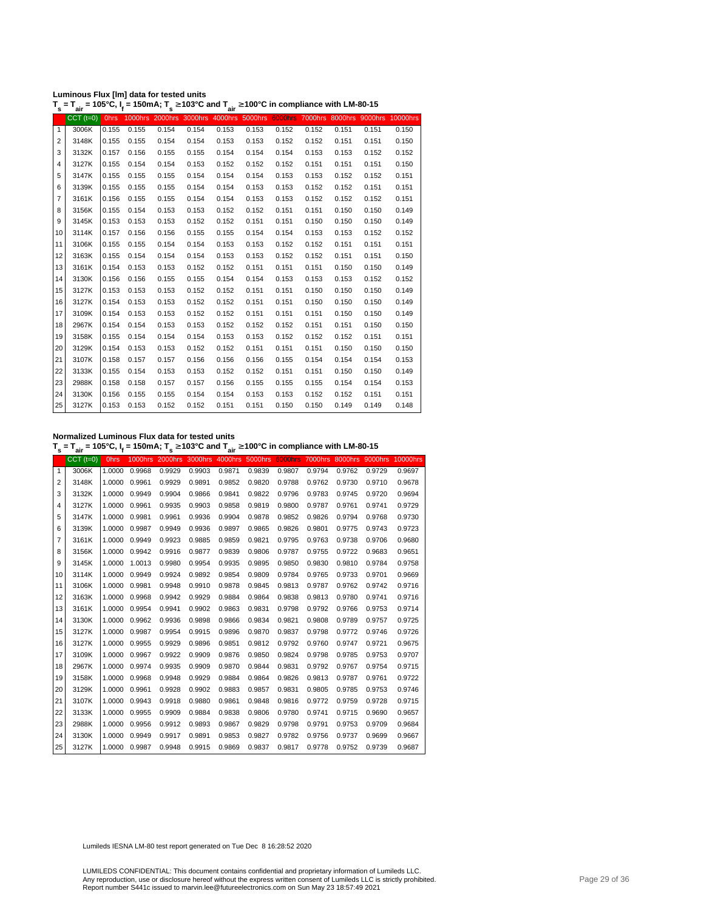| Luminous Flux [Im] data for tested units                                                                                                           |  |  |
|----------------------------------------------------------------------------------------------------------------------------------------------------|--|--|
| T <sub>s</sub> = T <sub>air</sub> = 105°C, I <sub>f</sub> = 150mA; T <sub>s</sub> ≥ 103°C and T <sub>air</sub> ≥ 100°C in compliance with LM-80-15 |  |  |

| s              | aır             | ா           |       |       |       | aır   |       |       |       |       |                                                                                  |       |
|----------------|-----------------|-------------|-------|-------|-------|-------|-------|-------|-------|-------|----------------------------------------------------------------------------------|-------|
|                | $CCT$ ( $t=0$ ) | <b>Ohrs</b> |       |       |       |       |       |       |       |       | 1000hrs 2000hrs 3000hrs 4000hrs 5000hrs 6000hrs 7000hrs 8000hrs 9000hrs 10000hrs |       |
| $\mathbf{1}$   | 3006K           | 0.155       | 0.155 | 0.154 | 0.154 | 0.153 | 0.153 | 0.152 | 0.152 | 0.151 | 0.151                                                                            | 0.150 |
| 2              | 3148K           | 0.155       | 0.155 | 0.154 | 0.154 | 0.153 | 0.153 | 0.152 | 0.152 | 0.151 | 0.151                                                                            | 0.150 |
| 3              | 3132K           | 0.157       | 0.156 | 0.155 | 0.155 | 0.154 | 0.154 | 0.154 | 0.153 | 0.153 | 0.152                                                                            | 0.152 |
| $\overline{4}$ | 3127K           | 0.155       | 0.154 | 0.154 | 0.153 | 0.152 | 0.152 | 0.152 | 0.151 | 0.151 | 0.151                                                                            | 0.150 |
| 5              | 3147K           | 0.155       | 0.155 | 0.155 | 0.154 | 0.154 | 0.154 | 0.153 | 0.153 | 0.152 | 0.152                                                                            | 0.151 |
| 6              | 3139K           | 0.155       | 0.155 | 0.155 | 0.154 | 0.154 | 0.153 | 0.153 | 0.152 | 0.152 | 0.151                                                                            | 0.151 |
| 7              | 3161K           | 0.156       | 0.155 | 0.155 | 0.154 | 0.154 | 0.153 | 0.153 | 0.152 | 0.152 | 0.152                                                                            | 0.151 |
| 8              | 3156K           | 0.155       | 0.154 | 0.153 | 0.153 | 0.152 | 0.152 | 0.151 | 0.151 | 0.150 | 0.150                                                                            | 0.149 |
| 9              | 3145K           | 0.153       | 0.153 | 0.153 | 0.152 | 0.152 | 0.151 | 0.151 | 0.150 | 0.150 | 0.150                                                                            | 0.149 |
| 10             | 3114K           | 0.157       | 0.156 | 0.156 | 0.155 | 0.155 | 0.154 | 0.154 | 0.153 | 0.153 | 0.152                                                                            | 0.152 |
| 11             | 3106K           | 0.155       | 0.155 | 0.154 | 0.154 | 0.153 | 0.153 | 0.152 | 0.152 | 0.151 | 0.151                                                                            | 0.151 |
| 12             | 3163K           | 0.155       | 0.154 | 0.154 | 0.154 | 0.153 | 0.153 | 0.152 | 0.152 | 0.151 | 0.151                                                                            | 0.150 |
| 13             | 3161K           | 0.154       | 0.153 | 0.153 | 0.152 | 0.152 | 0.151 | 0.151 | 0.151 | 0.150 | 0.150                                                                            | 0.149 |
| 14             | 3130K           | 0.156       | 0.156 | 0.155 | 0.155 | 0.154 | 0.154 | 0.153 | 0.153 | 0.153 | 0.152                                                                            | 0.152 |
| 15             | 3127K           | 0.153       | 0.153 | 0.153 | 0.152 | 0.152 | 0.151 | 0.151 | 0.150 | 0.150 | 0.150                                                                            | 0.149 |
| 16             | 3127K           | 0.154       | 0.153 | 0.153 | 0.152 | 0.152 | 0.151 | 0.151 | 0.150 | 0.150 | 0.150                                                                            | 0.149 |
| 17             | 3109K           | 0.154       | 0.153 | 0.153 | 0.152 | 0.152 | 0.151 | 0.151 | 0.151 | 0.150 | 0.150                                                                            | 0.149 |
| 18             | 2967K           | 0.154       | 0.154 | 0.153 | 0.153 | 0.152 | 0.152 | 0.152 | 0.151 | 0.151 | 0.150                                                                            | 0.150 |
| 19             | 3158K           | 0.155       | 0.154 | 0.154 | 0.154 | 0.153 | 0.153 | 0.152 | 0.152 | 0.152 | 0.151                                                                            | 0.151 |
| 20             | 3129K           | 0.154       | 0.153 | 0.153 | 0.152 | 0.152 | 0.151 | 0.151 | 0.151 | 0.150 | 0.150                                                                            | 0.150 |
| 21             | 3107K           | 0.158       | 0.157 | 0.157 | 0.156 | 0.156 | 0.156 | 0.155 | 0.154 | 0.154 | 0.154                                                                            | 0.153 |
| 22             | 3133K           | 0.155       | 0.154 | 0.153 | 0.153 | 0.152 | 0.152 | 0.151 | 0.151 | 0.150 | 0.150                                                                            | 0.149 |
| 23             | 2988K           | 0.158       | 0.158 | 0.157 | 0.157 | 0.156 | 0.155 | 0.155 | 0.155 | 0.154 | 0.154                                                                            | 0.153 |
| 24             | 3130K           | 0.156       | 0.155 | 0.155 | 0.154 | 0.154 | 0.153 | 0.153 | 0.152 | 0.152 | 0.151                                                                            | 0.151 |
| 25             | 3127K           | 0.153       | 0.153 | 0.152 | 0.152 | 0.151 | 0.151 | 0.150 | 0.150 | 0.149 | 0.149                                                                            | 0.148 |
|                |                 |             |       |       |       |       |       |       |       |       |                                                                                  |       |

**Normalized Luminous Flux data for tested units**

**T s = Tair = 105°C, I<sup>f</sup> = 150mA; T s** <sup>≥</sup> **103°C and Tair** <sup>≥</sup> **100°C in compliance with LM-80-15**

|    | $CCT$ ( $t=0$ ) | <b>Ohrs</b> | 1000hrs |        | 2000hrs 3000hrs | 4000hrs | 5000hrs | <b>6000hrs</b> | 7000hrs | 8000hrs |        | 9000hrs 10000hrs |
|----|-----------------|-------------|---------|--------|-----------------|---------|---------|----------------|---------|---------|--------|------------------|
| 1  | 3006K           | 1.0000      | 0.9968  | 0.9929 | 0.9903          | 0.9871  | 0.9839  | 0.9807         | 0.9794  | 0.9762  | 0.9729 | 0.9697           |
| 2  | 3148K           | 1.0000      | 0.9961  | 0.9929 | 0.9891          | 0.9852  | 0.9820  | 0.9788         | 0.9762  | 0.9730  | 0.9710 | 0.9678           |
| 3  | 3132K           | 1.0000      | 0.9949  | 0.9904 | 0.9866          | 0.9841  | 0.9822  | 0.9796         | 0.9783  | 0.9745  | 0.9720 | 0.9694           |
| 4  | 3127K           | 1.0000      | 0.9961  | 0.9935 | 0.9903          | 0.9858  | 0.9819  | 0.9800         | 0.9787  | 0.9761  | 0.9741 | 0.9729           |
| 5  | 3147K           | 1.0000      | 0.9981  | 0.9961 | 0.9936          | 0.9904  | 0.9878  | 0.9852         | 0.9826  | 0.9794  | 0.9768 | 0.9730           |
| 6  | 3139K           | 1.0000      | 0.9987  | 0.9949 | 0.9936          | 0.9897  | 0.9865  | 0.9826         | 0.9801  | 0.9775  | 0.9743 | 0.9723           |
| 7  | 3161K           | 1.0000      | 0.9949  | 0.9923 | 0.9885          | 0.9859  | 0.9821  | 0.9795         | 0.9763  | 0.9738  | 0.9706 | 0.9680           |
| 8  | 3156K           | 1.0000      | 0.9942  | 0.9916 | 0.9877          | 0.9839  | 0.9806  | 0.9787         | 0.9755  | 0.9722  | 0.9683 | 0.9651           |
| 9  | 3145K           | 1.0000      | 1.0013  | 0.9980 | 0.9954          | 0.9935  | 0.9895  | 0.9850         | 0.9830  | 0.9810  | 0.9784 | 0.9758           |
| 10 | 3114K           | 1.0000      | 0.9949  | 0.9924 | 0.9892          | 0.9854  | 0.9809  | 0.9784         | 0.9765  | 0.9733  | 0.9701 | 0.9669           |
| 11 | 3106K           | 1.0000      | 0.9981  | 0.9948 | 0.9910          | 0.9878  | 0.9845  | 0.9813         | 0.9787  | 0.9762  | 0.9742 | 0.9716           |
| 12 | 3163K           | 1.0000      | 0.9968  | 0.9942 | 0.9929          | 0.9884  | 0.9864  | 0.9838         | 0.9813  | 0.9780  | 0.9741 | 0.9716           |
| 13 | 3161K           | 1.0000      | 0.9954  | 0.9941 | 0.9902          | 0.9863  | 0.9831  | 0.9798         | 0.9792  | 0.9766  | 0.9753 | 0.9714           |
| 14 | 3130K           | 1.0000      | 0.9962  | 0.9936 | 0.9898          | 0.9866  | 0.9834  | 0.9821         | 0.9808  | 0.9789  | 0.9757 | 0.9725           |
| 15 | 3127K           | 1.0000      | 0.9987  | 0.9954 | 0.9915          | 0.9896  | 0.9870  | 0.9837         | 0.9798  | 0.9772  | 0.9746 | 0.9726           |
| 16 | 3127K           | 1.0000      | 0.9955  | 0.9929 | 0.9896          | 0.9851  | 0.9812  | 0.9792         | 0.9760  | 0.9747  | 0.9721 | 0.9675           |
| 17 | 3109K           | 1.0000      | 0.9967  | 0.9922 | 0.9909          | 0.9876  | 0.9850  | 0.9824         | 0.9798  | 0.9785  | 0.9753 | 0.9707           |
| 18 | 2967K           | 1.0000      | 0.9974  | 0.9935 | 0.9909          | 0.9870  | 0.9844  | 0.9831         | 0.9792  | 0.9767  | 0.9754 | 0.9715           |
| 19 | 3158K           | 1.0000      | 0.9968  | 0.9948 | 0.9929          | 0.9884  | 0.9864  | 0.9826         | 0.9813  | 0.9787  | 0.9761 | 0.9722           |
| 20 | 3129K           | 1.0000      | 0.9961  | 0.9928 | 0.9902          | 0.9883  | 0.9857  | 0.9831         | 0.9805  | 0.9785  | 0.9753 | 0.9746           |
| 21 | 3107K           | 1.0000      | 0.9943  | 0.9918 | 0.9880          | 0.9861  | 0.9848  | 0.9816         | 0.9772  | 0.9759  | 0.9728 | 0.9715           |
| 22 | 3133K           | 1.0000      | 0.9955  | 0.9909 | 0.9884          | 0.9838  | 0.9806  | 0.9780         | 0.9741  | 0.9715  | 0.9690 | 0.9657           |
| 23 | 2988K           | 1.0000      | 0.9956  | 0.9912 | 0.9893          | 0.9867  | 0.9829  | 0.9798         | 0.9791  | 0.9753  | 0.9709 | 0.9684           |
| 24 | 3130K           | 1.0000      | 0.9949  | 0.9917 | 0.9891          | 0.9853  | 0.9827  | 0.9782         | 0.9756  | 0.9737  | 0.9699 | 0.9667           |
| 25 | 3127K           | 1.0000      | 0.9987  | 0.9948 | 0.9915          | 0.9869  | 0.9837  | 0.9817         | 0.9778  | 0.9752  | 0.9739 | 0.9687           |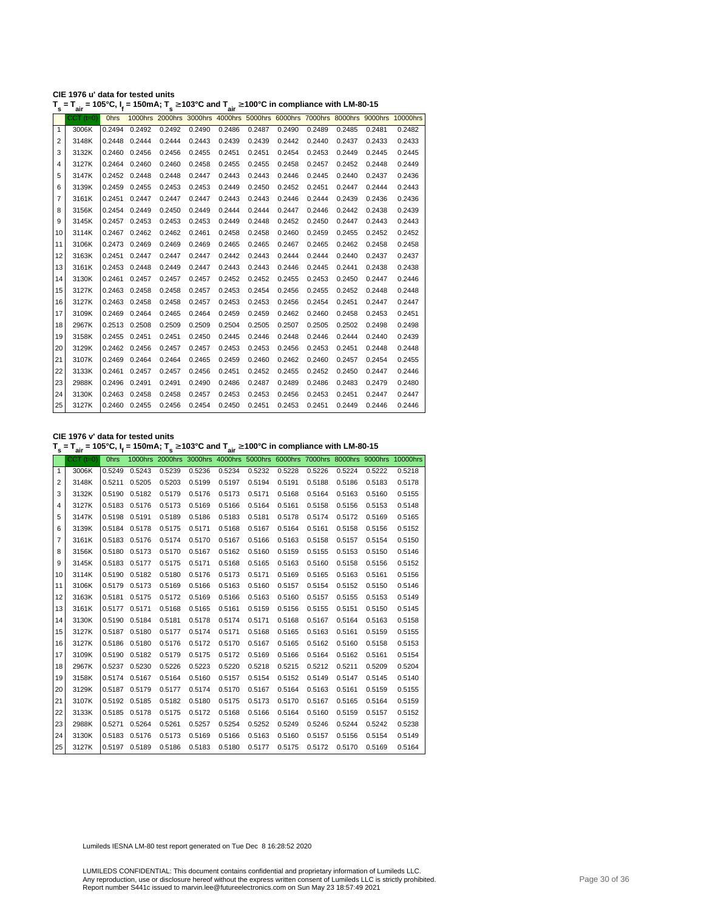| CIE 1976 u' data for tested units                                                                                                                  |  |
|----------------------------------------------------------------------------------------------------------------------------------------------------|--|
| T <sub>s</sub> = T <sub>air</sub> = 105°C, I <sub>f</sub> = 150mA; T <sub>s</sub> ≥ 103°C and T <sub>air</sub> ≥ 100°C in compliance with LM-80-15 |  |

| s            | ີ່air           | .           |               |        | - ''   | $\sim$ $\frac{1}{2}$ air |        | o in oompnanoo man am oo |        |        |        |                                                                                  |
|--------------|-----------------|-------------|---------------|--------|--------|--------------------------|--------|--------------------------|--------|--------|--------|----------------------------------------------------------------------------------|
|              | $CCT$ ( $t=0$ ) | <b>Ohrs</b> |               |        |        |                          |        |                          |        |        |        | 1000hrs 2000hrs 3000hrs 4000hrs 5000hrs 6000hrs 7000hrs 8000hrs 9000hrs 10000hrs |
| $\mathbf{1}$ | 3006K           | 0.2494      | 0.2492        | 0.2492 | 0.2490 | 0.2486                   | 0.2487 | 0.2490                   | 0.2489 | 0.2485 | 0.2481 | 0.2482                                                                           |
| 2            | 3148K           | 0.2448      | 0.2444        | 0.2444 | 0.2443 | 0.2439                   | 0.2439 | 0.2442                   | 0.2440 | 0.2437 | 0.2433 | 0.2433                                                                           |
| 3            | 3132K           | 0.2460      | 0.2456        | 0.2456 | 0.2455 | 0.2451                   | 0.2451 | 0.2454                   | 0.2453 | 0.2449 | 0.2445 | 0.2445                                                                           |
| 4            | 3127K           | 0.2464      | 0.2460        | 0.2460 | 0.2458 | 0.2455                   | 0.2455 | 0.2458                   | 0.2457 | 0.2452 | 0.2448 | 0.2449                                                                           |
| 5            | 3147K           | 0.2452      | 0.2448        | 0.2448 | 0.2447 | 0.2443                   | 0.2443 | 0.2446                   | 0.2445 | 0.2440 | 0.2437 | 0.2436                                                                           |
| 6            | 3139K           | 0.2459      | 0.2455        | 0.2453 | 0.2453 | 0.2449                   | 0.2450 | 0.2452                   | 0.2451 | 0.2447 | 0.2444 | 0.2443                                                                           |
| 7            | 3161K           | 0.2451      | 0.2447        | 0.2447 | 0.2447 | 0.2443                   | 0.2443 | 0.2446                   | 0.2444 | 0.2439 | 0.2436 | 0.2436                                                                           |
| 8            | 3156K           |             | 0.2454 0.2449 | 0.2450 | 0.2449 | 0.2444                   | 0.2444 | 0.2447                   | 0.2446 | 0.2442 | 0.2438 | 0.2439                                                                           |
| 9            | 3145K           | 0.2457      | 0.2453        | 0.2453 | 0.2453 | 0.2449                   | 0.2448 | 0.2452                   | 0.2450 | 0.2447 | 0.2443 | 0.2443                                                                           |
| 10           | 3114K           | 0.2467      | 0.2462        | 0.2462 | 0.2461 | 0.2458                   | 0.2458 | 0.2460                   | 0.2459 | 0.2455 | 0.2452 | 0.2452                                                                           |
| 11           | 3106K           | 0.2473      | 0.2469        | 0.2469 | 0.2469 | 0.2465                   | 0.2465 | 0.2467                   | 0.2465 | 0.2462 | 0.2458 | 0.2458                                                                           |
| 12           | 3163K           | 0.2451      | 0.2447        | 0.2447 | 0.2447 | 0.2442                   | 0.2443 | 0.2444                   | 0.2444 | 0.2440 | 0.2437 | 0.2437                                                                           |
| 13           | 3161K           |             | 0.2453 0.2448 | 0.2449 | 0.2447 | 0.2443                   | 0.2443 | 0.2446                   | 0.2445 | 0.2441 | 0.2438 | 0.2438                                                                           |
| 14           | 3130K           | 0.2461      | 0.2457        | 0.2457 | 0.2457 | 0.2452                   | 0.2452 | 0.2455                   | 0.2453 | 0.2450 | 0.2447 | 0.2446                                                                           |
| 15           | 3127K           | 0.2463      | 0.2458        | 0.2458 | 0.2457 | 0.2453                   | 0.2454 | 0.2456                   | 0.2455 | 0.2452 | 0.2448 | 0.2448                                                                           |
| 16           | 3127K           | 0.2463      | 0.2458        | 0.2458 | 0.2457 | 0.2453                   | 0.2453 | 0.2456                   | 0.2454 | 0.2451 | 0.2447 | 0.2447                                                                           |
| 17           | 3109K           | 0.2469      | 0.2464        | 0.2465 | 0.2464 | 0.2459                   | 0.2459 | 0.2462                   | 0.2460 | 0.2458 | 0.2453 | 0.2451                                                                           |
| 18           | 2967K           |             | 0.2513 0.2508 | 0.2509 | 0.2509 | 0.2504                   | 0.2505 | 0.2507                   | 0.2505 | 0.2502 | 0.2498 | 0.2498                                                                           |
| 19           | 3158K           | 0.2455      | 0.2451        | 0.2451 | 0.2450 | 0.2445                   | 0.2446 | 0.2448                   | 0.2446 | 0.2444 | 0.2440 | 0.2439                                                                           |
| 20           | 3129K           |             | 0.2462 0.2456 | 0.2457 | 0.2457 | 0.2453                   | 0.2453 | 0.2456                   | 0.2453 | 0.2451 | 0.2448 | 0.2448                                                                           |
| 21           | 3107K           | 0.2469      | 0.2464        | 0.2464 | 0.2465 | 0.2459                   | 0.2460 | 0.2462                   | 0.2460 | 0.2457 | 0.2454 | 0.2455                                                                           |
| 22           | 3133K           | 0.2461      | 0.2457        | 0.2457 | 0.2456 | 0.2451                   | 0.2452 | 0.2455                   | 0.2452 | 0.2450 | 0.2447 | 0.2446                                                                           |
| 23           | 2988K           | 0.2496      | 0.2491        | 0.2491 | 0.2490 | 0.2486                   | 0.2487 | 0.2489                   | 0.2486 | 0.2483 | 0.2479 | 0.2480                                                                           |
| 24           | 3130K           | 0.2463      | 0.2458        | 0.2458 | 0.2457 | 0.2453                   | 0.2453 | 0.2456                   | 0.2453 | 0.2451 | 0.2447 | 0.2447                                                                           |
| 25           | 3127K           |             | 0.2460 0.2455 | 0.2456 | 0.2454 | 0.2450                   | 0.2451 | 0.2453                   | 0.2451 | 0.2449 | 0.2446 | 0.2446                                                                           |
|              |                 |             |               |        |        |                          |        |                          |        |        |        |                                                                                  |

**CIE 1976 v' data for tested units**

**T s = Tair = 105°C, I<sup>f</sup> = 150mA; T s** <sup>≥</sup> **103°C and Tair** <sup>≥</sup> **100°C in compliance with LM-80-15**

|              | $CCT$ $(t=0)$ | 0hrs   |               |        |        |        |                                                                                |        |        |        |        | 1000hrs 2000hrs 3000hrs 4000hrs 5000hrs 6000hrs 7000hrs 8000hrs 9000hrs 10000hrs |
|--------------|---------------|--------|---------------|--------|--------|--------|--------------------------------------------------------------------------------|--------|--------|--------|--------|----------------------------------------------------------------------------------|
| $\mathbf{1}$ | 3006K         | 0.5249 | 0.5243        | 0.5239 | 0.5236 | 0.5234 | 0.5232                                                                         | 0.5228 | 0.5226 | 0.5224 | 0.5222 | 0.5218                                                                           |
| 2            | 3148K         |        | 0.5211 0.5205 | 0.5203 | 0.5199 | 0.5197 | 0.5194                                                                         | 0.5191 | 0.5188 | 0.5186 | 0.5183 | 0.5178                                                                           |
| 3            | 3132K         | 0.5190 | 0.5182        | 0.5179 | 0.5176 | 0.5173 | 0.5171                                                                         | 0.5168 | 0.5164 | 0.5163 | 0.5160 | 0.5155                                                                           |
| 4            | 3127K         |        | 0.5183 0.5176 | 0.5173 | 0.5169 | 0.5166 | 0.5164                                                                         | 0.5161 | 0.5158 | 0.5156 | 0.5153 | 0.5148                                                                           |
| 5            | 3147K         |        | 0.5198 0.5191 | 0.5189 | 0.5186 | 0.5183 | 0.5181                                                                         | 0.5178 | 0.5174 | 0.5172 | 0.5169 | 0.5165                                                                           |
| 6            | 3139K         |        | 0.5184 0.5178 | 0.5175 | 0.5171 | 0.5168 | 0.5167                                                                         | 0.5164 | 0.5161 | 0.5158 | 0.5156 | 0.5152                                                                           |
| 7            | 3161K         |        | 0.5183 0.5176 | 0.5174 | 0.5170 | 0.5167 | 0.5166                                                                         | 0.5163 | 0.5158 | 0.5157 | 0.5154 | 0.5150                                                                           |
| 8            | 3156K         | 0.5180 | 0.5173        | 0.5170 | 0.5167 | 0.5162 | 0.5160                                                                         | 0.5159 | 0.5155 | 0.5153 | 0.5150 | 0.5146                                                                           |
| 9            | 3145K         |        | 0.5183 0.5177 | 0.5175 | 0.5171 | 0.5168 | 0.5165                                                                         | 0.5163 | 0.5160 | 0.5158 | 0.5156 | 0.5152                                                                           |
| 10           | 3114K         | 0.5190 | 0.5182        | 0.5180 | 0.5176 | 0.5173 | 0.5171                                                                         | 0.5169 | 0.5165 | 0.5163 | 0.5161 | 0.5156                                                                           |
| 11           | 3106K         |        | 0.5179 0.5173 | 0.5169 | 0.5166 | 0.5163 | 0.5160                                                                         | 0.5157 | 0.5154 | 0.5152 | 0.5150 | 0.5146                                                                           |
| 12           | 3163K         |        | 0.5181 0.5175 | 0.5172 | 0.5169 | 0.5166 | 0.5163                                                                         | 0.5160 | 0.5157 | 0.5155 | 0.5153 | 0.5149                                                                           |
| 13           | 3161K         |        | 0.5177 0.5171 | 0.5168 | 0.5165 | 0.5161 | 0.5159                                                                         | 0.5156 | 0.5155 | 0.5151 | 0.5150 | 0.5145                                                                           |
| 14           | 3130K         | 0.5190 | 0.5184        | 0.5181 | 0.5178 | 0.5174 | 0.5171                                                                         | 0.5168 | 0.5167 | 0.5164 | 0.5163 | 0.5158                                                                           |
| 15           | 3127K         |        | 0.5187 0.5180 | 0.5177 | 0.5174 | 0.5171 | 0.5168                                                                         | 0.5165 | 0.5163 | 0.5161 | 0.5159 | 0.5155                                                                           |
| 16           | 3127K         |        | 0.5186 0.5180 | 0.5176 | 0.5172 | 0.5170 | 0.5167                                                                         | 0.5165 | 0.5162 | 0.5160 | 0.5158 | 0.5153                                                                           |
| 17           | 3109K         | 0.5190 | 0.5182        | 0.5179 | 0.5175 | 0.5172 | 0.5169                                                                         | 0.5166 | 0.5164 | 0.5162 | 0.5161 | 0.5154                                                                           |
| 18           | 2967K         |        | 0.5237 0.5230 | 0.5226 | 0.5223 | 0.5220 | 0.5218                                                                         | 0.5215 | 0.5212 | 0.5211 | 0.5209 | 0.5204                                                                           |
| 19           | 3158K         |        | 0.5174 0.5167 | 0.5164 | 0.5160 | 0.5157 | 0.5154                                                                         | 0.5152 | 0.5149 | 0.5147 | 0.5145 | 0.5140                                                                           |
| 20           | 3129K         |        | 0.5187 0.5179 | 0.5177 | 0.5174 | 0.5170 | 0.5167                                                                         | 0.5164 | 0.5163 | 0.5161 | 0.5159 | 0.5155                                                                           |
| 21           | 3107K         |        | 0.5192 0.5185 | 0.5182 | 0.5180 | 0.5175 | 0.5173                                                                         | 0.5170 | 0.5167 | 0.5165 | 0.5164 | 0.5159                                                                           |
| 22           | 3133K         |        | 0.5185 0.5178 | 0.5175 | 0.5172 | 0.5168 | 0.5166                                                                         | 0.5164 | 0.5160 | 0.5159 | 0.5157 | 0.5152                                                                           |
| 23           | 2988K         |        | 0.5271 0.5264 | 0.5261 | 0.5257 | 0.5254 | 0.5252                                                                         | 0.5249 | 0.5246 | 0.5244 | 0.5242 | 0.5238                                                                           |
| 24           | 3130K         |        | 0.5183 0.5176 | 0.5173 | 0.5169 | 0.5166 | 0.5163                                                                         | 0.5160 | 0.5157 | 0.5156 | 0.5154 | 0.5149                                                                           |
| 25           | 3127K         |        |               |        |        |        | 0.5197  0.5189  0.5186  0.5183  0.5180  0.5177  0.5175  0.5172  0.5170  0.5169 |        |        |        |        | 0.5164                                                                           |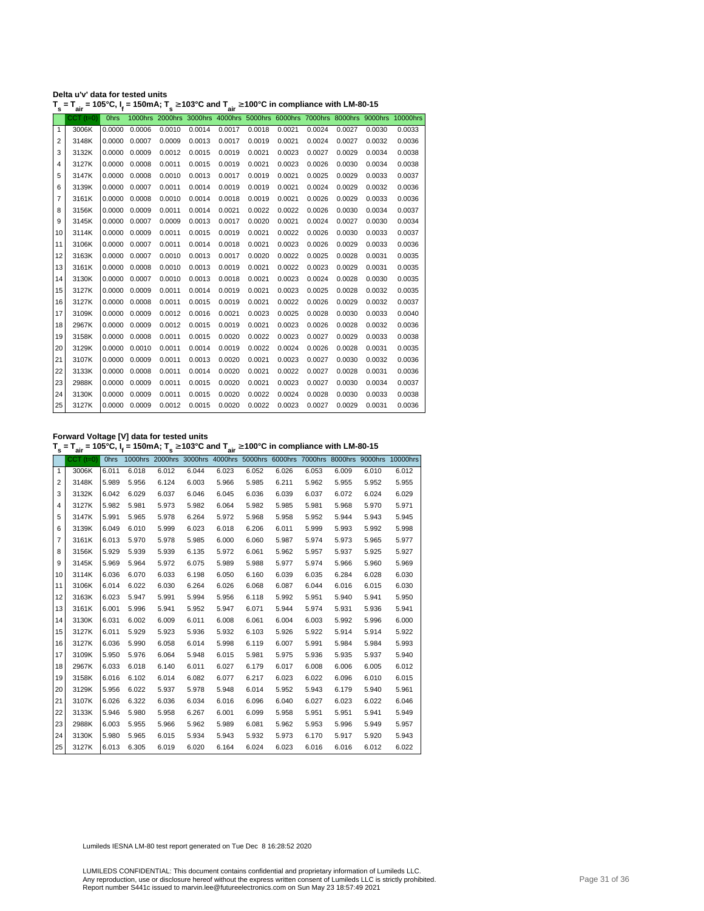| Delta u'v' data for tested units                                                                                                                   |  |  |
|----------------------------------------------------------------------------------------------------------------------------------------------------|--|--|
| T <sub>s</sub> = T <sub>air</sub> = 105°C, I <sub>f</sub> = 150mA; T <sub>s</sub> ≥ 103°C and T <sub>air</sub> ≥ 100°C in compliance with LM-80-15 |  |  |

|                | $CCT$ ( $t=0$ ) | <b>Ohrs</b> |        |        |        |        |        |        |        |        |        | 1000hrs 2000hrs 3000hrs 4000hrs 5000hrs 6000hrs 7000hrs 8000hrs 9000hrs 10000hrs |
|----------------|-----------------|-------------|--------|--------|--------|--------|--------|--------|--------|--------|--------|----------------------------------------------------------------------------------|
| 1              | 3006K           | 0.0000      | 0.0006 | 0.0010 | 0.0014 | 0.0017 | 0.0018 | 0.0021 | 0.0024 | 0.0027 | 0.0030 | 0.0033                                                                           |
| $\overline{2}$ | 3148K           | 0.0000      | 0.0007 | 0.0009 | 0.0013 | 0.0017 | 0.0019 | 0.0021 | 0.0024 | 0.0027 | 0.0032 | 0.0036                                                                           |
| 3              | 3132K           | 0.0000      | 0.0009 | 0.0012 | 0.0015 | 0.0019 | 0.0021 | 0.0023 | 0.0027 | 0.0029 | 0.0034 | 0.0038                                                                           |
| 4              | 3127K           | 0.0000      | 0.0008 | 0.0011 | 0.0015 | 0.0019 | 0.0021 | 0.0023 | 0.0026 | 0.0030 | 0.0034 | 0.0038                                                                           |
| 5              | 3147K           | 0.0000      | 0.0008 | 0.0010 | 0.0013 | 0.0017 | 0.0019 | 0.0021 | 0.0025 | 0.0029 | 0.0033 | 0.0037                                                                           |
| 6              | 3139K           | 0.0000      | 0.0007 | 0.0011 | 0.0014 | 0.0019 | 0.0019 | 0.0021 | 0.0024 | 0.0029 | 0.0032 | 0.0036                                                                           |
| 7              | 3161K           | 0.0000      | 0.0008 | 0.0010 | 0.0014 | 0.0018 | 0.0019 | 0.0021 | 0.0026 | 0.0029 | 0.0033 | 0.0036                                                                           |
| 8              | 3156K           | 0.0000      | 0.0009 | 0.0011 | 0.0014 | 0.0021 | 0.0022 | 0.0022 | 0.0026 | 0.0030 | 0.0034 | 0.0037                                                                           |
| 9              | 3145K           | 0.0000      | 0.0007 | 0.0009 | 0.0013 | 0.0017 | 0.0020 | 0.0021 | 0.0024 | 0.0027 | 0.0030 | 0.0034                                                                           |
| 10             | 3114K           | 0.0000      | 0.0009 | 0.0011 | 0.0015 | 0.0019 | 0.0021 | 0.0022 | 0.0026 | 0.0030 | 0.0033 | 0.0037                                                                           |
| 11             | 3106K           | 0.0000      | 0.0007 | 0.0011 | 0.0014 | 0.0018 | 0.0021 | 0.0023 | 0.0026 | 0.0029 | 0.0033 | 0.0036                                                                           |
| 12             | 3163K           | 0.0000      | 0.0007 | 0.0010 | 0.0013 | 0.0017 | 0.0020 | 0.0022 | 0.0025 | 0.0028 | 0.0031 | 0.0035                                                                           |
| 13             | 3161K           | 0.0000      | 0.0008 | 0.0010 | 0.0013 | 0.0019 | 0.0021 | 0.0022 | 0.0023 | 0.0029 | 0.0031 | 0.0035                                                                           |
| 14             | 3130K           | 0.0000      | 0.0007 | 0.0010 | 0.0013 | 0.0018 | 0.0021 | 0.0023 | 0.0024 | 0.0028 | 0.0030 | 0.0035                                                                           |
| 15             | 3127K           | 0.0000      | 0.0009 | 0.0011 | 0.0014 | 0.0019 | 0.0021 | 0.0023 | 0.0025 | 0.0028 | 0.0032 | 0.0035                                                                           |
| 16             | 3127K           | 0.0000      | 0.0008 | 0.0011 | 0.0015 | 0.0019 | 0.0021 | 0.0022 | 0.0026 | 0.0029 | 0.0032 | 0.0037                                                                           |
| 17             | 3109K           | 0.0000      | 0.0009 | 0.0012 | 0.0016 | 0.0021 | 0.0023 | 0.0025 | 0.0028 | 0.0030 | 0.0033 | 0.0040                                                                           |
| 18             | 2967K           | 0.0000      | 0.0009 | 0.0012 | 0.0015 | 0.0019 | 0.0021 | 0.0023 | 0.0026 | 0.0028 | 0.0032 | 0.0036                                                                           |
| 19             | 3158K           | 0.0000      | 0.0008 | 0.0011 | 0.0015 | 0.0020 | 0.0022 | 0.0023 | 0.0027 | 0.0029 | 0.0033 | 0.0038                                                                           |
| 20             | 3129K           | 0.0000      | 0.0010 | 0.0011 | 0.0014 | 0.0019 | 0.0022 | 0.0024 | 0.0026 | 0.0028 | 0.0031 | 0.0035                                                                           |
| 21             | 3107K           | 0.0000      | 0.0009 | 0.0011 | 0.0013 | 0.0020 | 0.0021 | 0.0023 | 0.0027 | 0.0030 | 0.0032 | 0.0036                                                                           |
| 22             | 3133K           | 0.0000      | 0.0008 | 0.0011 | 0.0014 | 0.0020 | 0.0021 | 0.0022 | 0.0027 | 0.0028 | 0.0031 | 0.0036                                                                           |
| 23             | 2988K           | 0.0000      | 0.0009 | 0.0011 | 0.0015 | 0.0020 | 0.0021 | 0.0023 | 0.0027 | 0.0030 | 0.0034 | 0.0037                                                                           |
| 24             | 3130K           | 0.0000      | 0.0009 | 0.0011 | 0.0015 | 0.0020 | 0.0022 | 0.0024 | 0.0028 | 0.0030 | 0.0033 | 0.0038                                                                           |
| 25             | 3127K           | 0.0000      | 0.0009 | 0.0012 | 0.0015 | 0.0020 | 0.0022 | 0.0023 | 0.0027 | 0.0029 | 0.0031 | 0.0036                                                                           |

**Forward Voltage [V] data for tested units**

**T s = Tair = 105°C, I<sup>f</sup> = 150mA; T s** <sup>≥</sup> **103°C and Tair** <sup>≥</sup> **100°C in compliance with LM-80-15**

|                | $CCT$ ( $t=0$ ) | <b>Ohrs</b> |       |       |       |       |       |       |       |       |       | 1000hrs 2000hrs 3000hrs 4000hrs 5000hrs 6000hrs 7000hrs 8000hrs 9000hrs 10000hrs |
|----------------|-----------------|-------------|-------|-------|-------|-------|-------|-------|-------|-------|-------|----------------------------------------------------------------------------------|
| $\mathbf{1}$   | 3006K           | 6.011       | 6.018 | 6.012 | 6.044 | 6.023 | 6.052 | 6.026 | 6.053 | 6.009 | 6.010 | 6.012                                                                            |
| 2              | 3148K           | 5.989       | 5.956 | 6.124 | 6.003 | 5.966 | 5.985 | 6.211 | 5.962 | 5.955 | 5.952 | 5.955                                                                            |
| 3              | 3132K           | 6.042       | 6.029 | 6.037 | 6.046 | 6.045 | 6.036 | 6.039 | 6.037 | 6.072 | 6.024 | 6.029                                                                            |
| 4              | 3127K           | 5.982       | 5.981 | 5.973 | 5.982 | 6.064 | 5.982 | 5.985 | 5.981 | 5.968 | 5.970 | 5.971                                                                            |
| 5              | 3147K           | 5.991       | 5.965 | 5.978 | 6.264 | 5.972 | 5.968 | 5.958 | 5.952 | 5.944 | 5.943 | 5.945                                                                            |
| 6              | 3139K           | 6.049       | 6.010 | 5.999 | 6.023 | 6.018 | 6.206 | 6.011 | 5.999 | 5.993 | 5.992 | 5.998                                                                            |
| $\overline{7}$ | 3161K           | 6.013       | 5.970 | 5.978 | 5.985 | 6.000 | 6.060 | 5.987 | 5.974 | 5.973 | 5.965 | 5.977                                                                            |
| 8              | 3156K           | 5.929       | 5.939 | 5.939 | 6.135 | 5.972 | 6.061 | 5.962 | 5.957 | 5.937 | 5.925 | 5.927                                                                            |
| 9              | 3145K           | 5.969       | 5.964 | 5.972 | 6.075 | 5.989 | 5.988 | 5.977 | 5.974 | 5.966 | 5.960 | 5.969                                                                            |
| 10             | 3114K           | 6.036       | 6.070 | 6.033 | 6.198 | 6.050 | 6.160 | 6.039 | 6.035 | 6.284 | 6.028 | 6.030                                                                            |
| 11             | 3106K           | 6.014       | 6.022 | 6.030 | 6.264 | 6.026 | 6.068 | 6.087 | 6.044 | 6.016 | 6.015 | 6.030                                                                            |
| 12             | 3163K           | 6.023       | 5.947 | 5.991 | 5.994 | 5.956 | 6.118 | 5.992 | 5.951 | 5.940 | 5.941 | 5.950                                                                            |
| 13             | 3161K           | 6.001       | 5.996 | 5.941 | 5.952 | 5.947 | 6.071 | 5.944 | 5.974 | 5.931 | 5.936 | 5.941                                                                            |
| 14             | 3130K           | 6.031       | 6.002 | 6.009 | 6.011 | 6.008 | 6.061 | 6.004 | 6.003 | 5.992 | 5.996 | 6.000                                                                            |
| 15             | 3127K           | 6.011       | 5.929 | 5.923 | 5.936 | 5.932 | 6.103 | 5.926 | 5.922 | 5.914 | 5.914 | 5.922                                                                            |
| 16             | 3127K           | 6.036       | 5.990 | 6.058 | 6.014 | 5.998 | 6.119 | 6.007 | 5.991 | 5.984 | 5.984 | 5.993                                                                            |
| 17             | 3109K           | 5.950       | 5.976 | 6.064 | 5.948 | 6.015 | 5.981 | 5.975 | 5.936 | 5.935 | 5.937 | 5.940                                                                            |
| 18             | 2967K           | 6.033       | 6.018 | 6.140 | 6.011 | 6.027 | 6.179 | 6.017 | 6.008 | 6.006 | 6.005 | 6.012                                                                            |
| 19             | 3158K           | 6.016       | 6.102 | 6.014 | 6.082 | 6.077 | 6.217 | 6.023 | 6.022 | 6.096 | 6.010 | 6.015                                                                            |
| 20             | 3129K           | 5.956       | 6.022 | 5.937 | 5.978 | 5.948 | 6.014 | 5.952 | 5.943 | 6.179 | 5.940 | 5.961                                                                            |
| 21             | 3107K           | 6.026       | 6.322 | 6.036 | 6.034 | 6.016 | 6.096 | 6.040 | 6.027 | 6.023 | 6.022 | 6.046                                                                            |
| 22             | 3133K           | 5.946       | 5.980 | 5.958 | 6.267 | 6.001 | 6.099 | 5.958 | 5.951 | 5.951 | 5.941 | 5.949                                                                            |
| 23             | 2988K           | 6.003       | 5.955 | 5.966 | 5.962 | 5.989 | 6.081 | 5.962 | 5.953 | 5.996 | 5.949 | 5.957                                                                            |
| 24             | 3130K           | 5.980       | 5.965 | 6.015 | 5.934 | 5.943 | 5.932 | 5.973 | 6.170 | 5.917 | 5.920 | 5.943                                                                            |
| 25             | 3127K           | 6.013       | 6.305 | 6.019 | 6.020 | 6.164 | 6.024 | 6.023 | 6.016 | 6.016 | 6.012 | 6.022                                                                            |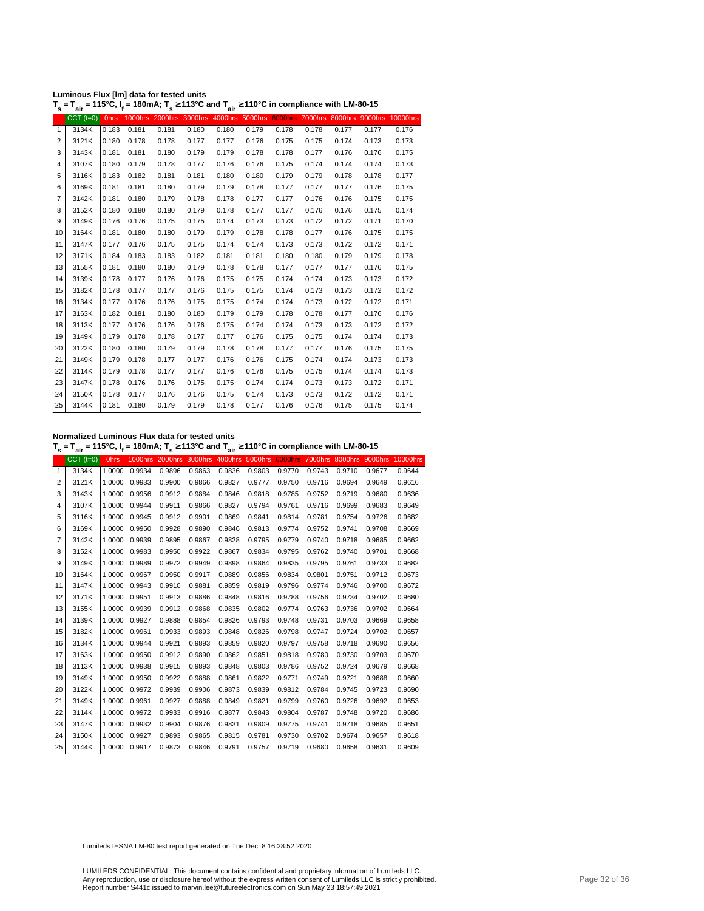| Luminous Flux [lm] data for tested units                                                                                              |  |
|---------------------------------------------------------------------------------------------------------------------------------------|--|
| T $_{\rm c}$ = T $_{\rm air}$ = 115°C, I, = 180mA; T $_{\rm c}\geq$ 113°C and T $_{\rm air}$ $\geq$ 110°C in compliance with LM-80-15 |  |

|                | $T_s = T_{air} = 115^{\circ}$ C, $I_f = 180$ mA; $T_s \ge 113^{\circ}$ C and $T_{air} \ge 110^{\circ}$ C in compliance with LM-80-15 |             |       |       |       |       |       |       |       |       |                                                                                  |       |
|----------------|--------------------------------------------------------------------------------------------------------------------------------------|-------------|-------|-------|-------|-------|-------|-------|-------|-------|----------------------------------------------------------------------------------|-------|
|                | $CCT$ $(t=0)$                                                                                                                        | <b>Ohrs</b> |       |       |       |       |       |       |       |       | 1000hrs 2000hrs 3000hrs 4000hrs 5000hrs 6000hrs 7000hrs 8000hrs 9000hrs 10000hrs |       |
| $\mathbf{1}$   | 3134K                                                                                                                                | 0.183       | 0.181 | 0.181 | 0.180 | 0.180 | 0.179 | 0.178 | 0.178 | 0.177 | 0.177                                                                            | 0.176 |
| 2              | 3121K                                                                                                                                | 0.180       | 0.178 | 0.178 | 0.177 | 0.177 | 0.176 | 0.175 | 0.175 | 0.174 | 0.173                                                                            | 0.173 |
| 3              | 3143K                                                                                                                                | 0.181       | 0.181 | 0.180 | 0.179 | 0.179 | 0.178 | 0.178 | 0.177 | 0.176 | 0.176                                                                            | 0.175 |
| $\overline{4}$ | 3107K                                                                                                                                | 0.180       | 0.179 | 0.178 | 0.177 | 0.176 | 0.176 | 0.175 | 0.174 | 0.174 | 0.174                                                                            | 0.173 |
| 5              | 3116K                                                                                                                                | 0.183       | 0.182 | 0.181 | 0.181 | 0.180 | 0.180 | 0.179 | 0.179 | 0.178 | 0.178                                                                            | 0.177 |
| 6              | 3169K                                                                                                                                | 0.181       | 0.181 | 0.180 | 0.179 | 0.179 | 0.178 | 0.177 | 0.177 | 0.177 | 0.176                                                                            | 0.175 |
| 7              | 3142K                                                                                                                                | 0.181       | 0.180 | 0.179 | 0.178 | 0.178 | 0.177 | 0.177 | 0.176 | 0.176 | 0.175                                                                            | 0.175 |
| 8              | 3152K                                                                                                                                | 0.180       | 0.180 | 0.180 | 0.179 | 0.178 | 0.177 | 0.177 | 0.176 | 0.176 | 0.175                                                                            | 0.174 |
| 9              | 3149K                                                                                                                                | 0.176       | 0.176 | 0.175 | 0.175 | 0.174 | 0.173 | 0.173 | 0.172 | 0.172 | 0.171                                                                            | 0.170 |
| 10             | 3164K                                                                                                                                | 0.181       | 0.180 | 0.180 | 0.179 | 0.179 | 0.178 | 0.178 | 0.177 | 0.176 | 0.175                                                                            | 0.175 |
| 11             | 3147K                                                                                                                                | 0.177       | 0.176 | 0.175 | 0.175 | 0.174 | 0.174 | 0.173 | 0.173 | 0.172 | 0.172                                                                            | 0.171 |
| 12             | 3171K                                                                                                                                | 0.184       | 0.183 | 0.183 | 0.182 | 0.181 | 0.181 | 0.180 | 0.180 | 0.179 | 0.179                                                                            | 0.178 |
| 13             | 3155K                                                                                                                                | 0.181       | 0.180 | 0.180 | 0.179 | 0.178 | 0.178 | 0.177 | 0.177 | 0.177 | 0.176                                                                            | 0.175 |
| 14             | 3139K                                                                                                                                | 0.178       | 0.177 | 0.176 | 0.176 | 0.175 | 0.175 | 0.174 | 0.174 | 0.173 | 0.173                                                                            | 0.172 |
| 15             | 3182K                                                                                                                                | 0.178       | 0.177 | 0.177 | 0.176 | 0.175 | 0.175 | 0.174 | 0.173 | 0.173 | 0.172                                                                            | 0.172 |
| 16             | 3134K                                                                                                                                | 0.177       | 0.176 | 0.176 | 0.175 | 0.175 | 0.174 | 0.174 | 0.173 | 0.172 | 0.172                                                                            | 0.171 |
| 17             | 3163K                                                                                                                                | 0.182       | 0.181 | 0.180 | 0.180 | 0.179 | 0.179 | 0.178 | 0.178 | 0.177 | 0.176                                                                            | 0.176 |
| 18             | 3113K                                                                                                                                | 0.177       | 0.176 | 0.176 | 0.176 | 0.175 | 0.174 | 0.174 | 0.173 | 0.173 | 0.172                                                                            | 0.172 |
| 19             | 3149K                                                                                                                                | 0.179       | 0.178 | 0.178 | 0.177 | 0.177 | 0.176 | 0.175 | 0.175 | 0.174 | 0.174                                                                            | 0.173 |
| 20             | 3122K                                                                                                                                | 0.180       | 0.180 | 0.179 | 0.179 | 0.178 | 0.178 | 0.177 | 0.177 | 0.176 | 0.175                                                                            | 0.175 |
| 21             | 3149K                                                                                                                                | 0.179       | 0.178 | 0.177 | 0.177 | 0.176 | 0.176 | 0.175 | 0.174 | 0.174 | 0.173                                                                            | 0.173 |
| 22             | 3114K                                                                                                                                | 0.179       | 0.178 | 0.177 | 0.177 | 0.176 | 0.176 | 0.175 | 0.175 | 0.174 | 0.174                                                                            | 0.173 |
| 23             | 3147K                                                                                                                                | 0.178       | 0.176 | 0.176 | 0.175 | 0.175 | 0.174 | 0.174 | 0.173 | 0.173 | 0.172                                                                            | 0.171 |
| 24             | 3150K                                                                                                                                | 0.178       | 0.177 | 0.176 | 0.176 | 0.175 | 0.174 | 0.173 | 0.173 | 0.172 | 0.172                                                                            | 0.171 |
| 25             | 3144K                                                                                                                                | 0.181       | 0.180 | 0.179 | 0.179 | 0.178 | 0.177 | 0.176 | 0.176 | 0.175 | 0.175                                                                            | 0.174 |

**Normalized Luminous Flux data for tested units**

**T s = Tair = 115°C, I<sup>f</sup> = 180mA; T s** <sup>≥</sup> **113°C and Tair** <sup>≥</sup> **110°C in compliance with LM-80-15**

|    | $CCT$ $(t=0)$ | <b>Ohrs</b> | 1000hrs | 2000hrs 3000hrs 4000hrs |        |        | 5000hrs | <b>6000hrs</b> |        |        |        | 7000hrs 8000hrs 9000hrs 10000hrs |
|----|---------------|-------------|---------|-------------------------|--------|--------|---------|----------------|--------|--------|--------|----------------------------------|
| 1  | 3134K         | 1.0000      | 0.9934  | 0.9896                  | 0.9863 | 0.9836 | 0.9803  | 0.9770         | 0.9743 | 0.9710 | 0.9677 | 0.9644                           |
| 2  | 3121K         | 1.0000      | 0.9933  | 0.9900                  | 0.9866 | 0.9827 | 0.9777  | 0.9750         | 0.9716 | 0.9694 | 0.9649 | 0.9616                           |
| 3  | 3143K         | 1.0000      | 0.9956  | 0.9912                  | 0.9884 | 0.9846 | 0.9818  | 0.9785         | 0.9752 | 0.9719 | 0.9680 | 0.9636                           |
| 4  | 3107K         | 1.0000      | 0.9944  | 0.9911                  | 0.9866 | 0.9827 | 0.9794  | 0.9761         | 0.9716 | 0.9699 | 0.9683 | 0.9649                           |
| 5  | 3116K         | 1.0000      | 0.9945  | 0.9912                  | 0.9901 | 0.9869 | 0.9841  | 0.9814         | 0.9781 | 0.9754 | 0.9726 | 0.9682                           |
| 6  | 3169K         | 1.0000      | 0.9950  | 0.9928                  | 0.9890 | 0.9846 | 0.9813  | 0.9774         | 0.9752 | 0.9741 | 0.9708 | 0.9669                           |
| 7  | 3142K         | 1.0000      | 0.9939  | 0.9895                  | 0.9867 | 0.9828 | 0.9795  | 0.9779         | 0.9740 | 0.9718 | 0.9685 | 0.9662                           |
| 8  | 3152K         | 1.0000      | 0.9983  | 0.9950                  | 0.9922 | 0.9867 | 0.9834  | 0.9795         | 0.9762 | 0.9740 | 0.9701 | 0.9668                           |
| 9  | 3149K         | 1.0000      | 0.9989  | 0.9972                  | 0.9949 | 0.9898 | 0.9864  | 0.9835         | 0.9795 | 0.9761 | 0.9733 | 0.9682                           |
| 10 | 3164K         | 1.0000      | 0.9967  | 0.9950                  | 0.9917 | 0.9889 | 0.9856  | 0.9834         | 0.9801 | 0.9751 | 0.9712 | 0.9673                           |
| 11 | 3147K         | 1.0000      | 0.9943  | 0.9910                  | 0.9881 | 0.9859 | 0.9819  | 0.9796         | 0.9774 | 0.9746 | 0.9700 | 0.9672                           |
| 12 | 3171K         | 1.0000      | 0.9951  | 0.9913                  | 0.9886 | 0.9848 | 0.9816  | 0.9788         | 0.9756 | 0.9734 | 0.9702 | 0.9680                           |
| 13 | 3155K         | 1.0000      | 0.9939  | 0.9912                  | 0.9868 | 0.9835 | 0.9802  | 0.9774         | 0.9763 | 0.9736 | 0.9702 | 0.9664                           |
| 14 | 3139K         | 1.0000      | 0.9927  | 0.9888                  | 0.9854 | 0.9826 | 0.9793  | 0.9748         | 0.9731 | 0.9703 | 0.9669 | 0.9658                           |
| 15 | 3182K         | 1.0000      | 0.9961  | 0.9933                  | 0.9893 | 0.9848 | 0.9826  | 0.9798         | 0.9747 | 0.9724 | 0.9702 | 0.9657                           |
| 16 | 3134K         | 1.0000      | 0.9944  | 0.9921                  | 0.9893 | 0.9859 | 0.9820  | 0.9797         | 0.9758 | 0.9718 | 0.9690 | 0.9656                           |
| 17 | 3163K         | 1.0000      | 0.9950  | 0.9912                  | 0.9890 | 0.9862 | 0.9851  | 0.9818         | 0.9780 | 0.9730 | 0.9703 | 0.9670                           |
| 18 | 3113K         | 1.0000      | 0.9938  | 0.9915                  | 0.9893 | 0.9848 | 0.9803  | 0.9786         | 0.9752 | 0.9724 | 0.9679 | 0.9668                           |
| 19 | 3149K         | 1.0000      | 0.9950  | 0.9922                  | 0.9888 | 0.9861 | 0.9822  | 0.9771         | 0.9749 | 0.9721 | 0.9688 | 0.9660                           |
| 20 | 3122K         | 1.0000      | 0.9972  | 0.9939                  | 0.9906 | 0.9873 | 0.9839  | 0.9812         | 0.9784 | 0.9745 | 0.9723 | 0.9690                           |
| 21 | 3149K         | 1.0000      | 0.9961  | 0.9927                  | 0.9888 | 0.9849 | 0.9821  | 0.9799         | 0.9760 | 0.9726 | 0.9692 | 0.9653                           |
| 22 | 3114K         | 1.0000      | 0.9972  | 0.9933                  | 0.9916 | 0.9877 | 0.9843  | 0.9804         | 0.9787 | 0.9748 | 0.9720 | 0.9686                           |
| 23 | 3147K         | 1.0000      | 0.9932  | 0.9904                  | 0.9876 | 0.9831 | 0.9809  | 0.9775         | 0.9741 | 0.9718 | 0.9685 | 0.9651                           |
| 24 | 3150K         | 1.0000      | 0.9927  | 0.9893                  | 0.9865 | 0.9815 | 0.9781  | 0.9730         | 0.9702 | 0.9674 | 0.9657 | 0.9618                           |
| 25 | 3144K         | 1.0000      | 0.9917  | 0.9873                  | 0.9846 | 0.9791 | 0.9757  | 0.9719         | 0.9680 | 0.9658 | 0.9631 | 0.9609                           |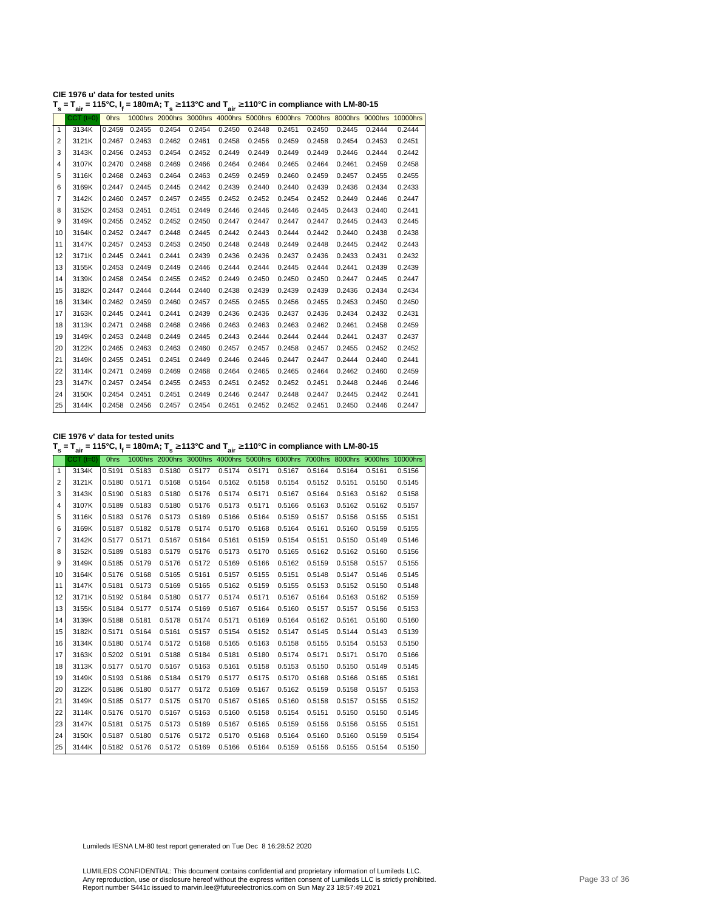| CIE 1976 u' data for tested units                                                                                                                  |  |
|----------------------------------------------------------------------------------------------------------------------------------------------------|--|
| T <sub>s</sub> = T <sub>air</sub> = 115°C, I <sub>f</sub> = 180mA; T <sub>s</sub> ≥ 113°C and T <sub>air</sub> ≥ 110°C in compliance with LM-80-15 |  |

| s            | ີ່air           | . <del>.</del> |               |        | <u>.</u> | $\sim$ $\frac{1}{2}$ air |        | o in oompnanoo man am oo |        |        |        |                                                                                  |
|--------------|-----------------|----------------|---------------|--------|----------|--------------------------|--------|--------------------------|--------|--------|--------|----------------------------------------------------------------------------------|
|              | $CCT$ ( $t=0$ ) | <b>Ohrs</b>    |               |        |          |                          |        |                          |        |        |        | 1000hrs 2000hrs 3000hrs 4000hrs 5000hrs 6000hrs 7000hrs 8000hrs 9000hrs 10000hrs |
| $\mathbf{1}$ | 3134K           | 0.2459         | 0.2455        | 0.2454 | 0.2454   | 0.2450                   | 0.2448 | 0.2451                   | 0.2450 | 0.2445 | 0.2444 | 0.2444                                                                           |
| 2            | 3121K           | 0.2467         | 0.2463        | 0.2462 | 0.2461   | 0.2458                   | 0.2456 | 0.2459                   | 0.2458 | 0.2454 | 0.2453 | 0.2451                                                                           |
| 3            | 3143K           | 0.2456         | 0.2453        | 0.2454 | 0.2452   | 0.2449                   | 0.2449 | 0.2449                   | 0.2449 | 0.2446 | 0.2444 | 0.2442                                                                           |
| 4            | 3107K           | 0.2470         | 0.2468        | 0.2469 | 0.2466   | 0.2464                   | 0.2464 | 0.2465                   | 0.2464 | 0.2461 | 0.2459 | 0.2458                                                                           |
| 5            | 3116K           | 0.2468         | 0.2463        | 0.2464 | 0.2463   | 0.2459                   | 0.2459 | 0.2460                   | 0.2459 | 0.2457 | 0.2455 | 0.2455                                                                           |
| 6            | 3169K           | 0.2447         | 0.2445        | 0.2445 | 0.2442   | 0.2439                   | 0.2440 | 0.2440                   | 0.2439 | 0.2436 | 0.2434 | 0.2433                                                                           |
| 7            | 3142K           | 0.2460         | 0.2457        | 0.2457 | 0.2455   | 0.2452                   | 0.2452 | 0.2454                   | 0.2452 | 0.2449 | 0.2446 | 0.2447                                                                           |
| 8            | 3152K           |                | 0.2453 0.2451 | 0.2451 | 0.2449   | 0.2446                   | 0.2446 | 0.2446                   | 0.2445 | 0.2443 | 0.2440 | 0.2441                                                                           |
| 9            | 3149K           | 0.2455         | 0.2452        | 0.2452 | 0.2450   | 0.2447                   | 0.2447 | 0.2447                   | 0.2447 | 0.2445 | 0.2443 | 0.2445                                                                           |
| 10           | 3164K           |                | 0.2452 0.2447 | 0.2448 | 0.2445   | 0.2442                   | 0.2443 | 0.2444                   | 0.2442 | 0.2440 | 0.2438 | 0.2438                                                                           |
| 11           | 3147K           | 0.2457         | 0.2453        | 0.2453 | 0.2450   | 0.2448                   | 0.2448 | 0.2449                   | 0.2448 | 0.2445 | 0.2442 | 0.2443                                                                           |
| 12           | 3171K           | 0.2445         | 0.2441        | 0.2441 | 0.2439   | 0.2436                   | 0.2436 | 0.2437                   | 0.2436 | 0.2433 | 0.2431 | 0.2432                                                                           |
| 13           | 3155K           |                | 0.2453 0.2449 | 0.2449 | 0.2446   | 0.2444                   | 0.2444 | 0.2445                   | 0.2444 | 0.2441 | 0.2439 | 0.2439                                                                           |
| 14           | 3139K           | 0.2458         | 0.2454        | 0.2455 | 0.2452   | 0.2449                   | 0.2450 | 0.2450                   | 0.2450 | 0.2447 | 0.2445 | 0.2447                                                                           |
| 15           | 3182K           |                | 0.2447 0.2444 | 0.2444 | 0.2440   | 0.2438                   | 0.2439 | 0.2439                   | 0.2439 | 0.2436 | 0.2434 | 0.2434                                                                           |
| 16           | 3134K           | 0.2462         | 0.2459        | 0.2460 | 0.2457   | 0.2455                   | 0.2455 | 0.2456                   | 0.2455 | 0.2453 | 0.2450 | 0.2450                                                                           |
| 17           | 3163K           | 0.2445         | 0.2441        | 0.2441 | 0.2439   | 0.2436                   | 0.2436 | 0.2437                   | 0.2436 | 0.2434 | 0.2432 | 0.2431                                                                           |
| 18           | 3113K           | 0.2471         | 0.2468        | 0.2468 | 0.2466   | 0.2463                   | 0.2463 | 0.2463                   | 0.2462 | 0.2461 | 0.2458 | 0.2459                                                                           |
| 19           | 3149K           | 0.2453         | 0.2448        | 0.2449 | 0.2445   | 0.2443                   | 0.2444 | 0.2444                   | 0.2444 | 0.2441 | 0.2437 | 0.2437                                                                           |
| 20           | 3122K           | 0.2465         | 0.2463        | 0.2463 | 0.2460   | 0.2457                   | 0.2457 | 0.2458                   | 0.2457 | 0.2455 | 0.2452 | 0.2452                                                                           |
| 21           | 3149K           | 0.2455         | 0.2451        | 0.2451 | 0.2449   | 0.2446                   | 0.2446 | 0.2447                   | 0.2447 | 0.2444 | 0.2440 | 0.2441                                                                           |
| 22           | 3114K           | 0.2471         | 0.2469        | 0.2469 | 0.2468   | 0.2464                   | 0.2465 | 0.2465                   | 0.2464 | 0.2462 | 0.2460 | 0.2459                                                                           |
| 23           | 3147K           |                | 0.2457 0.2454 | 0.2455 | 0.2453   | 0.2451                   | 0.2452 | 0.2452                   | 0.2451 | 0.2448 | 0.2446 | 0.2446                                                                           |
| 24           | 3150K           | 0.2454         | 0.2451        | 0.2451 | 0.2449   | 0.2446                   | 0.2447 | 0.2448                   | 0.2447 | 0.2445 | 0.2442 | 0.2441                                                                           |
| 25           | 3144K           |                | 0.2458 0.2456 | 0.2457 | 0.2454   | 0.2451                   |        | 0.2452 0.2452            | 0.2451 | 0.2450 | 0.2446 | 0.2447                                                                           |
|              |                 |                |               |        |          |                          |        |                          |        |        |        |                                                                                  |

**CIE 1976 v' data for tested units**

**T s = Tair = 115°C, I<sup>f</sup> = 180mA; T s** <sup>≥</sup> **113°C and Tair** <sup>≥</sup> **110°C in compliance with LM-80-15**

|                | $CCT$ $(t=0)$ | Ohrs   |               |        |        |        |                                                                       |                                |               |                      |        | 1000hrs 2000hrs 3000hrs 4000hrs 5000hrs 6000hrs 7000hrs 8000hrs 9000hrs 10000hrs |
|----------------|---------------|--------|---------------|--------|--------|--------|-----------------------------------------------------------------------|--------------------------------|---------------|----------------------|--------|----------------------------------------------------------------------------------|
| $\mathbf{1}$   | 3134K         | 0.5191 | 0.5183        | 0.5180 | 0.5177 |        | 0.5174 0.5171                                                         | 0.5167                         | 0.5164        | 0.5164               | 0.5161 | 0.5156                                                                           |
| $\overline{2}$ | 3121K         |        | 0.5180 0.5171 | 0.5168 | 0.5164 |        | 0.5162  0.5158  0.5154  0.5152  0.5151                                |                                |               |                      | 0.5150 | 0.5145                                                                           |
| 3              | 3143K         |        | 0.5190 0.5183 | 0.5180 | 0.5176 | 0.5174 | 0.5171                                                                | 0.5167                         | 0.5164        | 0.5163               | 0.5162 | 0.5158                                                                           |
| 4              | 3107K         |        | 0.5189 0.5183 | 0.5180 | 0.5176 | 0.5173 | 0.5171                                                                | 0.5166                         |               | 0.5163 0.5162        | 0.5162 | 0.5157                                                                           |
| 5              | 3116K         |        | 0.5183 0.5176 | 0.5173 | 0.5169 | 0.5166 | 0.5164                                                                | 0.5159                         | 0.5157        | 0.5156               | 0.5155 | 0.5151                                                                           |
| 6              | 3169K         |        | 0.5187 0.5182 | 0.5178 | 0.5174 | 0.5170 |                                                                       | 0.5168  0.5164  0.5161  0.5160 |               |                      | 0.5159 | 0.5155                                                                           |
| 7              | 3142K         |        | 0.5177 0.5171 | 0.5167 | 0.5164 | 0.5161 | 0.5159                                                                | 0.5154                         | 0.5151        | 0.5150               | 0.5149 | 0.5146                                                                           |
| 8              | 3152K         |        | 0.5189 0.5183 | 0.5179 | 0.5176 | 0.5173 | 0.5170                                                                | 0.5165                         | 0.5162        | 0.5162               | 0.5160 | 0.5156                                                                           |
| 9              | 3149K         |        | 0.5185 0.5179 | 0.5176 | 0.5172 | 0.5169 | 0.5166                                                                | 0.5162                         |               | 0.5159 0.5158        | 0.5157 | 0.5155                                                                           |
| 10             | 3164K         | 0.5176 | 0.5168        | 0.5165 | 0.5161 | 0.5157 | 0.5155                                                                | 0.5151                         | 0.5148        | 0.5147               | 0.5146 | 0.5145                                                                           |
| 11             | 3147K         |        | 0.5181 0.5173 | 0.5169 | 0.5165 | 0.5162 | 0.5159                                                                | 0.5155                         |               | 0.5153 0.5152        | 0.5150 | 0.5148                                                                           |
| 12             | 3171K         |        | 0.5192 0.5184 | 0.5180 | 0.5177 | 0.5174 | 0.5171                                                                | 0.5167                         |               | 0.5164 0.5163        | 0.5162 | 0.5159                                                                           |
| 13             | 3155K         |        | 0.5184 0.5177 | 0.5174 | 0.5169 | 0.5167 | 0.5164 0.5160                                                         |                                |               | 0.5157 0.5157        | 0.5156 | 0.5153                                                                           |
| 14             | 3139K         |        | 0.5188 0.5181 | 0.5178 | 0.5174 | 0.5171 | 0.5169                                                                | 0.5164                         |               | 0.5162 0.5161        | 0.5160 | 0.5160                                                                           |
| 15             | 3182K         |        | 0.5171 0.5164 | 0.5161 | 0.5157 | 0.5154 | 0.5152                                                                | 0.5147                         | 0.5145        | 0.5144               | 0.5143 | 0.5139                                                                           |
| 16             | 3134K         |        | 0.5180 0.5174 | 0.5172 | 0.5168 | 0.5165 | 0.5163                                                                | 0.5158                         | 0.5155        | 0.5154               | 0.5153 | 0.5150                                                                           |
| 17             | 3163K         |        | 0.5202 0.5191 | 0.5188 | 0.5184 | 0.5181 | 0.5180                                                                | 0.5174                         | 0.5171        | 0.5171               | 0.5170 | 0.5166                                                                           |
| 18             | 3113K         |        | 0.5177 0.5170 | 0.5167 | 0.5163 | 0.5161 | 0.5158                                                                |                                | 0.5153 0.5150 | 0.5150               | 0.5149 | 0.5145                                                                           |
| 19             | 3149K         |        | 0.5193 0.5186 | 0.5184 | 0.5179 | 0.5177 | 0.5175                                                                | 0.5170                         | 0.5168        | 0.5166               | 0.5165 | 0.5161                                                                           |
| 20             | 3122K         |        | 0.5186 0.5180 | 0.5177 | 0.5172 | 0.5169 | 0.5167                                                                |                                |               | 0.5162 0.5159 0.5158 | 0.5157 | 0.5153                                                                           |
| 21             | 3149K         |        | 0.5185 0.5177 | 0.5175 | 0.5170 | 0.5167 | 0.5165                                                                | 0.5160                         | 0.5158        | 0.5157               | 0.5155 | 0.5152                                                                           |
| 22             | 3114K         |        | 0.5176 0.5170 | 0.5167 | 0.5163 | 0.5160 | 0.5158                                                                | 0.5154                         | 0.5151        | 0.5150               | 0.5150 | 0.5145                                                                           |
| 23             | 3147K         |        | 0.5181 0.5175 | 0.5173 | 0.5169 | 0.5167 | 0.5165                                                                | 0.5159                         | 0.5156        | 0.5156               | 0.5155 | 0.5151                                                                           |
| 24             | 3150K         |        | 0.5187 0.5180 | 0.5176 | 0.5172 | 0.5170 | 0.5168                                                                | 0.5164                         | 0.5160        | 0.5160               | 0.5159 | 0.5154                                                                           |
| 25             | 3144K         |        |               |        |        |        | 0.5182 0.5176 0.5172 0.5169 0.5166 0.5164 0.5159 0.5156 0.5155 0.5154 |                                |               |                      |        | 0.5150                                                                           |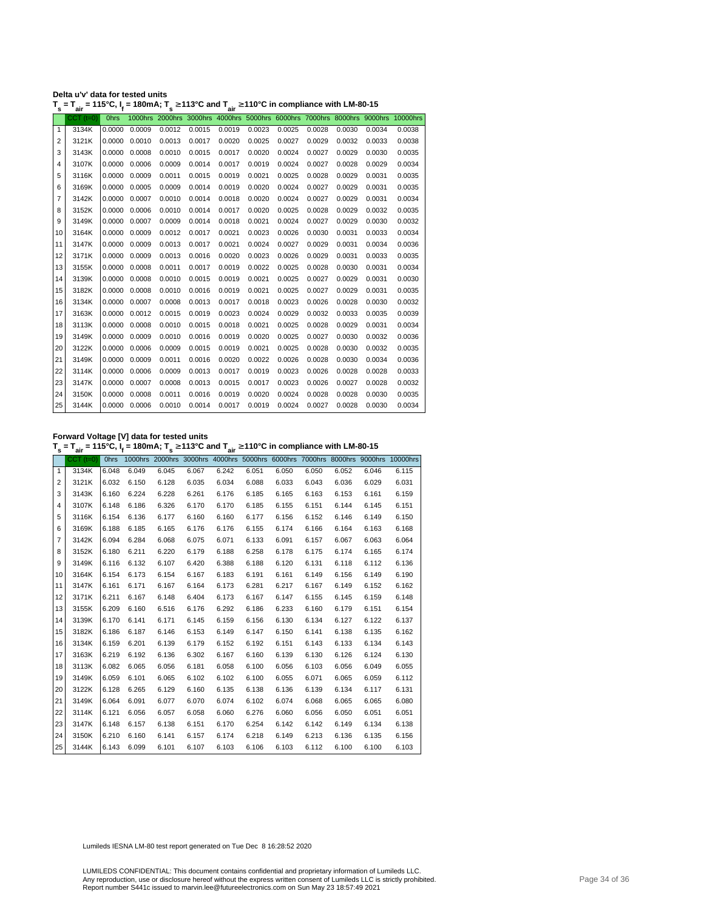| Delta u'v' data for tested units                                                                                                     |  |  |
|--------------------------------------------------------------------------------------------------------------------------------------|--|--|
| $T_s = T_{air} = 115^{\circ}$ C, $I_f = 180$ mA; $T_s \ge 113^{\circ}$ C and $T_{air} \ge 110^{\circ}$ C in compliance with LM-80-15 |  |  |

|                | ан          |             |               |        |        | . .    |        |        |        |        |        |                                                                                  |
|----------------|-------------|-------------|---------------|--------|--------|--------|--------|--------|--------|--------|--------|----------------------------------------------------------------------------------|
|                | $CCT$ (t=0) | <b>Ohrs</b> |               |        |        |        |        |        |        |        |        | 1000hrs 2000hrs 3000hrs 4000hrs 5000hrs 6000hrs 7000hrs 8000hrs 9000hrs 10000hrs |
| $\mathbf{1}$   | 3134K       | 0.0000      | 0.0009        | 0.0012 | 0.0015 | 0.0019 | 0.0023 | 0.0025 | 0.0028 | 0.0030 | 0.0034 | 0.0038                                                                           |
| $\overline{2}$ | 3121K       | 0.0000      | 0.0010        | 0.0013 | 0.0017 | 0.0020 | 0.0025 | 0.0027 | 0.0029 | 0.0032 | 0.0033 | 0.0038                                                                           |
| 3              | 3143K       | 0.0000      | 0.0008        | 0.0010 | 0.0015 | 0.0017 | 0.0020 | 0.0024 | 0.0027 | 0.0029 | 0.0030 | 0.0035                                                                           |
| 4              | 3107K       | 0.0000      | 0.0006        | 0.0009 | 0.0014 | 0.0017 | 0.0019 | 0.0024 | 0.0027 | 0.0028 | 0.0029 | 0.0034                                                                           |
| 5              | 3116K       | 0.0000      | 0.0009        | 0.0011 | 0.0015 | 0.0019 | 0.0021 | 0.0025 | 0.0028 | 0.0029 | 0.0031 | 0.0035                                                                           |
| 6              | 3169K       | 0.0000      | 0.0005        | 0.0009 | 0.0014 | 0.0019 | 0.0020 | 0.0024 | 0.0027 | 0.0029 | 0.0031 | 0.0035                                                                           |
| $\overline{7}$ | 3142K       | 0.0000      | 0.0007        | 0.0010 | 0.0014 | 0.0018 | 0.0020 | 0.0024 | 0.0027 | 0.0029 | 0.0031 | 0.0034                                                                           |
| 8              | 3152K       | 0.0000      | 0.0006        | 0.0010 | 0.0014 | 0.0017 | 0.0020 | 0.0025 | 0.0028 | 0.0029 | 0.0032 | 0.0035                                                                           |
| 9              | 3149K       | 0.0000      | 0.0007        | 0.0009 | 0.0014 | 0.0018 | 0.0021 | 0.0024 | 0.0027 | 0.0029 | 0.0030 | 0.0032                                                                           |
| 10             | 3164K       | 0.0000      | 0.0009        | 0.0012 | 0.0017 | 0.0021 | 0.0023 | 0.0026 | 0.0030 | 0.0031 | 0.0033 | 0.0034                                                                           |
| 11             | 3147K       | 0.0000      | 0.0009        | 0.0013 | 0.0017 | 0.0021 | 0.0024 | 0.0027 | 0.0029 | 0.0031 | 0.0034 | 0.0036                                                                           |
| 12             | 3171K       | 0.0000      | 0.0009        | 0.0013 | 0.0016 | 0.0020 | 0.0023 | 0.0026 | 0.0029 | 0.0031 | 0.0033 | 0.0035                                                                           |
| 13             | 3155K       | 0.0000      | 0.0008        | 0.0011 | 0.0017 | 0.0019 | 0.0022 | 0.0025 | 0.0028 | 0.0030 | 0.0031 | 0.0034                                                                           |
| 14             | 3139K       | 0.0000      | 0.0008        | 0.0010 | 0.0015 | 0.0019 | 0.0021 | 0.0025 | 0.0027 | 0.0029 | 0.0031 | 0.0030                                                                           |
| 15             | 3182K       | 0.0000      | 0.0008        | 0.0010 | 0.0016 | 0.0019 | 0.0021 | 0.0025 | 0.0027 | 0.0029 | 0.0031 | 0.0035                                                                           |
| 16             | 3134K       | 0.0000      | 0.0007        | 0.0008 | 0.0013 | 0.0017 | 0.0018 | 0.0023 | 0.0026 | 0.0028 | 0.0030 | 0.0032                                                                           |
| 17             | 3163K       | 0.0000      | 0.0012        | 0.0015 | 0.0019 | 0.0023 | 0.0024 | 0.0029 | 0.0032 | 0.0033 | 0.0035 | 0.0039                                                                           |
| 18             | 3113K       | 0.0000      | 0.0008        | 0.0010 | 0.0015 | 0.0018 | 0.0021 | 0.0025 | 0.0028 | 0.0029 | 0.0031 | 0.0034                                                                           |
| 19             | 3149K       | 0.0000      | 0.0009        | 0.0010 | 0.0016 | 0.0019 | 0.0020 | 0.0025 | 0.0027 | 0.0030 | 0.0032 | 0.0036                                                                           |
| 20             | 3122K       | 0.0000      | 0.0006        | 0.0009 | 0.0015 | 0.0019 | 0.0021 | 0.0025 | 0.0028 | 0.0030 | 0.0032 | 0.0035                                                                           |
| 21             | 3149K       | 0.0000      | 0.0009        | 0.0011 | 0.0016 | 0.0020 | 0.0022 | 0.0026 | 0.0028 | 0.0030 | 0.0034 | 0.0036                                                                           |
| 22             | 3114K       | 0.0000      | 0.0006        | 0.0009 | 0.0013 | 0.0017 | 0.0019 | 0.0023 | 0.0026 | 0.0028 | 0.0028 | 0.0033                                                                           |
| 23             | 3147K       | 0.0000      | 0.0007        | 0.0008 | 0.0013 | 0.0015 | 0.0017 | 0.0023 | 0.0026 | 0.0027 | 0.0028 | 0.0032                                                                           |
| 24             | 3150K       | 0.0000      | 0.0008        | 0.0011 | 0.0016 | 0.0019 | 0.0020 | 0.0024 | 0.0028 | 0.0028 | 0.0030 | 0.0035                                                                           |
| 25             | 3144K       |             | 0.0000 0.0006 | 0.0010 | 0.0014 | 0.0017 | 0.0019 | 0.0024 | 0.0027 | 0.0028 | 0.0030 | 0.0034                                                                           |

**Forward Voltage [V] data for tested units**

**T s = Tair = 115°C, I<sup>f</sup> = 180mA; T s** <sup>≥</sup> **113°C and Tair** <sup>≥</sup> **110°C in compliance with LM-80-15**

|                | $CCT$ ( $t=0$ ) | <b>Ohrs</b> |       |       |       |       |       |       |       |       |       | 1000hrs 2000hrs 3000hrs 4000hrs 5000hrs 6000hrs 7000hrs 8000hrs 9000hrs 10000hrs |
|----------------|-----------------|-------------|-------|-------|-------|-------|-------|-------|-------|-------|-------|----------------------------------------------------------------------------------|
| $\mathbf{1}$   | 3134K           | 6.048       | 6.049 | 6.045 | 6.067 | 6.242 | 6.051 | 6.050 | 6.050 | 6.052 | 6.046 | 6.115                                                                            |
| $\overline{2}$ | 3121K           | 6.032       | 6.150 | 6.128 | 6.035 | 6.034 | 6.088 | 6.033 | 6.043 | 6.036 | 6.029 | 6.031                                                                            |
| 3              | 3143K           | 6.160       | 6.224 | 6.228 | 6.261 | 6.176 | 6.185 | 6.165 | 6.163 | 6.153 | 6.161 | 6.159                                                                            |
| 4              | 3107K           | 6.148       | 6.186 | 6.326 | 6.170 | 6.170 | 6.185 | 6.155 | 6.151 | 6.144 | 6.145 | 6.151                                                                            |
| 5              | 3116K           | 6.154       | 6.136 | 6.177 | 6.160 | 6.160 | 6.177 | 6.156 | 6.152 | 6.146 | 6.149 | 6.150                                                                            |
| 6              | 3169K           | 6.188       | 6.185 | 6.165 | 6.176 | 6.176 | 6.155 | 6.174 | 6.166 | 6.164 | 6.163 | 6.168                                                                            |
| 7              | 3142K           | 6.094       | 6.284 | 6.068 | 6.075 | 6.071 | 6.133 | 6.091 | 6.157 | 6.067 | 6.063 | 6.064                                                                            |
| 8              | 3152K           | 6.180       | 6.211 | 6.220 | 6.179 | 6.188 | 6.258 | 6.178 | 6.175 | 6.174 | 6.165 | 6.174                                                                            |
| 9              | 3149K           | 6.116       | 6.132 | 6.107 | 6.420 | 6.388 | 6.188 | 6.120 | 6.131 | 6.118 | 6.112 | 6.136                                                                            |
| 10             | 3164K           | 6.154       | 6.173 | 6.154 | 6.167 | 6.183 | 6.191 | 6.161 | 6.149 | 6.156 | 6.149 | 6.190                                                                            |
| 11             | 3147K           | 6.161       | 6.171 | 6.167 | 6.164 | 6.173 | 6.281 | 6.217 | 6.167 | 6.149 | 6.152 | 6.162                                                                            |
| 12             | 3171K           | 6.211       | 6.167 | 6.148 | 6.404 | 6.173 | 6.167 | 6.147 | 6.155 | 6.145 | 6.159 | 6.148                                                                            |
| 13             | 3155K           | 6.209       | 6.160 | 6.516 | 6.176 | 6.292 | 6.186 | 6.233 | 6.160 | 6.179 | 6.151 | 6.154                                                                            |
| 14             | 3139K           | 6.170       | 6.141 | 6.171 | 6.145 | 6.159 | 6.156 | 6.130 | 6.134 | 6.127 | 6.122 | 6.137                                                                            |
| 15             | 3182K           | 6.186       | 6.187 | 6.146 | 6.153 | 6.149 | 6.147 | 6.150 | 6.141 | 6.138 | 6.135 | 6.162                                                                            |
| 16             | 3134K           | 6.159       | 6.201 | 6.139 | 6.179 | 6.152 | 6.192 | 6.151 | 6.143 | 6.133 | 6.134 | 6.143                                                                            |
| 17             | 3163K           | 6.219       | 6.192 | 6.136 | 6.302 | 6.167 | 6.160 | 6.139 | 6.130 | 6.126 | 6.124 | 6.130                                                                            |
| 18             | 3113K           | 6.082       | 6.065 | 6.056 | 6.181 | 6.058 | 6.100 | 6.056 | 6.103 | 6.056 | 6.049 | 6.055                                                                            |
| 19             | 3149K           | 6.059       | 6.101 | 6.065 | 6.102 | 6.102 | 6.100 | 6.055 | 6.071 | 6.065 | 6.059 | 6.112                                                                            |
| 20             | 3122K           | 6.128       | 6.265 | 6.129 | 6.160 | 6.135 | 6.138 | 6.136 | 6.139 | 6.134 | 6.117 | 6.131                                                                            |
| 21             | 3149K           | 6.064       | 6.091 | 6.077 | 6.070 | 6.074 | 6.102 | 6.074 | 6.068 | 6.065 | 6.065 | 6.080                                                                            |
| 22             | 3114K           | 6.121       | 6.056 | 6.057 | 6.058 | 6.060 | 6.276 | 6.060 | 6.056 | 6.050 | 6.051 | 6.051                                                                            |
| 23             | 3147K           | 6.148       | 6.157 | 6.138 | 6.151 | 6.170 | 6.254 | 6.142 | 6.142 | 6.149 | 6.134 | 6.138                                                                            |
| 24             | 3150K           | 6.210       | 6.160 | 6.141 | 6.157 | 6.174 | 6.218 | 6.149 | 6.213 | 6.136 | 6.135 | 6.156                                                                            |
| 25             | 3144K           | 6.143       | 6.099 | 6.101 | 6.107 | 6.103 | 6.106 | 6.103 | 6.112 | 6.100 | 6.100 | 6.103                                                                            |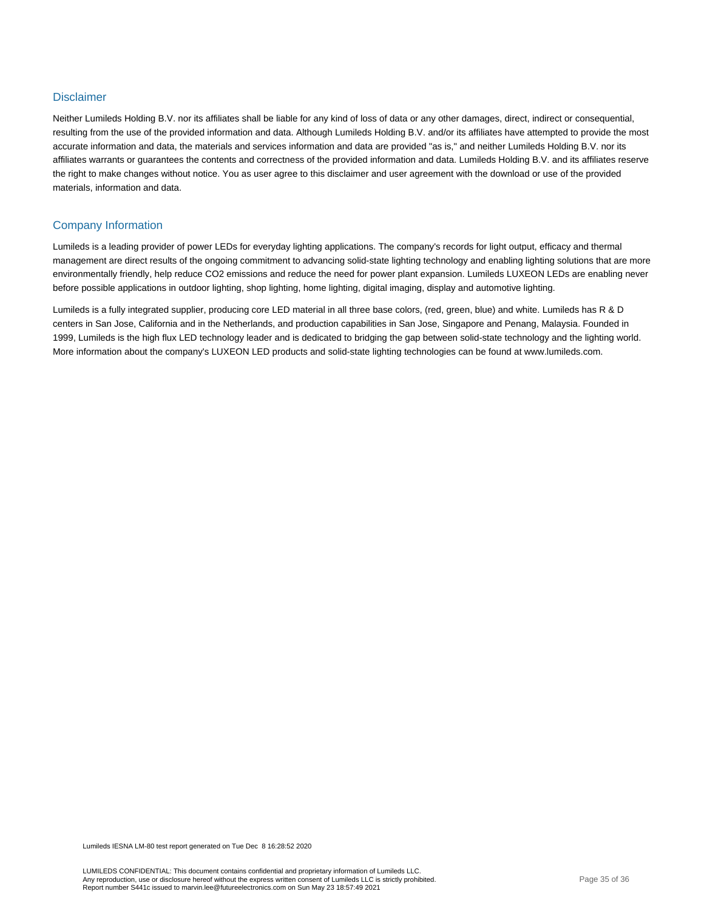#### **Disclaimer**

Neither Lumileds Holding B.V. nor its affiliates shall be liable for any kind of loss of data or any other damages, direct, indirect or consequential, resulting from the use of the provided information and data. Although Lumileds Holding B.V. and/or its affiliates have attempted to provide the most accurate information and data, the materials and services information and data are provided "as is," and neither Lumileds Holding B.V. nor its affiliates warrants or guarantees the contents and correctness of the provided information and data. Lumileds Holding B.V. and its affiliates reserve the right to make changes without notice. You as user agree to this disclaimer and user agreement with the download or use of the provided materials, information and data.

#### Company Information

Lumileds is a leading provider of power LEDs for everyday lighting applications. The company's records for light output, efficacy and thermal management are direct results of the ongoing commitment to advancing solid-state lighting technology and enabling lighting solutions that are more environmentally friendly, help reduce CO2 emissions and reduce the need for power plant expansion. Lumileds LUXEON LEDs are enabling never before possible applications in outdoor lighting, shop lighting, home lighting, digital imaging, display and automotive lighting.

Lumileds is a fully integrated supplier, producing core LED material in all three base colors, (red, green, blue) and white. Lumileds has R & D centers in San Jose, California and in the Netherlands, and production capabilities in San Jose, Singapore and Penang, Malaysia. Founded in 1999, Lumileds is the high flux LED technology leader and is dedicated to bridging the gap between solid-state technology and the lighting world. More information about the company's LUXEON LED products and solid-state lighting technologies can be found at www.lumileds.com.